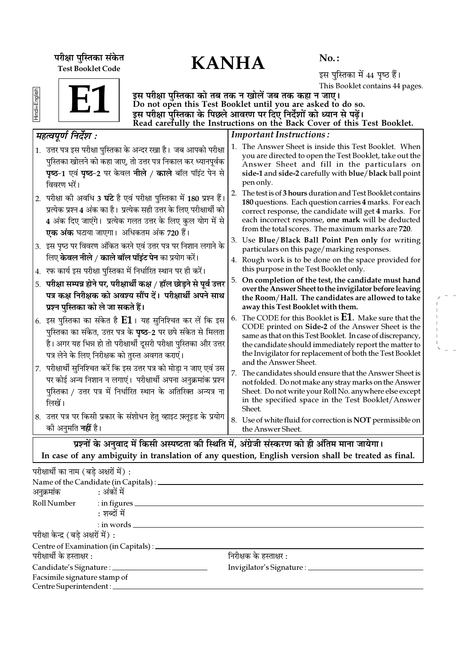परीक्षा पुस्तिका संकेत $\mathbf{KANHA}$ Test Booklet Code

No. :

इस पुस्तिका में 44 पृष्ठ हैं। This Booklet contains 44 pages.

Hindi+English

E1

इस परीक्षा पुस्तिका को तब तक न खोलें जब तक कहा न जाए। Do not open this Test Booklet until you are asked to do so. इस परीक्षा पुस्तिका के पिछले आवरण पर दिए निर्देशों को ध्यान से पढ़ें। Read carefully the Instructions on the Back Cover of this Test Booklet.

| महत्वपूर्ण निर्देश :                                                                                                                                                                                                                                                    | <b>Important Instructions:</b>                                                                                                                                                                                                                                                                                                                  |
|-------------------------------------------------------------------------------------------------------------------------------------------------------------------------------------------------------------------------------------------------------------------------|-------------------------------------------------------------------------------------------------------------------------------------------------------------------------------------------------------------------------------------------------------------------------------------------------------------------------------------------------|
| 1. उत्तर पत्र इस परीक्षा पुस्तिका के अन्दर रखा है। जब आपको परीक्षा<br>पुस्तिका खोलने को कहा जाए, तो उत्तर पत्र निकाल कर ध्यानपूर्वक<br><b>पृष्ठ-1</b> एवं पृष्ठ-2 पर केवल नीले / काले बॉल पॉइंट पेन से<br>विवरण भरें।                                                   | 1. The Answer Sheet is inside this Test Booklet. When<br>you are directed to open the Test Booklet, take out the<br>Answer Sheet and fill in the particulars on<br>side-1 and side-2 carefully with blue/black ball point<br>pen only.                                                                                                          |
| 2.  परीक्षा को अवधि 3 <b>घंटे</b> है एवं परीक्षा पुस्तिका में 180 प्रश्न हैं।<br>प्रत्येक प्रश्न 4 अंक का है। प्रत्येक सही उत्तर के लिए परीक्षार्थी को<br>4 अंक दिए जाएंगे। प्रत्येक गलत उत्तर के लिए कुल योग में से<br>एक अंक घटाया जाएगा। अधिकतम अंक 720 हैं।         | 2. The test is of 3 hours duration and Test Booklet contains<br>180 questions. Each question carries 4 marks. For each<br>correct response, the candidate will get 4 marks. For<br>each incorrect response, one mark will be deducted<br>from the total scores. The maximum marks are 720.<br>3. Use Blue/Black Ball Point Pen only for writing |
| 3. इस पृष्ठ पर विवरण अंकित करने एवं उत्तर पत्र पर निशान लगाने के                                                                                                                                                                                                        | particulars on this page/marking responses.                                                                                                                                                                                                                                                                                                     |
| लिए <b>केवल नीले / काले बॉल पॉइंट पेन</b> का प्रयोग करें।<br>4.  रफ कार्य इस परीक्षा पुस्तिका में निर्धारित स्थान पर ही करें।                                                                                                                                           | 4. Rough work is to be done on the space provided for<br>this purpose in the Test Booklet only.                                                                                                                                                                                                                                                 |
| 5. परीक्षा सम्पन्न होने पर, परीक्षार्थी कक्ष / हॉल छोड़ने से पूर्व उत्तर<br>पत्र कक्ष निरीक्षक को अवश्य सौंप दें। परीक्षार्थी अपने साथ<br>प्रश्न पुस्तिका को ले जा सकते हैं।                                                                                            | On completion of the test, the candidate must hand<br>5.<br>over the Answer Sheet to the invigilator before leaving<br>the Room/Hall. The candidates are allowed to take<br>away this Test Booklet with them.                                                                                                                                   |
| 6. इस पुस्तिका का संकेत है $\mathbf{E1}$ । यह सुनिश्चित कर लें कि इस<br>पुस्तिका का संकेत, उत्तर पत्र के <b>पृष्ठ</b> -2 पर छपे संकेत से मिलता<br>है। अगर यह भिन्न हो तो परीक्षार्थी दूसरी परीक्षा पुस्तिका और उत्तर<br>पत्र लेने के लिए निरीक्षक को तुरन्त अवगत कराएं। | The CODE for this Booklet is $E1$ . Make sure that the<br>6.<br>CODE printed on Side-2 of the Answer Sheet is the<br>same as that on this Test Booklet. In case of discrepancy,<br>the candidate should immediately report the matter to<br>the Invigilator for replacement of both the Test Booklet<br>and the Answer Sheet.                   |
| 7. परीक्षार्थी सुनिश्चित करें कि इस उत्तर पत्र को मोड़ा न जाए एवं उस<br>पर कोई अन्य निशान न लगाएं। परीक्षार्थी अपना अनुक्रमांक प्रश्न<br>पुस्तिका / उत्तर पत्र में निर्धारित स्थान के अतिरिक्त अन्यत्र ना<br>लिखें।                                                     | 7.<br>The candidates should ensure that the Answer Sheet is<br>not folded. Do not make any stray marks on the Answer<br>Sheet. Do not write your Roll No. anywhere else except<br>in the specified space in the Test Booklet/Answer<br>Sheet.                                                                                                   |
| 8. उत्तर पत्र पर किसी प्रकार के संशोधन हेतु व्हाइट फ़्लूइड के प्रयोग<br>को अनुमति <b>नहीं</b> है।                                                                                                                                                                       | 8. Use of white fluid for correction is NOT permissible on<br>the Answer Sheet.                                                                                                                                                                                                                                                                 |
|                                                                                                                                                                                                                                                                         | प्रश्नों के अनुवाद में किसी अस्पष्टता की स्थिति में, अंग्रेजी संस्करण को ही अंतिम माना जायेगा।                                                                                                                                                                                                                                                  |

In case of any ambiguity in translation of any question, English version shall be treated as final.

| परीक्षार्थी का नाम (बडे अक्षरों में) : |                                                 |                                  |  |
|----------------------------------------|-------------------------------------------------|----------------------------------|--|
|                                        | Name of the Candidate (in Capitals) : _________ |                                  |  |
| अनुक्रमांक : अंकों में                 |                                                 |                                  |  |
|                                        | Roll Number : in figures                        |                                  |  |
|                                        | : शब्दों में                                    |                                  |  |
|                                        | $:$ in words $\_\_$                             |                                  |  |
| परीक्षा केन्द्र (बडे अक्षरों में) :    |                                                 |                                  |  |
|                                        | Centre of Examination (in Capitals) : ________  |                                  |  |
| परीक्षार्थी के हस्ताक्षर :             |                                                 | निरीक्षक के हस्ताक्षर :          |  |
| Candidate's Signature : __________     |                                                 | Invigilator's Signature : ______ |  |
| Facsimile signature stamp of           |                                                 |                                  |  |
| Centre Superintendent : ____           |                                                 |                                  |  |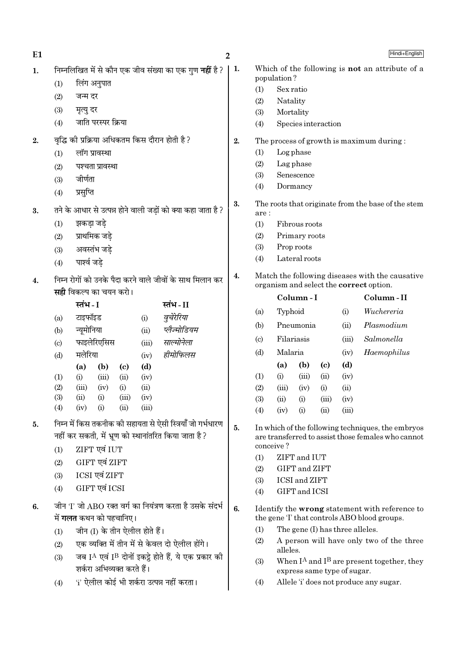| E <sub>1</sub> |                                                                |                                                                                                                     |             |                                                                             | 2                                        |                                                                                                         |                             |                     |                                 |       | Hindi+English                                                                                |
|----------------|----------------------------------------------------------------|---------------------------------------------------------------------------------------------------------------------|-------------|-----------------------------------------------------------------------------|------------------------------------------|---------------------------------------------------------------------------------------------------------|-----------------------------|---------------------|---------------------------------|-------|----------------------------------------------------------------------------------------------|
| 1.             | निम्नलिखित में से कौन एक जीव संख्या का एक गुण <b>नहीं</b> है ? |                                                                                                                     |             |                                                                             | 1.                                       |                                                                                                         |                             |                     |                                 |       | Which of the following is <b>not</b> an attribute of a                                       |
|                | (1)                                                            | लिंग अनुपात                                                                                                         |             |                                                                             |                                          | (1)                                                                                                     | population?<br>Sex ratio    |                     |                                 |       |                                                                                              |
|                | (2)                                                            | जन्म दर                                                                                                             |             |                                                                             |                                          | (2)                                                                                                     | Natality                    |                     |                                 |       |                                                                                              |
|                | (3)                                                            | मृत्यु दर                                                                                                           |             |                                                                             |                                          | (3)                                                                                                     | Mortality                   |                     |                                 |       |                                                                                              |
|                | जाति परस्पर क्रिया<br>(4)                                      |                                                                                                                     |             |                                                                             | (4)                                      |                                                                                                         |                             | Species interaction |                                 |       |                                                                                              |
| 2.             | वृद्धि की प्रक्रिया अधिकतम किस दौरान होती है ?                 |                                                                                                                     |             | 2.                                                                          | The process of growth is maximum during: |                                                                                                         |                             |                     |                                 |       |                                                                                              |
|                | (1)                                                            | लॉग प्रावस्था                                                                                                       |             |                                                                             |                                          | (1)<br>Log phase                                                                                        |                             |                     |                                 |       |                                                                                              |
|                | (2)                                                            | पश्चता प्रावस्था                                                                                                    |             |                                                                             |                                          | (2)                                                                                                     | Lag phase                   |                     |                                 |       |                                                                                              |
|                | (3)                                                            | जीर्णता                                                                                                             |             |                                                                             |                                          | (3)                                                                                                     |                             | Senescence          |                                 |       |                                                                                              |
|                | (4)                                                            | प्रसुप्ति                                                                                                           |             | Dormancy<br>(4)                                                             |                                          |                                                                                                         |                             |                     |                                 |       |                                                                                              |
| 3.             |                                                                | तने के आधार से उत्पन्न होने वाली जड़ों को क्या कहा जाता है ?                                                        |             |                                                                             | 3.                                       | are:                                                                                                    |                             |                     |                                 |       | The roots that originate from the base of the stem                                           |
|                | (1)                                                            | झकड़ा जड़े                                                                                                          |             |                                                                             |                                          | (1)                                                                                                     |                             | Fibrous roots       |                                 |       |                                                                                              |
|                | (2)                                                            | प्राथमिक जड़े                                                                                                       |             |                                                                             |                                          | (2)                                                                                                     |                             | Primary roots       |                                 |       |                                                                                              |
|                | (3)                                                            | अवस्तंभ जड़े                                                                                                        |             |                                                                             |                                          | (3)                                                                                                     | Prop roots                  |                     |                                 |       |                                                                                              |
|                | (4)                                                            | पार्श्व जडे                                                                                                         |             |                                                                             |                                          | (4)                                                                                                     |                             | Lateral roots       |                                 |       |                                                                                              |
| 4.             |                                                                | निम्न रोगों को उनके पैदा करने वाले जीवों के साथ मिलान कर                                                            |             |                                                                             | 4.                                       | Match the following diseases with the causative<br>organism and select the correct option.              |                             |                     |                                 |       |                                                                                              |
|                | <b>सही</b> विकल्प का चयन करो।<br>स्तंभ - I                     |                                                                                                                     |             |                                                                             |                                          |                                                                                                         |                             | Column-I            |                                 |       | Column-II                                                                                    |
|                |                                                                |                                                                                                                     |             | स्तंभ-II                                                                    |                                          | (a)                                                                                                     | Typhoid                     |                     |                                 | (i)   | Wuchereria                                                                                   |
|                | (a)<br>(b)                                                     | टाइफॉइड<br>न्यूमोनिया                                                                                               | (i)<br>(ii) | वुचेरेरिया<br>प्लैज्मोडियम                                                  |                                          | (b)                                                                                                     |                             | Pneumonia           |                                 | (ii)  | Plasmodium                                                                                   |
|                | $\left( \mathrm{c}\right)$                                     | फाइलेरिएसिस                                                                                                         | (iii)       | साल्मोनेला                                                                  |                                          | $\left( \mathrm{c} \right)$                                                                             | Filariasis                  |                     |                                 | (iii) | Salmonella                                                                                   |
|                | (d)                                                            | मलेरिया                                                                                                             | (iv)        | हीमोफिलस                                                                    |                                          | (d)                                                                                                     | Malaria                     |                     |                                 | (iv)  | Haemophilus                                                                                  |
|                |                                                                | (b)<br>(a)<br>$\left( \mathrm{c}\right)$                                                                            | (d)         |                                                                             |                                          |                                                                                                         | (a)                         | (b)                 | $\left( \mathrm{c}\right)$      | (d)   |                                                                                              |
|                | (1)                                                            | (iii)<br>(ii)<br>(i)                                                                                                | (iv)        |                                                                             |                                          | (1)                                                                                                     | (i)                         | (iii)               | (ii)                            | (iv)  |                                                                                              |
|                | (2)                                                            | (iii)<br>(i)<br>(iv)                                                                                                | (ii)        |                                                                             |                                          | (2)                                                                                                     | (iii)                       | (iv)                | (i)                             | (ii)  |                                                                                              |
|                | (3)                                                            | (iii)<br>(ii)<br>(i)                                                                                                | (iv)        |                                                                             |                                          | (3)                                                                                                     | (ii)                        | (i)                 | (iii)                           | (iv)  |                                                                                              |
|                | (4)                                                            | (i)<br>(ii)<br>(iv)                                                                                                 | (iii)       |                                                                             |                                          | (4)                                                                                                     | (iv)                        | (i)                 | (ii)                            | (iii) |                                                                                              |
| 5.             |                                                                | निम्न में किस तकनीक की सहायता से ऐसी स्त्रियाँ जो गर्भधारण<br>नहीं कर सकती, में भ्रूण को स्थानांतरित किया जाता है ? |             |                                                                             | 5.                                       | In which of the following techniques, the embryos<br>are transferred to assist those females who cannot |                             |                     |                                 |       |                                                                                              |
|                | (1)                                                            | ZIFT एवं IUT                                                                                                        |             |                                                                             |                                          | conceive?<br>ZIFT and IUT<br>(1)                                                                        |                             |                     |                                 |       |                                                                                              |
|                | (2)                                                            | GIFT एवं ZIFT                                                                                                       |             |                                                                             |                                          | (2)                                                                                                     |                             | GIFT and ZIFT       |                                 |       |                                                                                              |
|                | (3)                                                            | ICSI एवं ZIFT                                                                                                       |             |                                                                             |                                          | (3)                                                                                                     | <b>ICSI</b> and <b>ZIFT</b> |                     |                                 |       |                                                                                              |
|                | (4)                                                            | GIFT एवं ICSI                                                                                                       |             |                                                                             |                                          | (4)                                                                                                     |                             | GIFT and ICSI       |                                 |       |                                                                                              |
| 6.             |                                                                | जीन 'I' जो ABO रक्त वर्ग का नियंत्रण करता है उसके संदर्भ<br>में <b>गलत</b> कथन को पहचानिए।                          |             |                                                                             | 6.                                       |                                                                                                         |                             |                     |                                 |       | Identify the wrong statement with reference to<br>the gene T that controls ABO blood groups. |
|                | (1)                                                            | जीन (I) के तीन ऐलील होते हैं।                                                                                       |             |                                                                             |                                          | (1)                                                                                                     |                             |                     | The gene (I) has three alleles. |       |                                                                                              |
|                | (2)                                                            | एक व्यक्ति में तीन में से केवल दो ऐलील होंगे।                                                                       |             |                                                                             |                                          | (2)                                                                                                     |                             |                     |                                 |       | A person will have only two of the three                                                     |
|                | (3)                                                            | शर्करा अभिव्यक्त करते हैं।                                                                                          |             | जब I <sup>A</sup> एवं I <sup>B</sup> दोनों इकट्ठे होते हैं, ये एक प्रकार की |                                          | (3)                                                                                                     | alleles.                    |                     |                                 |       | When $I^A$ and $I^B$ are present together, they                                              |
|                |                                                                | 'i' ऐलील कोई भी शर्करा उत्पन्न नहीं करता।                                                                           |             |                                                                             |                                          |                                                                                                         |                             |                     | express same type of sugar.     |       | Allele 'i' does not produce any sugar.                                                       |
|                | (4)                                                            |                                                                                                                     |             |                                                                             |                                          | (4)                                                                                                     |                             |                     |                                 |       |                                                                                              |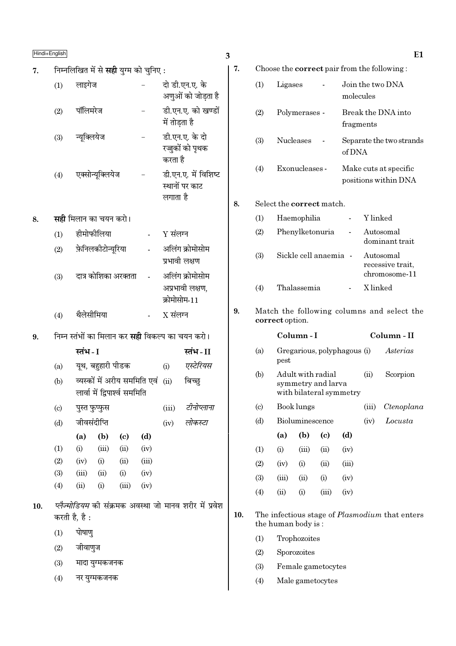| 7.  |                             |                              |                                                               |       | निम्नलिखित में से <b>सही</b> युग्म को चुनिए : |               |                                                         |  |
|-----|-----------------------------|------------------------------|---------------------------------------------------------------|-------|-----------------------------------------------|---------------|---------------------------------------------------------|--|
|     | (1)                         | लाइगेज                       |                                                               |       |                                               |               | दो डी.एन.ए. के<br>अणुओं को जोड़ता है                    |  |
|     | (2)                         | पॉलिमरेज                     |                                                               |       |                                               | में तोड़ता है | डी.एन.ए. को खण्डों                                      |  |
|     | (3)                         | न्यूक्लियेज                  |                                                               |       |                                               | करता है       | डी.एन.ए. के दो<br>रज्जुकों को पृथक                      |  |
|     | (4)                         |                              | एक्सोन्यूक्लियेज                                              |       |                                               | लगाता है      | डी.एन.ए. में विशिष्ट<br>स्थानों पर काट                  |  |
| 8.  |                             | <b>सही</b> मिलान का चयन करो। |                                                               |       |                                               |               |                                                         |  |
|     | (1)                         | हीमोफीलिया                   |                                                               |       |                                               | Y संलग्न      |                                                         |  |
|     | (2)                         |                              | <b>फ़ेनिलकीटोन्यूरिया</b>                                     |       |                                               | प्रभावी लक्षण | अलिंग क्रोमोसोम                                         |  |
|     | (3)                         |                              | दात्र कोशिका अरक्तता                                          |       |                                               | क्रोमोसोम-11  | अलिंग क्रोमोसोम<br>अप्रभावी लक्षण,                      |  |
|     | (4)                         | थैलेसीमिया                   |                                                               |       |                                               | $X$ संलग्न    |                                                         |  |
|     |                             |                              |                                                               |       |                                               |               |                                                         |  |
| 9.  |                             |                              |                                                               |       |                                               |               | निम्न स्तंभों का मिलान कर <b>सही</b> विकल्प का चयन करो। |  |
|     |                             | स्तंभ - I                    |                                                               |       |                                               |               | स्तंभ - II                                              |  |
|     | (a)                         |                              | यूथ, बहुहारी पीडक                                             |       |                                               | (i)           | एस्टेरियस                                               |  |
|     | (b)                         |                              | व्यस्कों में अरीय सममिति एवं<br>लार्वा में द्विपार्श्व सममिति |       |                                               | (ii)          | बिच्छ्                                                  |  |
|     | $\left( \mathrm{c} \right)$ | पुस्त फुप्फुस                |                                                               |       |                                               | (iii)         | टीनोप्लाना                                              |  |
|     | (d)                         | जीवसंदीप्ति                  |                                                               |       |                                               | (iv)          | लोकस्टा                                                 |  |
|     |                             | (a)                          | (b)                                                           | (c)   | (d)                                           |               |                                                         |  |
|     | (1)                         | (i)                          | (iii)                                                         | (ii)  | (iv)                                          |               |                                                         |  |
|     | (2)                         | (iv)                         | (i)                                                           | (ii)  | (iii)                                         |               |                                                         |  |
|     | (3)                         | (iii)                        | (ii)                                                          | (i)   | (iv)                                          |               |                                                         |  |
|     | (4)                         | (ii)                         | (i)                                                           | (iii) | (iv)                                          |               |                                                         |  |
| 10. | करती है, है :               |                              |                                                               |       |                                               |               | प्लैज्मोडियम की संक्रमक अवस्था जो मानव शरीर में प्रवेश  |  |
|     | (1)                         | पोषाणु                       |                                                               |       |                                               |               |                                                         |  |
|     | (2)                         | जीवाणुज                      |                                                               |       |                                               |               |                                                         |  |
|     | (3)                         |                              | मादा युग्मकजनक                                                |       |                                               |               |                                                         |  |

|  | ۰<br>PU 1<br>× |
|--|----------------|
|--|----------------|

7.

8.

9.

|                            |                                                               |                   |                                         |                             |                               | Choose the <b>correct</b> pair from the following: |  |  |
|----------------------------|---------------------------------------------------------------|-------------------|-----------------------------------------|-----------------------------|-------------------------------|----------------------------------------------------|--|--|
| (1)                        | Ligases                                                       |                   |                                         |                             | Join the two DNA<br>molecules |                                                    |  |  |
| (2)                        |                                                               | Polymerases -     |                                         |                             | fragments                     | Break the DNA into                                 |  |  |
| (3)                        |                                                               | <b>Nucleases</b>  |                                         | of DNA                      |                               | Separate the two strands                           |  |  |
| (4)                        |                                                               | Exonucleases -    |                                         |                             |                               | Make cuts at specific<br>positions within DNA      |  |  |
|                            | Select the <b>correct</b> match.                              |                   |                                         |                             |                               |                                                    |  |  |
| (1)                        |                                                               | Haemophilia       |                                         |                             | Y linked                      |                                                    |  |  |
| (2)                        |                                                               |                   | Phenylketonuria                         |                             |                               | Autosomal<br>dominant trait                        |  |  |
| (3)                        |                                                               |                   | Sickle cell anaemia -                   |                             |                               | Autosomal<br>recessive trait,<br>chromosome-11     |  |  |
| (4)                        |                                                               | Thalassemia       |                                         |                             | X linked                      |                                                    |  |  |
|                            | Match the following columns and select the<br>correct option. |                   |                                         |                             |                               |                                                    |  |  |
|                            |                                                               | Column - I        |                                         |                             |                               | Column - II                                        |  |  |
| (a)                        | pest                                                          |                   |                                         | Gregarious, polyphagous (i) |                               | Asterias                                           |  |  |
| (b)                        |                                                               |                   | Adult with radial<br>symmetry and larva | with bilateral symmetry     | (ii)                          | Scorpion                                           |  |  |
| $\left( \mathrm{c}\right)$ |                                                               | <b>Book lungs</b> |                                         |                             | (iii)                         | Ctenoplana                                         |  |  |
| (d)                        |                                                               | Bioluminescence   |                                         |                             | (iv)                          | Locusta                                            |  |  |
|                            | (a)                                                           | (b)               | $\left( \mathrm{e}\right)$              | (d)                         |                               |                                                    |  |  |
| (1)                        | (i)                                                           | (iii)             | (ii)                                    | (iv)                        |                               |                                                    |  |  |
| (2)                        | (iv)                                                          | (i)               | (ii)                                    | (iii)                       |                               |                                                    |  |  |
| (3)                        | (iii)                                                         | (ii)              | (i)                                     | (iv)                        |                               |                                                    |  |  |

 $(4)$  $(ii)$  $(iii)$  $(iv)$  $(i)$ 

 $10.$ The infectious stage of  $Plasmodium$  that enters the human body is:

- $(1)$ Trophozoites
- $(2)$  ${\rm Sporozoites}$
- $(3)$ Female gametocytes
- Male gametocytes  $(4)$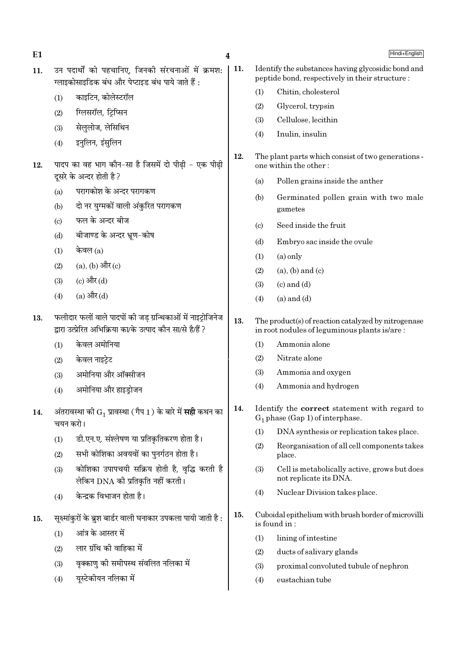| E1  |                                                                                                                            |                                                                                                        | 4   |                                                                                                     | Hindi+English                                                                                         |  |
|-----|----------------------------------------------------------------------------------------------------------------------------|--------------------------------------------------------------------------------------------------------|-----|-----------------------------------------------------------------------------------------------------|-------------------------------------------------------------------------------------------------------|--|
| 11. |                                                                                                                            | उन पदार्थों को पहचानिए, जिनकी संरचनाओं में क्रमश:<br>ग्लाइकोसाइडिक बंध और पेप्टाइड बंध पाये जाते हैं : | 11. |                                                                                                     | Identify the substances having glycosidic bond and<br>peptide bond, respectively in their structure : |  |
|     | (1)                                                                                                                        | काइटिन, कोलेस्टरॉल                                                                                     |     | (1)                                                                                                 | Chitin, cholesterol                                                                                   |  |
|     | (2)                                                                                                                        | ग्लिसरॉल, ट्रिप्सिन                                                                                    |     | (2)                                                                                                 | Glycerol, trypsin                                                                                     |  |
|     | (3)                                                                                                                        | सेललोज, लेसिथिन                                                                                        |     | (3)                                                                                                 | Cellulose, lecithin                                                                                   |  |
|     | (4)                                                                                                                        | इनुलिन, इंसुलिन                                                                                        |     | (4)                                                                                                 | Inulin, insulin                                                                                       |  |
| 12. |                                                                                                                            | पादप का वह भाग कौन-सा है जिसमें दो पीढ़ी - एक पीढ़ी<br>दूसरे के अन्दर होती है ?                        | 12. | The plant parts which consist of two generations -<br>one within the other:                         |                                                                                                       |  |
|     |                                                                                                                            | परागकोश के अन्दर परागकण                                                                                |     | (a)                                                                                                 | Pollen grains inside the anther                                                                       |  |
|     | (a)<br>(b)                                                                                                                 | दो नर युग्मकों वाली अंकुरित परागकण                                                                     |     | (b)                                                                                                 | Germinated pollen grain with two male<br>gametes                                                      |  |
|     | (c)                                                                                                                        | फल के अन्दर बीज                                                                                        |     | (c)                                                                                                 | Seed inside the fruit                                                                                 |  |
|     | बीजाण्ड के अन्दर भ्रूण-कोष<br>(d)                                                                                          |                                                                                                        |     | (d)                                                                                                 | Embryo sac inside the ovule                                                                           |  |
|     | केवल $(a)$<br>(1)                                                                                                          |                                                                                                        |     | (1)                                                                                                 | $(a)$ only                                                                                            |  |
|     | (2)                                                                                                                        | $(a)$ , $(b)$ और $(c)$                                                                                 |     | (2)                                                                                                 | $(a)$ , $(b)$ and $(c)$                                                                               |  |
|     | (3)                                                                                                                        | (c) और (d)                                                                                             |     | (3)                                                                                                 | $(c)$ and $(d)$                                                                                       |  |
|     | (4)                                                                                                                        | (a) और (d)                                                                                             |     | (4)                                                                                                 | $(a)$ and $(d)$                                                                                       |  |
| 13. | फलीदार फलों वाले पादपों की जड़ ग्रन्थिकाओं में नाइट्रोजिनेज<br>द्वारा उत्प्रेरित अभिक्रिया का/के उत्पाद कौन सा/से है/हैं ? |                                                                                                        |     | The product(s) of reaction catalyzed by nitrogenase<br>in root nodules of leguminous plants is/are: |                                                                                                       |  |
|     | (1)                                                                                                                        | केवल अमोनिया                                                                                           |     | (1)                                                                                                 | Ammonia alone                                                                                         |  |
|     | (2)                                                                                                                        | केवल नाइट्रेट                                                                                          |     | (2)                                                                                                 | Nitrate alone                                                                                         |  |
|     | (3)                                                                                                                        | अमोनिया और ऑक्सीजन                                                                                     |     | (3)                                                                                                 | Ammonia and oxygen                                                                                    |  |
|     | (4)                                                                                                                        | अमोनिया और हाइड़ोजन                                                                                    |     | (4)                                                                                                 | Ammonia and hydrogen                                                                                  |  |
| 14. |                                                                                                                            | अंतरावस्था को $G_1$ प्रावस्था (गैप 1) के बारे में <b>सही</b> कथन का<br>चयन करो।                        | 14. | Identify the <b>correct</b> statement with regard to<br>$G_1$ phase (Gap 1) of interphase.          |                                                                                                       |  |
|     | (1)                                                                                                                        | डी.एन.ए. संश्लेषण या प्रतिकृतिकरण होता है।                                                             |     | (1)                                                                                                 | DNA synthesis or replication takes place.                                                             |  |
|     | (2)                                                                                                                        | सभी कोशिका अवयवों का पुनर्गठन होता है।                                                                 |     | (2)                                                                                                 | Reorganisation of all cell components takes<br>place.                                                 |  |
|     | (3)                                                                                                                        | कोशिका उपापचयी सक्रिय होती है, वृद्धि करती है<br>लेकिन DNA की प्रतिकृति नहीं करती।                     |     | (3)                                                                                                 | Cell is metabolically active, grows but does<br>not replicate its DNA.                                |  |
|     | (4)                                                                                                                        | केन्द्रक विभाजन होता है।                                                                               |     | (4)                                                                                                 | Nuclear Division takes place.                                                                         |  |
| 15. | सूक्ष्मांकुरों के ब्रुश बार्डर वाली घनाकार उपकला पायी जाती है :                                                            |                                                                                                        |     | Cuboidal epithelium with brush border of microvilli<br>is found in:                                 |                                                                                                       |  |
|     | (1)                                                                                                                        | आंत्र के आस्तर में                                                                                     |     | (1)                                                                                                 | lining of intestine                                                                                   |  |
|     | (2)                                                                                                                        | लार ग्रंथि की वाहिका में                                                                               |     | (2)                                                                                                 | ducts of salivary glands                                                                              |  |
|     | (3)                                                                                                                        | वृक्काणु को समीपस्थ संवलित नलिका में                                                                   |     | (3)                                                                                                 | proximal convoluted tubule of nephron                                                                 |  |
|     | (4)                                                                                                                        | यूस्टेकीयन नलिका में                                                                                   |     | (4)                                                                                                 | eustachian tube                                                                                       |  |
|     |                                                                                                                            |                                                                                                        |     |                                                                                                     |                                                                                                       |  |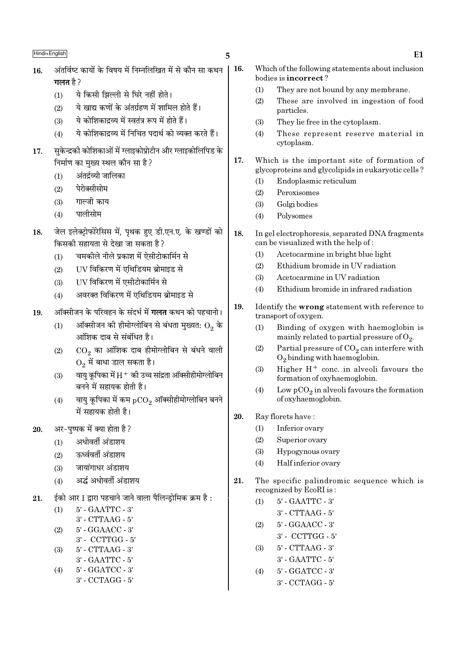- अंतर्विष्ट कार्यों के विषय में निम्नलिखित में से कौन सा कथन 16. गलत है  $2$ 
	- ये किसी झिल्ली से घिरे नहीं होते।  $(1)$
	- ये खाद्य कणों के अंतर्ग्रहण में शामिल होते हैं।  $(2)$
	- ये कोशिकाद्रव्य में स्वतंत्र रूप में होते हैं।  $(3)$
	- ये कोशिकाद्रव्य में निचित पदार्थ को व्यक्त करते हैं।  $(4)$
- सकेन्द्रकी कोशिकाओं में ग्लाइकोप्रोटीन और ग्लाइकोलिपिड के 17. निर्माण का मुख्य स्थल कौन सा है?
	- अंतर्द्रव्यी जालिका  $(1)$
	- पेरोक्सीसोम  $(2)$
	- गाल्जी काय  $(3)$
	- पालीसोम  $(4)$
- जेल इलेक्टोफोरेसिस में. पथक हुए डी.एन.ए. के खण्डों को 18. किसकी सहायता से देखा जा सकता है ?
	- चमकीले नीले प्रकाश में ऐसीटोकार्मिन से  $(1)$
	- UV विकिरण में एथिडियम ब्रोमाइड से  $(2)$
	- IIV विकिरण में एसीटोकार्मिन से  $(3)$
	- अवरक्त विकिरण में एथिडियम ब्रोमाइड से  $(4)$
- ऑक्सीजन के परिवहन के संदर्भ में **गलत** कथन को पहचानो। 19.
	- ऑक्सीजन की हीमोग्लोबिन से बंधता मुख्यत:  $\mathrm{O}_2$  के  $(1)$ आंशिक दाब से संबंधित है।
	- CO. का आंशिक दाब हीमोग्लोबिन से बंधने वाली  $(2)$  $O<sub>2</sub>$  में बाधा डाल सकता है।
	- वाय कपिका में  $\rm H^+$  की उच्च सांद्रता ऑक्सीहीमोग्लोबिन  $(3)$ बनने में सहायक होती है।
	- वायु कृपिका में कम  $pCO$ , ऑक्सीहीमोग्लोबिन बनने  $(4)$ में सहायक होती है।
- अर-पष्पक में क्या होता है ?  $20^{\circ}$ 
	- अधोवर्ती अंडाशय  $(1)$
	- ऊर्ध्ववर्ती अंडाशय  $(2)$
	- जायांगाधर अंडाशय  $(3)$
	- अर्द्ध अधोवर्ती अंडाशय  $(4)$
- ईको आर I द्वारा पहचाने जाने वाला पैलिन्ड़ोमिक क्रम है : 21.

| (1) | $5'$ - GAATTC - 3   |
|-----|---------------------|
|     | $3'$ - CTTAAG - $5$ |

- $(2)$ 5' - GGAACC - 3'
	- 3' CCTTGG 5'
- $(3)$ 5' - CTTAAG - 3'
	- 3' GAATTC 5'
- 5' GGATCC 3'  $(4)$ 3' - CCTAGG - 5'

5

- 16. Which of the following statements about inclusion bodies is incorrect?
	- $(1)$ They are not bound by any membrane.
	- $(2)$ These are involved in ingestion of food particles.
	- They lie free in the cytoplasm.  $(3)$
	- $(4)$ These represent reserve material in cytoplasm.
- $17.$ Which is the important site of formation of glycoproteins and glycolipids in eukaryotic cells?
	- Endoplasmic reticulum  $(1)$
	- $(2)$ Peroxisomes
	- $(3)$ Golgi bodies
	- $(4)$ Polysomes
- 18. In gel electrophoresis, separated DNA fragments can be visualized with the help of:
	- Acetocarmine in bright blue light  $(1)$
	- $(2)$ Ethidium bromide in UV radiation
	- $(3)$ Acetocarmine in UV radiation
	- Ethidium bromide in infrared radiation  $(4)$
- 19. Identify the wrong statement with reference to transport of oxygen.
	- Binding of oxygen with haemoglobin is  $(1)$ mainly related to partial pressure of  $O_2$ .
	- $(2)$ Partial pressure of  $CO<sub>2</sub>$  can interfere with  $O<sub>2</sub>$  binding with haemoglobin.
	- Higher  $H^+$  conc. in alveoli favours the  $(3)$ formation of oxyhaemoglobin.
	- Low  $pCO<sub>2</sub>$  in alveoli favours the formation  $(4)$ of oxyhaemoglobin.
- 20. Ray florets have:
	- $(1)$ Inferior ovary
	- $(2)$ Superior ovary
	- $(3)$ Hypogynous ovary
	- $(4)$ Half inferior ovary
- 21. The specific palindromic sequence which is recognized by EcoRI is:
	- 5' GAATTC 3'  $(1)$ 
		- 3' CTTAAG 5'
	- 5' GGAACC 3'  $(2)$ 
		- 3' CCTTGG 5'
	- 5' CTTAAG 3'  $(3)$ 3' - GAATTC - 5'
	- 5' GGATCC 3'  $(4)$  $3'$  - CCTAGG -  $5'$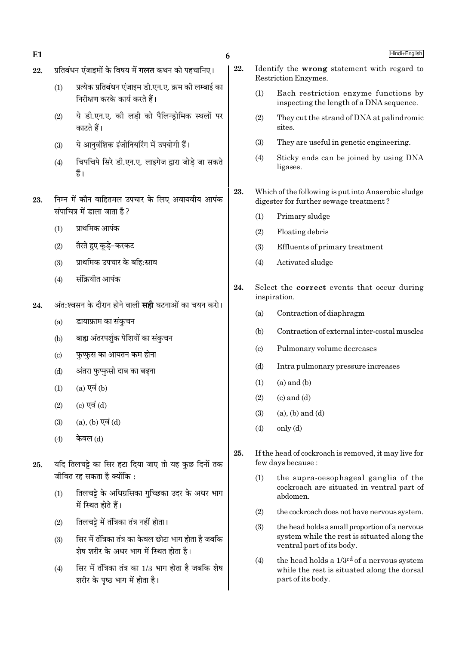$E1$ 

6

- प्रतिबंधन एंजाइमों के विषय में **गलत** कथन को पहचानिए। 22.
	- प्रत्येक प्रतिबंधन एंजाइम डी.एन.ए. क्रम की लम्बाई का  $(1)$ निरीक्षण करके कार्य करते हैं।
	- ये डी.एन.ए. की लडी को पैलिन्डोमिक स्थलों पर  $(2)$ काटते हैं।
	- ये आनवंशिक इंजीनियरिंग में उपयोगी हैं।  $(3)$
	- चिपचिपे सिरे डी.एन.ए. लाइगेज द्वारा जोडे जा सकते  $(4)$ हैं।
- निम्न में कौन वाहितमल उपचार के लिए अवायवीय आपंक 23. संपाचित्र में डाला जाता है?
	- प्राथमिक आपंक  $(1)$
	- तैरते हुए कूड़े-करकट  $(2)$
	- प्राथमिक उपचार के बहि:स्राव  $(3)$
	- संक्रियीत आपंक  $(4)$
- अंत:श्वसन के दौरान होने वाली **सही** घटनाओं का चयन करो। 24.
	- डायाफ्राम का संकचन  $(a)$
	- बाह्य अंतरपर्शक पेशियों का संकुचन  $(b)$
	- फुप्फुस का आयतन कम होना  $(c)$
	- अंतरा फुप्फुसी दाब का बढ़ना  $(d)$
	- $(a)$  एवं  $(b)$  $(1)$
	- (c) एवं (d)  $(2)$
	- $(a)$ ,  $(b)$  एवं  $(d)$  $(3)$
	- केवल (d)  $(4)$
- यदि तिलचट्टे का सिर हटा दिया जाए तो यह कुछ दिनों तक 25. जीवित रह सकता है क्योंकि $\cdot$ 
	- तिलचट्टे के अधिग्रसिका गुच्छिका उदर के अधर भाग  $(1)$ में स्थित होते हैं।
	- तिलचट्टे में तंत्रिका तंत्र नहीं होता।  $(2)$
	- सिर में तंत्रिका तंत्र का केवल छोटा भाग होता है जबकि  $(3)$ शेष शरीर के अधर भाग में स्थित होता है।
	- सिर में तंत्रिका तंत्र का 1/3 भाग होता है जबकि शेष  $(4)$ शरीर के पृष्ठ भाग में होता है।
- 22. Identify the wrong statement with regard to Restriction Enzymes.
	- $(1)$ Each restriction enzyme functions by inspecting the length of a DNA sequence.
	- $(2)$ They cut the strand of DNA at palindromic sites.
	- $(3)$ They are useful in genetic engineering.
	- Sticky ends can be joined by using DNA  $(4)$ ligases.
- 23. Which of the following is put into Anaerobic sludge digester for further sewage treatment?
	- Primary sludge  $(1)$
	- $(2)$ Floating debris
	- $(3)$ Effluents of primary treatment
	- Activated sludge  $(4)$
- 24. Select the **correct** events that occur during inspiration.
	- $(a)$ Contraction of diaphragm
	- $(b)$ Contraction of external inter-costal muscles
	- $\left( \mathrm{c}\right)$ Pulmonary volume decreases
	- $(b)$ Intra pulmonary pressure increases
	- $(a)$  and  $(b)$  $(1)$
	- $(c)$  and  $(d)$  $(2)$
	- $(a)$ ,  $(b)$  and  $(d)$  $(3)$
	- $(4)$  $only (d)$
- 25. If the head of cockroach is removed, it may live for few days because:
	- the supra-oesophageal ganglia of the  $(1)$ cockroach are situated in ventral part of abdomen.
	- $(2)$ the cockroach does not have nervous system.
	- $(3)$ the head holds a small proportion of a nervous system while the rest is situated along the ventral part of its body.
	- the head holds a 1/3<sup>rd</sup> of a nervous system  $(4)$ while the rest is situated along the dorsal part of its body.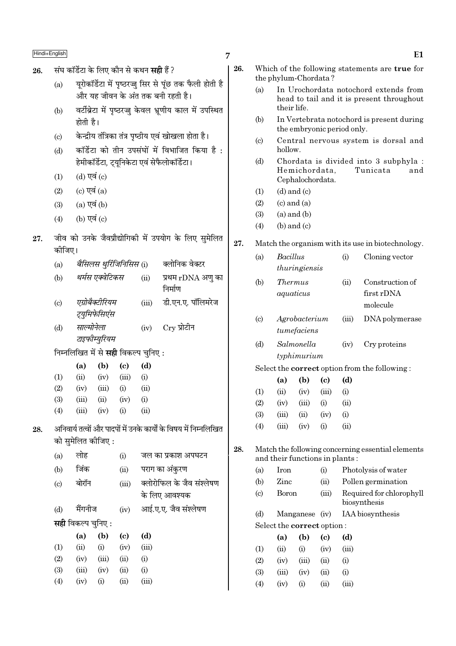- संघ कॉर्डेटा के लिए कौन से कथन **सही** हैं ? 26.
	- युरोकॉर्डेटा में पृष्ठरज्जू सिर से पुंछ तक फैली होती है  $(a)$ और यह जीवन के अंत तक बनी रहती है।
	- वर्टीब्रेटा में पृष्ठरज्जु केवल भ्रणीय काल में उपस्थित  $(b)$ होती है।
	- केन्द्रीय तंत्रिका तंत्र पृष्ठीय एवं खोखला होता है।  $\left( \mathrm{c}\right)$
	- कॉर्डेटा को तीन उपसंघों में विभाजित किया है:  $(d)$ हेमीकॉर्डेटा, ट्युनिकेटा एवं सेफैलोकॉर्डेटा।
	- (d) एवं (c)  $(1)$
	- $(c)$  एवं  $(a)$  $(2)$
	- $(a)$  एवं  $(b)$  $(3)$
	- $(4)$ (b) एवं  $(c)$

28.

### जीव को उनके जैवप्रौद्योगिकी में उपयोग के लिए सुमेलित 27. कोजिए।

| (a)                                                               |                    | बैसिलस थुरिंजिनिसिस (i)                     |                            | क्लोनिक वेक्टर |                              |  |  |  |  |
|-------------------------------------------------------------------|--------------------|---------------------------------------------|----------------------------|----------------|------------------------------|--|--|--|--|
| (b)                                                               |                    | थर्मस एक्वेटिकस                             |                            |                | प्रथम rDNA अणु का<br>निर्माण |  |  |  |  |
| $\left( \mathrm{c}\right)$                                        |                    | एग्रोबैक्टीरियम                             |                            | (iii)          | डी.एन.ए. पॉलिमरेज            |  |  |  |  |
|                                                                   |                    | ट्युमिफेसिएंस                               |                            |                |                              |  |  |  |  |
| (d)                                                               | साल्मोनेला         |                                             |                            | (iv)           | $C_{\rm TV}$ प्रोटीन         |  |  |  |  |
|                                                                   |                    | टाइफीम्युरियम                               |                            |                |                              |  |  |  |  |
|                                                                   |                    | निम्नलिखित में से <b>सही</b> विकल्प चुनिए : |                            |                |                              |  |  |  |  |
|                                                                   | (a)                | (b)                                         | $\left( \mathrm{c}\right)$ | (d)            |                              |  |  |  |  |
| (1)                                                               | (ii)               | (iv)                                        | (iii)                      | (i)            |                              |  |  |  |  |
| (2)                                                               | (iv)               | (iii)                                       | (i)                        | (ii)           |                              |  |  |  |  |
| (3)                                                               | (iii)              | (ii)                                        | (iv)                       | (i)            |                              |  |  |  |  |
| (4)                                                               | (iii)              | (iv)                                        | (i)                        | (ii)           |                              |  |  |  |  |
| अनिवार्य तत्वों और पादपों में उनके कार्यों के विषय में निम्नलिखित |                    |                                             |                            |                |                              |  |  |  |  |
|                                                                   | को सुमेलित कीजिए : |                                             |                            |                |                              |  |  |  |  |
| (a)                                                               | लोह                |                                             | (i)                        |                | जल का प्रकाश अपघटन           |  |  |  |  |
| (b)                                                               | जिंक               |                                             | (ii)                       |                | पराग का अंकुरण               |  |  |  |  |
|                                                                   |                    |                                             |                            |                |                              |  |  |  |  |

क्लोरोफिल के जैव संश्लेषण बोरॉन  $(iii)$  $(c)$ के लिए आवश्यक आई.ए.ए. जैव संश्लेषण मैंगनीज  $(d)$  $(iv)$ सही विकल्प चुनिए :  $\overline{A}$  $(A)$  $\omega$  $\overline{A}$ 

|            | (a)   | (V)      | w    | (u)      |
|------------|-------|----------|------|----------|
| (1)        | (ii)  | $\rm(i)$ | (iv) | (iii)    |
| (2)        | (iv)  | (iii)    | (ii) | $\rm(i)$ |
| <b>(3)</b> | (iii) | (iv)     | (ii) | $\rm(i)$ |
| (4)        | (iv)  | $\rm(i)$ | (ii) | (iii)    |

 $\overline{7}$ 

28.

- 26. Which of the following statements are true for the phylum-Chordata?
	- $(a)$ In Urochordata notochord extends from head to tail and it is present throughout their life.
	- $(b)$ In Vertebrata notochord is present during the embryonic period only.
	- Central nervous system is dorsal and  $(c)$ hollow.
	- Chordata is divided into 3 subphyla :  $(d)$ Hemichordata, Tunicata and Cephalochordata.
	- $(d)$  and  $(c)$  $(1)$
	- $(2)$  $(c)$  and  $(a)$
	- $(3)$  $(a)$  and  $(b)$
	- $(4)$  $(b)$  and  $(c)$
- 27. Match the organism with its use in biotechnology.

| (a)                         | <b>Bacillus</b> |               |                                | (i)   | Cloning vector                                       |
|-----------------------------|-----------------|---------------|--------------------------------|-------|------------------------------------------------------|
|                             |                 | thuringiensis |                                |       |                                                      |
| (b)                         | <i>Thermus</i>  |               |                                | (ii)  | Construction of                                      |
|                             | aquaticus       |               |                                |       | first rDNA                                           |
|                             |                 |               |                                |       | molecule                                             |
| $\left( \mathrm{c} \right)$ |                 | Agrobacterium |                                | (iii) | DNA polymerase                                       |
|                             |                 | tumefaciens   |                                |       |                                                      |
| (d)                         |                 | Salmonella    |                                | (iv)  | Cry proteins                                         |
|                             |                 | typhimurium   |                                |       |                                                      |
|                             |                 |               |                                |       | Select the <b>correct</b> option from the following: |
|                             | (a)             | (b)           | $\left( \mathrm{e}\right)$     | (d)   |                                                      |
| (1)                         | (ii)            | (iv)          | (iii)                          | (i)   |                                                      |
| (2)                         | (iv)            | (iii)         | (i)                            | (ii)  |                                                      |
| (3)                         | (iii)           | (ii)          | (iv)                           | (i)   |                                                      |
| (4)                         | (iii)           | (iv)          | (i)                            | (ii)  |                                                      |
|                             |                 |               |                                |       |                                                      |
|                             |                 |               |                                |       | Match the following concerning essential elements    |
|                             |                 |               | and their functions in plants: |       |                                                      |
| (a)                         | Iron            |               | (i)                            |       | Photolysis of water                                  |
| (b)                         | Zinc            |               | (ii)                           |       | Pollen germination                                   |
| $\left( \mathrm{c} \right)$ | Boron           |               | (iii)                          |       | Required for chlorophyll<br>biosynthesis             |
| (d)                         |                 |               | Manganese (iv)                 |       | IAA biosynthesis                                     |
|                             |                 |               | Select the correct option:     |       |                                                      |
|                             | (a)             | $(b)$ (c)     |                                | (d)   |                                                      |
|                             |                 |               |                                |       |                                                      |

|                   | la)   | In)       | w    | w,    |
|-------------------|-------|-----------|------|-------|
| $\left( 1\right)$ | (ii)  | (i)       | (iv) | (iii) |
| (2)               | (iv)  | (iii)     | (ii) | (i)   |
| (3)               | (iii) | (iv)      | (ii) | (i)   |
| (4)               | (iv)  | $\rm (i)$ | (ii) | (iii) |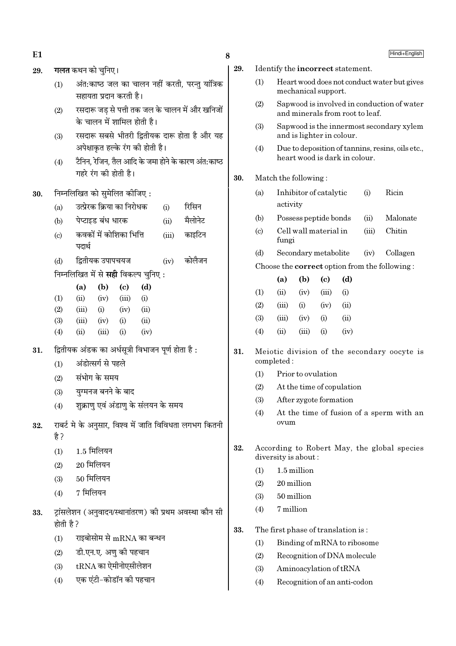- $E1$  8
- 29. **गलत** कथन को चनिए।
	- $(1)$  अंत:काष्ठ जल का चालन नहीं करती, परन्तु यांत्रिक सहायता प्रदान करती है।
	- (2) रसदारू जड़ से पत्ती तक जल के चालन में और खनिजों के चालन में शामिल होती है।
	- (3) रसदारू सबसे भीतरी द्वितीयक दारू होता है और यह अपेक्षाकत हल्के रंग की होती है।
	- $(4)$  टैनिन, रेजिन, तैल आदि के जमा होने के कारण अंत:काष्ठ  $\overline{v}$ गहरे रंग की होती है।

# $30.$  निम्नलिखित को सुमेलित कीजिए:

- (a)  $\overline{3}$ दप्रेरक क्रिया का निरोधक (i) रिसिन
- (b) पेप्टाइड बंध धारक (ii) मैलोनेट
- (c) ∑ कवकों में कोशिका भित्ति (iii) काइटिन पदार्थ
- (d) द्वितीयक उपापचयज $(iv)$  कोलैजन

िनम्नलिखित में से **सद्दी** विकल्प चनिए :

|                   | (a)   | (b)   | (c)       | (d)  |
|-------------------|-------|-------|-----------|------|
| $\rm(1)$          | (ii)  | (iv)  | (iii)     | (i)  |
| (2)               | (iii) | (i)   | (iv)      | (ii) |
| (3)               | (iii) | (iv)  | (i)       | (ii) |
| $\left( 4\right)$ | (ii)  | (iii) | $\rm (i)$ | (iv) |

- $31.$  द्वितीयक अंडक का अर्धसूत्री विभाजन पूर्ण होता है:
	- (1) अंडोत्सर्ग से पहले
	- $(2)$  संभोग के समय
	- (3) यग्मनज बनने के बाद
	- $(4)$  शक्राण एवं अंडाण के संलयन के समय
- $32.$   $\overline{u}$  राबर्ट मे के अनसार. विश्व में जाति विविधता लगभग कितनी है ?
	- $(1)$  1.5 मिलियन
	- $(2)$  20 मिलियन
	- $(3)$  50 मिलियन
	- $(4)$  7 मिलियन
- 33. ट्रांसलेशन (अनुवादन/स्थानांतरण) की प्रथम अवस्था कौन सी होती है ?
	- $(1)$  vाइबोसोम से mRNA का बन्धन
	- (2) डी.एन.ए. अण की पहचान
	- $(3)$  tRNA का ऐमीनोएसीलेशन
	- (4) एक एंटी−कोडॉन की पहचान
- 29. Identify the incorrect statement.
	- (1) Heart wood does not conduct water but gives mechanical support.
	- (2) Sapwood is involved in conduction of water and minerals from root to leaf.
	- (3) Sapwood is the innermost secondary xylem and is lighter in colour.
	- (4) Due to deposition of tannins, resins, oils etc., heart wood is dark in colour.

# 30. Match the following :

- (a) Inhibitor of catalytic (i) Ricin activity
- (b) Possess peptide bonds (ii) Malonate
- (c) Cell wall material in (iii) Chitin fungi
- (d) Secondary metabolite (iv) Collagen

Choose the correct option from the following :

|     | (a)   | (b)   | $\left( \mathrm{c}\right)$ | (d)  |
|-----|-------|-------|----------------------------|------|
| (1) | (ii)  | (iv)  | (iii)                      | (i)  |
| (2) | (iii) | (i)   | (iv)                       | (ii) |
| (3) | (iii) | (iv)  | (i)                        | (ii) |
| (4) | (ii)  | (iii) | $\rm(i)$                   | (iv) |

- 31. Meiotic division of the secondary oocyte is completed :
	- (1) Prior to ovulation
	- (2) At the time of copulation
	- (3) After zygote formation
	- (4) At the time of fusion of a sperm with an ovum
- 32. According to Robert May, the global species diversity is about :
	- (1) 1.5 million
	- (2) 20 million
	- $(3)$  50 million
	- (4) 7 million
- 33. The first phase of translation is :
	- (1) Binding of mRNA to ribosome
	- (2) Recognition of DNA molecule
	- (3) Aminoacylation of tRNA
	- (4) Recognition of an anti-codon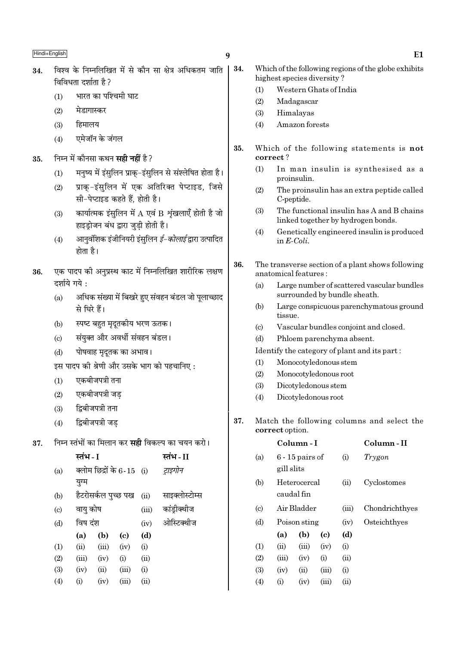- भारत का पश्चिमी घाट  $(1)$
- $(2)$ मेडागास्कर
- हिमालय  $(3)$
- एमेजॉन के जंगल  $(4)$
- निम्न में कौनसा कथन **सही नहीं** है ? 35.
	- मनृष्य में इंसुलिन प्राकृ-इंसुलिन से संश्लेषित होता है।  $(1)$
	- प्राक्-इंसुलिन में एक अतिरिक्त पेप्टाइड, जिसे  $(2)$ सी-पेप्टाइड कहते हैं. होती है।
	- कार्यात्मक इंसुलिन में  $A$  एवं  $B$  शृंखलाएँ होती है जो  $(3)$ हाइड़ोजन बंध द्वारा जुडी होती है।
	- आनुवंशिक इंजीनियरी इंसुलिन *ई–कोलाई* द्वारा उत्पादित  $(4)$ होता है।
- एक पादप की अनुप्रस्थ काट में निम्नलिखित शारीरिक लक्षण 36. दर्शाये गये :
	- अधिक संख्या में बिखरे हुए संवहन बंडल जो पलाच्छाद  $(a)$ से घिरे हैं।
	- स्पष्ट बहुत मुदुतकीय भरण ऊतक।  $(b)$
	- संयुक्त और अवर्धी संवहन बंडल।  $(c)$
	- पोषवाह मृदूतक का अभाव।  $(d)$

इस पादप की श्रेणी और उसके भाग को पहचानिए :

- एकबीजपत्री तना  $(1)$
- एकबीजपत्री जड  $(2)$
- द्विबीजपत्री तना  $(3)$
- द्विबीजपत्री जड  $(4)$
- निम्न स्तंभों का मिलान कर **सद्दी** विकल्प का चयन करो। 37.

|                             | स्तंभ - I |                     |                           |       | स्तंभ - II     |
|-----------------------------|-----------|---------------------|---------------------------|-------|----------------|
| (a)                         |           |                     | क्लोम छिद्रों के 6-15 (i) |       | ट्राइगोन       |
|                             | युग्म     |                     |                           |       |                |
| (b)                         |           | हैटरोसर्कल पुच्छ पख |                           | (ii)  | साइक्लोस्टोम्स |
| $\left( \mathrm{c} \right)$ | वायु कोष  |                     |                           | (iii) | कांड्रीक्थीज   |
| (d)                         | विष दंश   |                     |                           | (iv)  | ओस्टिक्थीज     |
|                             | (a)       | (b)                 | (c)                       | (d)   |                |
| (1)                         | (ii)      | (iii)               | (iv)                      | (i)   |                |
| (2)                         | (iii)     | (iv)                | (i)                       | (ii)  |                |
| (3)                         | (iv)      | (ii)                | (iii)                     | (i)   |                |
| (4)                         | (i)       | (iv)                | (iii)                     | (ii)  |                |
|                             |           |                     |                           |       |                |

 $\boldsymbol{q}$ 

- Which of the following regions of the globe exhibits highest species diversity?
	- Western Ghats of India  $(1)$
	- $(2)$ Madagascar
	- $(3)$ Himalayas
	- Amazon forests  $(4)$
- 35. Which of the following statements is not correct?
	- $(1)$ In man insulin is synthesised as a proinsulin.
	- $(2)$ The proinsulin has an extra peptide called C-peptide.
	- The functional insulin has A and B chains  $(3)$ linked together by hydrogen bonds.
	- Genetically engineered insulin is produced  $(4)$ in  $E\text{-}Coli$ .
- 36. The transverse section of a plant shows following anatomical features :
	- Large number of scattered vascular bundles  $(a)$ surrounded by bundle sheath.
	- Large conspicuous parenchymatous ground  $(b)$ tissue.
	- Vascular bundles conjoint and closed.  $(c)$
	- $(d)$ Phloem parenchyma absent.

Identify the category of plant and its part:

- $(1)$ Monocotyledonous stem
- $(2)$ Monocotyledonous root
- $(3)$ Dicotyledonous stem
- Dicotyledonous root  $(4)$
- 37. Match the following columns and select the correct option.

|                             |            | Column - I                 | Column - II |       |                |
|-----------------------------|------------|----------------------------|-------------|-------|----------------|
| (a)                         | gill slits | $6 - 15$ pairs of          |             | (i)   | Trygon         |
| (b)                         |            | Heterocercal<br>caudal fin |             | (ii)  | Cyclostomes    |
| $\left( \mathrm{c} \right)$ |            | Air Bladder                |             | (iii) | Chondrichthyes |
| (d)                         |            | Poison sting               |             | (iv)  | Osteichthyes   |
|                             | (a)        | (b)                        | (c)         | (d)   |                |
| (1)                         | (ii)       | (iii)                      | (iv)        | (i)   |                |
| (2)                         | (iii)      | (iv)                       | (i)         | (ii)  |                |
| (3)                         | (iv)       | $\rm (ii)$                 | (iii)       | (i)   |                |
| (4)                         | $\rm (i)$  | (iv)                       | (iii)       | (ii)  |                |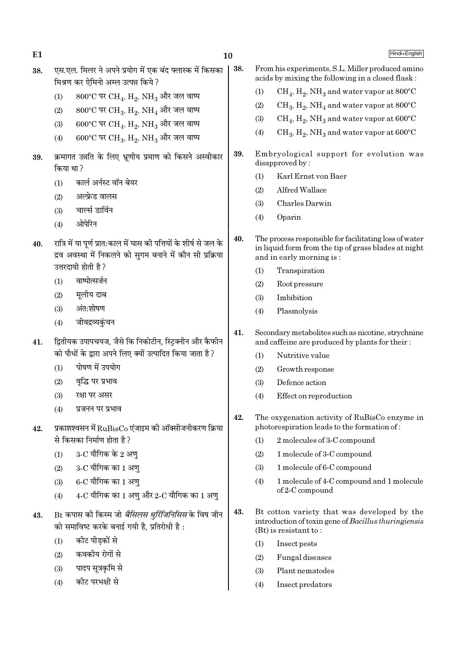| 38.            | एस.एल. मिलर ने अपने प्रयोग में एक बंद फ्लास्क में किसका<br>मिश्रण कर ऐमिनो अम्ल उत्पन्न किये ?                                   | 38. | From his experiments, S.L. Miller produced amino<br>acids by mixing the following in a closed flask:                                       |                                                                                                      |  |  |
|----------------|----------------------------------------------------------------------------------------------------------------------------------|-----|--------------------------------------------------------------------------------------------------------------------------------------------|------------------------------------------------------------------------------------------------------|--|--|
|                | 800°C पर CH <sub>4</sub> , H <sub>2</sub> , NH <sub>3</sub> और जल वाष्प<br>(1)                                                   |     | (1)                                                                                                                                        | $CH_4$ , $H_2$ , NH <sub>3</sub> and water vapor at 800°C                                            |  |  |
|                | 800°C पर CH <sub>3</sub> , H <sub>2</sub> , NH <sub>4</sub> और जल वाष्प<br>(2)                                                   |     | (2)                                                                                                                                        | $CH_3, H_2, NH_4$ and water vapor at 800°C                                                           |  |  |
|                | 600°C पर CH <sub>4</sub> , H <sub>2</sub> , NH <sub>3</sub> और जल वाष्प<br>(3)                                                   |     | (3)                                                                                                                                        | $CH_4$ , H <sub>2</sub> , NH <sub>3</sub> and water vapor at 600°C                                   |  |  |
|                | $600^{\circ}$ C पर CH <sub>3</sub> , H <sub>2</sub> , NH <sub>3</sub> और जल वाष्प<br>(4)                                         |     | (4)                                                                                                                                        | $CH_3, H_2, NH_3$ and water vapor at 600°C                                                           |  |  |
| 39.            | क्रमागत उन्नति के लिए भ्रूणीय प्रमाण को किसने अस्वीकार<br>किया था ?                                                              | 39. |                                                                                                                                            | Embryological support for evolution was<br>disapproved by:                                           |  |  |
|                | कार्ल अर्नस्ट वॉन बेयर<br>(1)                                                                                                    |     | (1)                                                                                                                                        | Karl Ernst von Baer                                                                                  |  |  |
|                | अल्फ्रेड वालस<br>(2)                                                                                                             |     | (2)                                                                                                                                        | Alfred Wallace                                                                                       |  |  |
|                | चार्ल्स डार्विन<br>(3)                                                                                                           |     | (3)                                                                                                                                        | Charles Darwin                                                                                       |  |  |
|                | ओपेरिन<br>(4)                                                                                                                    |     | (4)                                                                                                                                        | Oparin                                                                                               |  |  |
| 40.            | रात्रि में या पूर्ण प्रात:काल में घास की पत्तियों के शीर्ष से जल के<br>द्रव अवस्था में निकलने को सुगम बनाने में कौन सी प्रक्रिया |     | The process responsible for facilitating loss of water<br>in liquid form from the tip of grass blades at night<br>and in early morning is: |                                                                                                      |  |  |
|                | उत्तरदायी होती है ?                                                                                                              |     | (1)                                                                                                                                        | Transpiration                                                                                        |  |  |
|                | वाष्पोत्सर्जन<br>(1)                                                                                                             |     | (2)                                                                                                                                        | Root pressure                                                                                        |  |  |
|                | मूलीय दाब<br>(2)                                                                                                                 |     | (3)                                                                                                                                        | Imbibition                                                                                           |  |  |
|                | अंत:शोषण<br>(3)                                                                                                                  |     | (4)                                                                                                                                        | Plasmolysis                                                                                          |  |  |
|                | जीवद्रव्यकुंचन<br>(4)                                                                                                            |     |                                                                                                                                            |                                                                                                      |  |  |
| 41.            | द्वितीयक उपापचयज, जैसे कि निकोटीन, स्ट्रिक्नीन और कैफीन                                                                          | 41. |                                                                                                                                            | Secondary metabolites such as nicotine, strychnine<br>and caffeine are produced by plants for their: |  |  |
|                | को पौधों के द्वारा अपने लिए क्यों उत्पादित किया जाता है?                                                                         |     | (1)                                                                                                                                        | Nutritive value                                                                                      |  |  |
|                | पोषण में उपयोग<br>(1)                                                                                                            |     | (2)                                                                                                                                        | Growth response                                                                                      |  |  |
|                | वृद्धि पर प्रभाव<br>(2)                                                                                                          |     | (3)                                                                                                                                        | Defence action                                                                                       |  |  |
|                | रक्षा पर असर<br>(3)                                                                                                              |     | (4)                                                                                                                                        | Effect on reproduction                                                                               |  |  |
|                | (4)<br>प्रजनन पर प्रभाव<br>प्रकाशश्वसन में $\text{RuBisCo}$ एंजाइम की ऑक्सीजनीकरण क्रिया                                         | 42. |                                                                                                                                            | The oxygenation activity of RuBisCo enzyme in<br>photorespiration leads to the formation of:         |  |  |
| 42.            | से किसका निर्माण होता है?                                                                                                        |     | (1)                                                                                                                                        | 2 molecules of 3-C compound                                                                          |  |  |
|                | 3-C यौगिक के 2 अणु<br>(1)                                                                                                        |     | (2)                                                                                                                                        | 1 molecule of 3-C compound                                                                           |  |  |
|                | $3$ -C यौगिक का 1 अणु<br>(2)                                                                                                     |     | (3)                                                                                                                                        | 1 molecule of 6-C compound                                                                           |  |  |
|                | $6$ - $C$ यौगिक का 1 अणु<br>(3)                                                                                                  |     | (4)                                                                                                                                        | 1 molecule of 4-C compound and 1 molecule                                                            |  |  |
|                | $4$ -C यौगिक का 1 अणु और 2-C यौगिक का 1 अणु<br>(4)                                                                               |     |                                                                                                                                            | of 2-C compound                                                                                      |  |  |
| $\overline{A}$ | B+ कपास की किस्म जो <i>बैमिलम शर्मिजनिमिम</i> के विष जीन                                                                         | 43. |                                                                                                                                            | Bt cotton variety that was developed by the                                                          |  |  |

10

Hindi+English

introduction of toxin gene of Bacillus thuringiensis

 $(Bt)$  is resistant to:

Insect pests

Fungal diseases

Plant nematodes

Insect predators

 $(1)$ 

 $(2)$ 

 $(3)$ 

 $(4)$ 

- Bt कपास की किस्म जो *बैसिलस थुर्रिजिनिसिस* के विष जीन 43. को समाविष्ट करके बनाई गयी है, प्रतिरोधी है :
	- कीट पीड़कों से  $(1)$

 $E1$ 

- कवकीय रोगों से  $(2)$
- पादप सूत्रकृमि से  $(3)$
- कीट परभक्षी से  $(4)$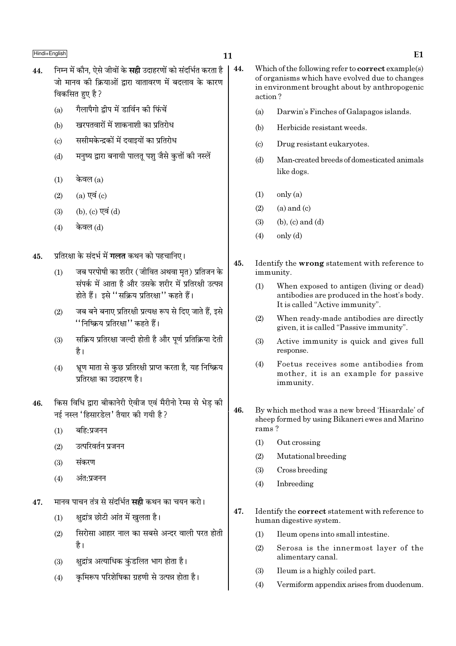- $11$
- निम्न में कौन, ऐसे जीवों के **सही** उदाहरणों को संदर्भित करता है 44. जो मानव की क्रियाओं द्वारा वातावरण में बदलाव के कारण विकसित हुए है ?
	- गैलापैगो द्वीप में डार्विन की फिंचें  $(a)$
	- खरपतवारों में शाकनाशी का प्रतिरोध  $(b)$
	- ससीमकेन्द्रकों में दवाइयों का प्रतिरोध  $(c)$
	- मनष्य द्वारा बनायी पालत पश जैसे कत्तों की नस्लें  $(d)$
	- केवल (a)  $(1)$
	- $(a)$  एवं  $(c)$  $(2)$
	- (b), (c) एवं (d)  $(3)$
	- केवल (d)  $(4)$
- प्रतिरक्षा के संदर्भ में **गलत** कथन को पहचानिए। 45.
	- जब परपोषी का शरीर (जीवित अथवा मृत) प्रतिजन के  $(1)$ संपर्क में आता है और उसके शरीर में प्रतिरक्षी उत्पन्न होते हैं। इसे ''सक्रिय प्रतिरक्षा'' कहते हैं।
	- जब बने बनाए प्रतिरक्षी प्रत्यक्ष रूप से दिए जाते हैं, इसे  $(2)$ ''निष्क्रिय प्रतिरक्षा'' कहते हैं।
	- सक्रिय प्रतिरक्षा जल्दी होती है और पर्ण प्रतिक्रिया देती  $(3)$ है।
	- भ्रूण माता से कुछ प्रतिरक्षी प्राप्त करता है, यह निष्क्रिय  $(4)$ प्रतिरक्षा का उदाहरण है।
- किस विधि द्वारा बीकानेरी ऐवीज एवं मैरीनो रेम्स से भेड़ की 46. नई नस्ल 'हिसारडेल' तैयार की गयी है ?
	- बहि:प्रजनन  $(1)$
	- उत्परिवर्तन प्रजनन  $(2)$
	- संकरण  $(3)$
	- अंत:प्रजनन  $(4)$
- मानव पाचन तंत्र से संदर्भित **सद्दी** कथन का चयन करो। 47.
	- क्षद्रांत्र छोटी आंत में खुलता है।  $(1)$
	- सिरोसा आहार नाल का सबसे अन्दर वाली परत होती  $(2)$ है।
	- क्षद्रांत्र अत्याधिक कुंडलित भाग होता है।  $(3)$
	- कमिरूप परिशेषिका ग्रहणी से उत्पन्न होता है।  $(4)$
- 44. Which of the following refer to **correct** example(s) of organisms which have evolved due to changes in environment brought about by anthropogenic action?
	- $(a)$ Darwin's Finches of Galapagos islands.
	- $(b)$ Herbicide resistant weeds.
	- Drug resistant eukaryotes.  $(c)$
	- Man-created breeds of domesticated animals  $(d)$ like dogs.
	- only (a)  $(1)$
	- $(a)$  and  $(c)$  $(2)$
	- $(3)$  $(b)$ ,  $(c)$  and  $(d)$
	- $(4)$  $only (d)$
- 45. Identify the wrong statement with reference to immunity.
	- $(1)$ When exposed to antigen (living or dead) antibodies are produced in the host's body. It is called "Active immunity".
	- $(2)$ When ready-made antibodies are directly given, it is called "Passive immunity".
	- Active immunity is quick and gives full  $(3)$ response.
	- $(4)$ Foetus receives some antibodies from mother, it is an example for passive immunity.
- 46. By which method was a new breed 'Hisardale' of sheep formed by using Bikaneri ewes and Marino rams?
	- $(1)$ Out crossing
	- $(2)$ Mutational breeding
	- $(3)$ Cross breeding
	- Inbreeding  $(4)$
- 47. Identify the **correct** statement with reference to human digestive system.
	- $(1)$ Ileum opens into small intestine.
	- Serosa is the innermost layer of the  $(2)$ alimentary canal.
	- $(3)$ Ileum is a highly coiled part.
	- $(4)$ Vermiform appendix arises from duodenum.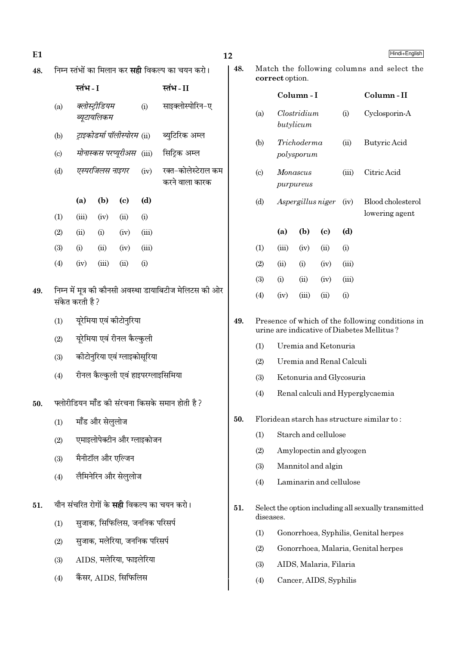48.

49.

50.

51.

 $(3)$ 

 $(4)$ 

Hindi+English

Column-II

Cyclosporin-A

**Butyric Acid** 

Citric Acid

Blood cholesterol

lowering agent

Match the following columns and select the

 $(i)$ 

 $(ii)$ 

 $(iii)$ 

 $(iv)$ 

 $(d)$ 

 $(i)$ 

 $(iii)$ 

 $(iii)$ 

 $(i)$ 

Presence of which of the following conditions in urine are indicative of Diabetes Mellitus?

correct option.

 $(a)$ 

 $(b)$ 

 $(c)$ 

 $(d)$ 

 $(1)$ 

 $(2)$ 

 $(3)$ 

 $(4)$ 

 $(1)$  $(2)$ 

 $(3)$ 

 $(4)$ 

 $(1)$ 

 $(2)$  $(3)$ 

 $(4)$ 

 $(1)$ 

diseases.

Column-I

 $Clostridium$ 

Trichoderma

polysporum

Monascus

purpureus

 $(a)$ 

 $(iii)$ 

 $(ii)$ 

 $(i)$ 

 $(iv)$ 

Aspergillus niger

 $(b)$ 

 $(iv)$ 

 $(i)$ 

 $(ii)$ 

 $(iii)$ 

 $\left( \mathrm{c}\right)$ 

 $(ii)$ 

 $(iv)$ 

 $(iv)$ 

 $(ii)$ 

Uremia and Ketonuria

Uremia and Renal Calculi

Ketonuria and Glycosuria

Renal calculi and Hyperglycaemia

Floridean starch has structure similar to:

Starch and cellulose

Mannitol and algin

Amylopectin and glycogen

Laminarin and cellulose

butylicum

|                                                                                           |                 |                                       |                                                                                       |       |                                                         | 12  |
|-------------------------------------------------------------------------------------------|-----------------|---------------------------------------|---------------------------------------------------------------------------------------|-------|---------------------------------------------------------|-----|
|                                                                                           |                 |                                       |                                                                                       |       | निम्न स्तंभों का मिलान कर <b>सही</b> विकल्प का चयन करो। | 48. |
|                                                                                           | स्तंभ - I       |                                       |                                                                                       |       | स्तंभ-II                                                |     |
| (a)                                                                                       |                 | क्लोस्ट्रीडियम<br>ब्यूटायलिकम         |                                                                                       |       | साइक्लोस्पोरिन-ए                                        |     |
| (b)                                                                                       |                 |                                       |                                                                                       |       | <i>ट्राइकोडर्मा पॉलीस्पोरम</i> (ii) ब्युटिरिक अम्ल      |     |
| (c)                                                                                       |                 |                                       |                                                                                       |       | <i>मोनास्कस परप्यूरीअस</i> (iii) सिट्रिक अम्ल           |     |
| (d)                                                                                       |                 |                                       | एस्परजिलस नाइगर                                                                       | (iv)  | रक्त-कोलेस्टेराल कम<br>करने वाला कारक                   |     |
|                                                                                           | (a)             | (b)                                   | (c)                                                                                   | (d)   |                                                         |     |
| (1)                                                                                       | (iii)           | (iv)                                  | (ii)                                                                                  | (i)   |                                                         |     |
| (2)                                                                                       | (ii)            | (i)                                   | (iv)                                                                                  | (iii) |                                                         |     |
| (3)                                                                                       | (i)             | (ii)                                  | (iv)                                                                                  | (iii) |                                                         |     |
| (4)                                                                                       | (iv)            | (iii)                                 | (ii)                                                                                  | (i)   |                                                         |     |
| (1)<br>(2)<br>(3)                                                                         | संकेत करती है ? |                                       | यूरेमिया एवं कीटोनुरिया<br>यूरेमिया एवं रीनल कैल्कुली<br>कीटोनुरिया एवं ग्लाइकोसूरिया |       | निम्न में मूत्र की कौनसी अवस्था डायाबिटीज मेलिटस की ओर  | 49. |
| (4)                                                                                       |                 |                                       |                                                                                       |       | रीनल कैल्कुली एवं हाइपरग्लाइसिमिया                      |     |
| (1)<br>(2)<br>(3)                                                                         |                 | मॉॅंड और सेलुलोज<br>मैनीटॉल और एल्जिन | एमाइलोपेक्टीन और ग्लाइकोजन                                                            |       | फ्लोरीडियन मॉॅंड की संरचना किसके समान होती है ?         | 50. |
| (4)                                                                                       |                 |                                       | लैमिनेरिन और सेलुलोज                                                                  |       |                                                         |     |
| यौन संचरित रोगों के <b>सही</b> विकल्प का चयन करो।<br>सुजाक, सिफिलिस, जननिक परिसर्प<br>(1) |                 |                                       |                                                                                       |       |                                                         |     |
| (2)                                                                                       |                 |                                       | सुजाक, मलेरिया, जननिक परिसर्प                                                         |       |                                                         |     |

AIDS. मलेरिया. फाइलेरिया

कैंसर, AIDS, सिफिलिस

 $(2)$ Gonorrhoea, Malaria, Genital herpes

Select the option including all sexually transmitted

Gonorrhoea, Syphilis, Genital herpes

- $(3)$ AIDS, Malaria, Filaria
- $(4)$ Cancer, AIDS, Syphilis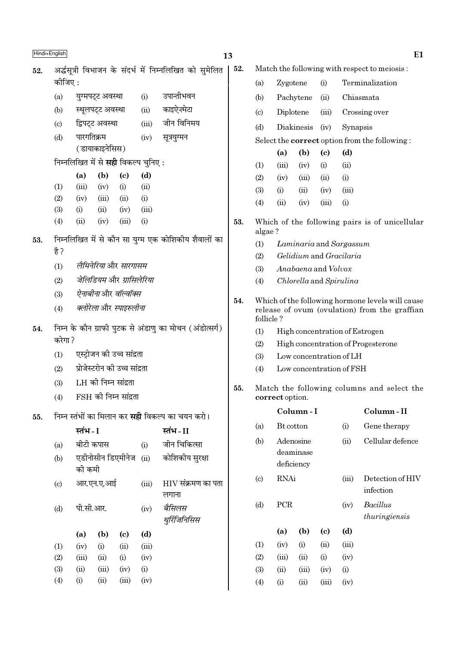|     | Hindi+English                                                   |                                    |                      |                                            |                        |                                                         | 13  |                             |                     |                          |                             |                                                      | E <sub>1</sub>                                                                                    |
|-----|-----------------------------------------------------------------|------------------------------------|----------------------|--------------------------------------------|------------------------|---------------------------------------------------------|-----|-----------------------------|---------------------|--------------------------|-----------------------------|------------------------------------------------------|---------------------------------------------------------------------------------------------------|
| 52. |                                                                 |                                    |                      |                                            |                        | अर्द्धसूत्री विभाजन के संदर्भ में निम्नलिखित को सुमेलित | 52. |                             |                     |                          |                             |                                                      | Match the following with respect to meiosis:                                                      |
|     | कीजिए :                                                         |                                    |                      |                                            |                        |                                                         |     | (a)                         | Zygotene            |                          | (i)                         |                                                      | Terminalization                                                                                   |
|     | (a)                                                             | युग्मपट्ट अवस्था                   |                      |                                            | (i)                    | उपान्तीभवन                                              |     | (b)                         |                     | Pachytene                | (ii)                        |                                                      | Chiasmata                                                                                         |
|     | (b)                                                             |                                    | स्थूलपट्ट अवस्था     |                                            | (ii)                   | काइऐज़्मेटा                                             |     | $\left( \mathrm{c} \right)$ |                     | Diplotene                | (iii)                       |                                                      | Crossing over                                                                                     |
|     | $\left( \mathrm{c} \right)$                                     |                                    | द्विपट्ट अवस्था      |                                            | (iii)                  | जीन विनिमय                                              |     | (d)                         |                     | Diakinesis               | (iv)                        | Synapsis                                             |                                                                                                   |
|     | पारगतिक्रम<br>(d)                                               |                                    |                      | (iv)                                       | सूत्रयुग्मन            |                                                         |     |                             |                     |                          |                             | Select the <b>correct</b> option from the following: |                                                                                                   |
|     |                                                                 |                                    | (डायाकाइनेसिस)       |                                            |                        |                                                         |     |                             | (a)                 | (b)                      | $\left( \mathrm{e}\right)$  | (d)                                                  |                                                                                                   |
|     |                                                                 |                                    |                      | निम्नलिखित में से <b>सही</b> विकल्प चुनिए: |                        |                                                         |     | (1)                         | (iii)               | (iv)                     | (i)                         | (ii)                                                 |                                                                                                   |
|     |                                                                 | (a)                                | (b)                  | $\left( \mathrm{c}\right)$                 | (d)                    |                                                         |     | (2)                         | (iv)                | (iii)                    | (ii)                        | (i)                                                  |                                                                                                   |
|     | (1)                                                             | (iii)                              | (iv)                 | (i)                                        | (ii)                   |                                                         |     | (3)                         | (i)                 | (ii)                     | (iv)                        | (iii)                                                |                                                                                                   |
|     | (2)                                                             | (iv)                               | (iii)                | (ii)                                       | (i)                    |                                                         |     | (4)                         | (ii)                | (iv)                     | (iii)                       | (i)                                                  |                                                                                                   |
|     | (3)                                                             | (i)<br>(ii)                        | (ii)<br>(iv)         | (iv)<br>(iii)                              | (iii)<br>(i)           |                                                         |     |                             |                     |                          |                             |                                                      |                                                                                                   |
|     | (4)                                                             |                                    |                      |                                            |                        |                                                         | 53. | algae?                      |                     |                          |                             |                                                      | Which of the following pairs is of unicellular                                                    |
| 53. |                                                                 |                                    |                      |                                            |                        | निम्नलिखित में से कौन सा युग्म एक कोशिकीय शैवालों का    |     | (1)                         |                     | Laminaria and Sargassum  |                             |                                                      |                                                                                                   |
|     | है ?                                                            |                                    |                      |                                            |                        |                                                         |     | (2)                         |                     | Gelidium and Gracilaria  |                             |                                                      |                                                                                                   |
|     | लैमिनेरिया और सारगासम<br>(1)<br>जेलिडियम और ग्रासिलेरिया<br>(2) |                                    |                      |                                            |                        | (3)                                                     |     |                             | Anabaena and Volvox |                          |                             |                                                      |                                                                                                   |
|     |                                                                 |                                    |                      |                                            |                        | (4)                                                     |     |                             |                     | Chlorella and Spirulina  |                             |                                                      |                                                                                                   |
|     | (3)                                                             | <i>ऐनाबीना</i> और <i>वॉल्वॉक्स</i> |                      |                                            |                        |                                                         |     |                             |                     |                          |                             |                                                      |                                                                                                   |
|     | (4)                                                             | क्लोरेला और स्पाइरुलीना            |                      |                                            |                        |                                                         | 54. | follicle?                   |                     |                          |                             |                                                      | Which of the following hormone levels will cause<br>release of ovum (ovulation) from the graffian |
| 54. |                                                                 |                                    |                      |                                            |                        | निम्न के कौन ग्राफी पुटक से अंडाणु का मोचन (अंडोत्सर्ग) |     | (1)                         |                     |                          |                             |                                                      | High concentration of Estrogen                                                                    |
|     | करेगा ?                                                         |                                    |                      |                                            |                        | (2)<br>High concentration of Progesterone               |     |                             |                     |                          |                             |                                                      |                                                                                                   |
|     | (1)                                                             |                                    |                      | एस्ट्रोजन की उच्च सांद्रता                 |                        |                                                         |     | (3)                         |                     | Low concentration of LH  |                             |                                                      |                                                                                                   |
|     | (2)                                                             |                                    |                      | प्रोजेस्टरोन की उच्च सांद्रता              |                        |                                                         |     | (4)                         |                     | Low concentration of FSH |                             |                                                      |                                                                                                   |
|     | (3)                                                             |                                    | LH की निम्न सांद्रता |                                            |                        |                                                         | 55. |                             |                     |                          |                             |                                                      | Match the following columns and select the                                                        |
|     | (4)                                                             |                                    |                      | $FSH$ की निम्न सांद्रता                    |                        |                                                         |     |                             | correct option.     |                          |                             |                                                      |                                                                                                   |
| 55. |                                                                 |                                    |                      |                                            |                        | निम्न स्तंभों का मिलान कर <b>सही</b> विकल्प का चयन करो। |     |                             |                     | Column-I                 |                             |                                                      | Column-II                                                                                         |
|     |                                                                 | स्तंभ - I                          |                      |                                            |                        | स्तंभ - II                                              |     | (a)                         | Bt cotton           |                          |                             | (i)                                                  | Gene therapy                                                                                      |
|     | (a)                                                             |                                    | बीटी कपास            |                                            | (i)                    | जीन चिकित्सा                                            |     | (b)                         |                     | Adenosine                |                             | (ii)                                                 | Cellular defence                                                                                  |
|     | (b)                                                             | को कमी                             |                      | एडीनोसीन डिएमीनेज                          | (ii)                   | कोशिकीय सुरक्षा                                         |     |                             |                     | deaminase<br>deficiency  |                             |                                                      |                                                                                                   |
|     | (c)                                                             |                                    | आर.एन.ए.आई           |                                            | (iii)                  | $\rm HIV$ संक्रमण का पता<br>लगाना                       |     | $\left( \mathrm{c} \right)$ | <b>RNAi</b>         |                          |                             | (iii)                                                | Detection of HIV<br>infection                                                                     |
|     | (d)                                                             | पी.सी.आर.<br>(iv)                  |                      |                                            | बैसिलस<br>थुरिंजिनिसिस |                                                         | (d) | PCR                         |                     |                          | (iv)                        | Bacillus<br>thuringiensis                            |                                                                                                   |
|     |                                                                 | (a)                                | (b)                  | $\left( \mathbf{c} \right)$                | (d)                    |                                                         |     |                             | (a)                 | (b)                      | $\left( \mathbf{c} \right)$ | (d)                                                  |                                                                                                   |
|     | (1)                                                             | (iv)                               | (i)                  | (ii)                                       | (iii)                  |                                                         |     | (1)                         | (iv)                | (i)                      | (ii)                        | (iii)                                                |                                                                                                   |
|     | (2)                                                             | (iii)                              | (ii)                 | (i)                                        | (iv)                   |                                                         |     | (2)                         | (iii)               | (ii)                     | (i)                         | (iv)                                                 |                                                                                                   |
|     | (3)                                                             | (ii)                               | (iii)                | (iv)                                       | (i)                    |                                                         |     | (3)                         | (ii)                | (iii)                    | (iv)                        | (i)                                                  |                                                                                                   |
|     | (4)                                                             | (i)                                | (ii)                 | (iii)                                      | (iv)                   |                                                         |     | (4)                         | (i)                 | (ii)                     | (iii)                       | (iv)                                                 |                                                                                                   |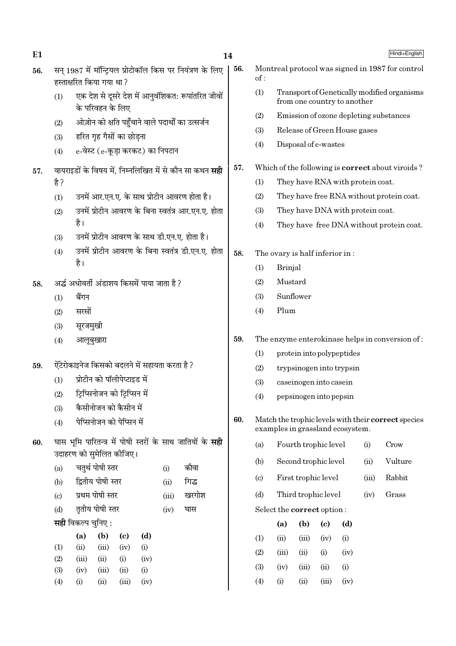$E1$ 

56.

- सन 1987 में मॉन्टियल प्रोटोकॉल किस पर नियंत्रण के लिए हस्ताक्षरित किया गया था?
- एक देश से दूसरे देश में आनुवंशिकत: रूपांतरित जीवों  $(1)$ के परिवहन के लिए
- ओज़ोन को क्षति पहुँचाने वाले पदार्थों का उत्सर्जन  $(2)$
- हरित गृह गैसों का छोडना  $(3)$
- e-वेस्ट (e-कूडा करकट) का निपटान  $(4)$

## वायराइडों के विषय में, निम्नलिखित में से कौन सा कथन **सही** 57. है ?

- उनमें आर.एन.ए. के साथ प्रोटीन आवरण होता है।  $(1)$
- उनमें प्रोटीन आवरण के बिना स्वतंत्र आर.एन.ए. होता  $(2)$ है।
- उनमें प्रोटीन आवरण के साथ डी.एन.ए. होता है।  $(3)$
- उनमें प्रोटीन आवरण के बिना स्वतंत्र डी.एन.ए. होता  $(4)$ है।

अर्द्ध अधोवर्ती अंडाशय किसमें पाया जाता है ? 58.

- $(1)$ बैंगन
- सरसों  $(2)$
- सूरजमुखी  $(3)$
- आलूबुखारा  $(4)$
- ऐंटेरोकाइनेज किसको बदलने में सहायता करता है ? 59.
	- प्रोटीन को पॉलीपेप्टाइड में  $(1)$
	- टिप्सिनोजन को टिप्सिन में  $(2)$
	- कैसीनोजन को कैसीन में  $(3)$
	- पेप्सिनोजन को पेप्सिन में  $(4)$
- घास भूमि पारितन्त्र में पोषी स्तरों के साथ जातियों के **सही** 60. उदाहरण को समेलित कीजिए।

| (a) | चतुर्थ पोषी स्तर         | (i)  | कौवा        |
|-----|--------------------------|------|-------------|
| (b) | द्वितीय पोषी स्तर        | (ii) | गिद्ध       |
| (c) | प्रथम पोषी स्तर          |      | (iii) खरगोश |
|     | (d) तृतीय पोषी स्तर      |      | $(iv)$ घास  |
|     | सही विकल्प चुनिए :       |      |             |
|     | $(a)$ $(h)$ $(c)$<br>(ሐ) |      |             |

|                  | ,                  | .                  | $\ddotsc$ | $\ddotsc$ |
|------------------|--------------------|--------------------|-----------|-----------|
| $\left(1\right)$ | $\dot{\mathbf{u}}$ | (iii)              | (iv)      | (i)       |
| 2)               | (iii)              | $\dot{\mathbf{u}}$ | $\rm (i)$ | (iv)      |
| 3)               | (iv)               | (iii)              | (ii)      | (i)       |
| (4)              | $\rm (i)$          | $\dot{\mathbf{u}}$ | (iii)     | (iv)      |

56.

- Montreal protocol was signed in 1987 for control  $of:$
- $(1)$ Transport of Genetically modified organisms from one country to another
- $(2)$ Emission of ozone depleting substances
- Release of Green House gases  $(3)$
- $(4)$ Disposal of e-wastes

### 57. Which of the following is **correct** about viroids?

- They have RNA with protein coat.  $(1)$
- $(2)$ They have free RNA without protein coat.
- $(3)$ They have DNA with protein coat.
- $(4)$ They have free DNA without protein coat.

### 58. The ovary is half inferior in:

- $(1)$ **Brinial**
- $(2)$ Mustard
- $(3)$ Sunflower
- $(4)$ Plum
- 59. The enzyme enterokinase helps in conversion of:
	- $(1)$ protein into polypeptides
	- $(2)$ trypsinogen into trypsin
	- $(3)$ caseinogen into casein
	- $(4)$ pepsinogen into pepsin
- 60. Match the trophic levels with their correct species examples in grassland ecosystem.
	- Fourth trophic level Crow  $(a)$  $(i)$
	- $(h)$ Second trophic level  $(ii)$ Vulture
	- First trophic level  $(iii)$ Rabbit  $\left( \mathrm{c}\right)$
	- $(d)$ Third trophic level  $(iv)$ Grass
	- Select the correct option:

|     | (a)      | (b)    | (c)      | (d)  |
|-----|----------|--------|----------|------|
| (1) | (ii)     | (iii)  | (iv)     | (i)  |
| (2) | (iii)    | $\sin$ | $\rm(i)$ | (iv) |
| (3) | (iv)     | (iii)  | (ii)     | (i)  |
| (4) | $\rm(i)$ | (ii)   | (iii)    | (iv) |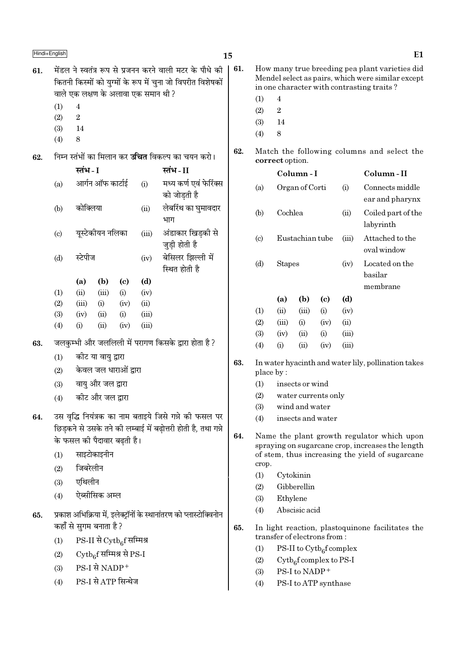|     | Hindi+English                                            |                     |                                                                |                            |                                     |                                                                                                                         | 15  |                                                     |                                                               |                                                        |                             |       | E1                                                                                                                                               |
|-----|----------------------------------------------------------|---------------------|----------------------------------------------------------------|----------------------------|-------------------------------------|-------------------------------------------------------------------------------------------------------------------------|-----|-----------------------------------------------------|---------------------------------------------------------------|--------------------------------------------------------|-----------------------------|-------|--------------------------------------------------------------------------------------------------------------------------------------------------|
| 61. |                                                          |                     |                                                                |                            | वाले एक लक्षण के अलावा एक समान थी ? | मेंडल ने स्वतंत्र रूप से प्रजनन करने वाली मटर के पौधे की<br>कितनी किस्मों को युग्मों के रूप में चुना जो विपरीत विशेषकों | 61. | (1)                                                 | $\overline{4}$                                                |                                                        |                             |       | How many true breeding pea plant varieties did<br>Mendel select as pairs, which were similar except<br>in one character with contrasting traits? |
|     | (1)                                                      | $\overline{4}$      |                                                                |                            |                                     |                                                                                                                         |     | (2)                                                 | $\boldsymbol{2}$                                              |                                                        |                             |       |                                                                                                                                                  |
|     | (2)                                                      | $\,2$               |                                                                |                            |                                     |                                                                                                                         |     | (3)                                                 | 14                                                            |                                                        |                             |       |                                                                                                                                                  |
|     | (3)                                                      | 14                  |                                                                |                            |                                     |                                                                                                                         |     | (4)                                                 | 8                                                             |                                                        |                             |       |                                                                                                                                                  |
|     | (4)                                                      | $\,8\,$             |                                                                |                            |                                     |                                                                                                                         | 62. |                                                     |                                                               |                                                        |                             |       |                                                                                                                                                  |
| 62. | निम्न स्तंभों का मिलान कर <b>उचित</b> विकल्प का चयन करो। |                     |                                                                |                            |                                     |                                                                                                                         |     |                                                     | Match the following columns and select the<br>correct option. |                                                        |                             |       |                                                                                                                                                  |
|     |                                                          | स्तंभ - I           |                                                                |                            |                                     | स्तंभ-II                                                                                                                |     |                                                     |                                                               | Column-I                                               |                             |       | Column-II                                                                                                                                        |
|     | (a)                                                      |                     | आर्गन ऑफ कार्टाई                                               |                            | (i)                                 | मध्य कर्ण एवं फेरिंक्स<br>को जोडती है                                                                                   |     | (a)                                                 |                                                               | Organ of Corti                                         |                             | (i)   | Connects middle<br>ear and pharynx                                                                                                               |
|     | (b)                                                      | कोक्लिया            |                                                                |                            | (ii)                                | लेबरिंथ का घुमावदार<br>भाग                                                                                              |     | (b)                                                 | Cochlea                                                       |                                                        |                             | (ii)  | Coiled part of the<br>labyrinth                                                                                                                  |
|     | (c)                                                      |                     | अंडाकार खिडकी से<br>युस्टेकीयन नलिका<br>(iii)<br>जुड़ी होती है |                            |                                     |                                                                                                                         |     | $\left( \mathrm{c}\right)$                          |                                                               | Eustachian tube                                        |                             | (iii) | Attached to the<br>oval window                                                                                                                   |
|     | (d)                                                      | स्टेपीज             |                                                                |                            | (iv)                                | बेसिलर झिल्ली में<br>स्थित होती है                                                                                      |     | (d)                                                 |                                                               | <b>Stapes</b><br>(iv)                                  |                             |       | Located on the<br>basilar                                                                                                                        |
|     |                                                          | (a)                 | (b)                                                            | $\left( \mathrm{e}\right)$ | (d)                                 |                                                                                                                         |     |                                                     |                                                               |                                                        |                             |       | membrane                                                                                                                                         |
|     | (1)                                                      | (ii)                | (iii)                                                          | (i)                        | (iv)                                |                                                                                                                         |     |                                                     | (a)                                                           | (b)                                                    | $\left( \mathrm{c} \right)$ | (d)   |                                                                                                                                                  |
|     | (2)                                                      | (iii)               | (i)                                                            | (iv)                       | (ii)                                |                                                                                                                         |     | (1)                                                 | (ii)                                                          | (iii)                                                  | (i)                         | (iv)  |                                                                                                                                                  |
|     | (3)<br>(4)                                               | (iv)<br>(i)         | (ii)<br>(ii)                                                   | (i)<br>(iv)                | (iii)<br>(iii)                      |                                                                                                                         |     | (2)                                                 | (iii)                                                         | (i)                                                    | (iv)                        | (ii)  |                                                                                                                                                  |
|     |                                                          |                     |                                                                |                            |                                     |                                                                                                                         |     | (3)                                                 | (iv)                                                          | (ii)                                                   | (i)                         | (iii) |                                                                                                                                                  |
| 63. |                                                          |                     |                                                                |                            |                                     | जलकुम्भी और जललिली में परागण किसके द्वारा होता है?                                                                      |     | (4)                                                 | (i)                                                           | (ii)                                                   | (iv)                        | (iii) |                                                                                                                                                  |
|     | (1)                                                      |                     | कोट या वायु द्वारा                                             |                            |                                     |                                                                                                                         | 63. | In water hyacinth and water lily, pollination takes |                                                               |                                                        |                             |       |                                                                                                                                                  |
|     | (2)                                                      |                     | केवल जल धाराओं द्वारा                                          |                            |                                     |                                                                                                                         |     | place by:                                           |                                                               |                                                        |                             |       |                                                                                                                                                  |
|     | (3)                                                      |                     | वायु और जल द्वारा                                              |                            |                                     |                                                                                                                         |     | (1)                                                 |                                                               | insects or wind                                        |                             |       |                                                                                                                                                  |
|     | (4)                                                      |                     | कीट और जल द्वारा                                               |                            |                                     |                                                                                                                         |     | (2)                                                 | water currents only                                           |                                                        |                             |       |                                                                                                                                                  |
|     |                                                          |                     |                                                                |                            |                                     |                                                                                                                         |     | (3)                                                 |                                                               | wind and water                                         |                             |       |                                                                                                                                                  |
| 64. |                                                          |                     |                                                                |                            |                                     | उस वृद्धि नियंत्रक का नाम बताइये जिसे गन्ने की फसल पर<br>छिड़कने से उसके तने की लम्बाई में बढ़ोत्तरी होती है, तथा गन्ने |     | (4)                                                 | insects and water                                             |                                                        |                             |       |                                                                                                                                                  |
|     |                                                          |                     | के फसल की पैदावार बढ़ती है।                                    |                            |                                     |                                                                                                                         | 64. |                                                     |                                                               |                                                        |                             |       | Name the plant growth regulator which upon                                                                                                       |
|     | (1)                                                      |                     | साइटोकाइनीन                                                    |                            |                                     |                                                                                                                         |     |                                                     |                                                               |                                                        |                             |       | spraying on sugarcane crop, increases the length<br>of stem, thus increasing the yield of sugarcane                                              |
|     | (2)                                                      | जिबरेलीन            |                                                                |                            |                                     |                                                                                                                         |     | crop.                                               |                                                               |                                                        |                             |       |                                                                                                                                                  |
|     |                                                          |                     |                                                                |                            |                                     |                                                                                                                         |     | (1)                                                 |                                                               | Cytokinin                                              |                             |       |                                                                                                                                                  |
|     | (3)                                                      | एथिलीन              |                                                                |                            |                                     |                                                                                                                         |     | (2)                                                 |                                                               | Gibberellin                                            |                             |       |                                                                                                                                                  |
|     | (4)                                                      |                     | ऐब्सीसिक अम्ल                                                  |                            |                                     |                                                                                                                         |     | (3)                                                 | Ethylene                                                      |                                                        |                             |       |                                                                                                                                                  |
| 65. |                                                          |                     |                                                                |                            |                                     | प्रकाश अभिक्रिया में, इलेक्ट्रॉनों के स्थानांतरण को प्लास्टोक्विनोन                                                     |     | (4)                                                 |                                                               | Abscisic acid                                          |                             |       |                                                                                                                                                  |
|     |                                                          |                     | कहाँ से सुगम बनाता है ?                                        |                            |                                     |                                                                                                                         | 65. |                                                     |                                                               |                                                        |                             |       | In light reaction, plastoquinone facilitates the                                                                                                 |
|     | (1)                                                      |                     | $PS-II \nrightarrow$ $Cytb_6f$ सम्मिश्र                        |                            |                                     |                                                                                                                         |     |                                                     |                                                               | transfer of electrons from:                            |                             |       |                                                                                                                                                  |
|     | (2)                                                      |                     | $\mathrm{Cytb}_6$ f सम्मिश्र से PS-I                           |                            |                                     |                                                                                                                         |     | (1)                                                 |                                                               | PS-II to $\mathrm{Cytb}_6$ f complex                   |                             |       |                                                                                                                                                  |
|     | (3)                                                      |                     | PS-I से NADP+                                                  |                            |                                     |                                                                                                                         |     | (2)                                                 |                                                               | $\mathrm{Cytb}_{6}$ f complex to PS-I<br>PS-I to NADP+ |                             |       |                                                                                                                                                  |
|     | (4)                                                      |                     |                                                                |                            |                                     |                                                                                                                         |     | (3)<br>(4)                                          |                                                               | PS-I to ATP synthase                                   |                             |       |                                                                                                                                                  |
|     |                                                          | PS-I से ATP सिन्थेज |                                                                |                            |                                     |                                                                                                                         |     |                                                     |                                                               |                                                        |                             |       |                                                                                                                                                  |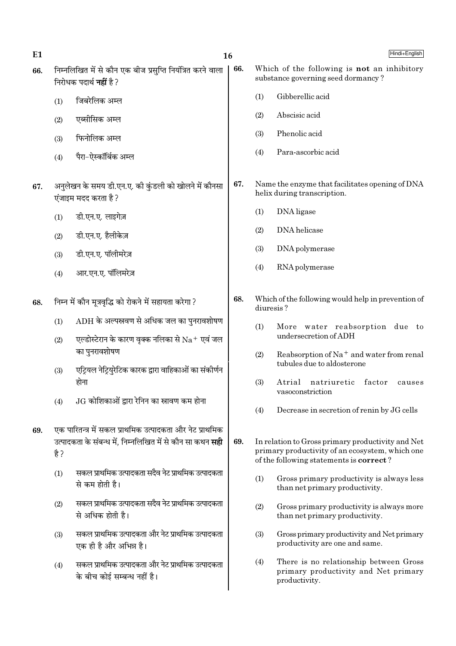| E1  |      | 16                                                                                                                                                            |     |           | Hindi+English                                                                                                                                           |
|-----|------|---------------------------------------------------------------------------------------------------------------------------------------------------------------|-----|-----------|---------------------------------------------------------------------------------------------------------------------------------------------------------|
| 66. |      | निम्नलिखित में से कौन एक बीज प्रसुप्ति नियंत्रित करने वाला<br>निरोधक पदार्थ <b>नहीं</b> है ?                                                                  | 66. |           | Which of the following is not an inhibitory<br>substance governing seed dormancy?                                                                       |
|     | (1)  | जिबरेलिक अम्ल                                                                                                                                                 |     | (1)       | Gibberellic acid                                                                                                                                        |
|     | (2)  | एब्सीसिक अम्ल                                                                                                                                                 |     | (2)       | Abscisic acid                                                                                                                                           |
|     | (3)  | फिनोलिक अम्ल                                                                                                                                                  |     | (3)       | Phenolic acid                                                                                                                                           |
|     | (4)  | पैरा–ऐस्कॉर्बिक अम्ल                                                                                                                                          |     | (4)       | Para-ascorbic acid                                                                                                                                      |
| 67. |      | अनुलेखन के समय डी.एन.ए. की कुंडली को खोलने में कौनसा<br>एंजाइम मदद करता है ?                                                                                  | 67. |           | Name the enzyme that facilitates opening of DNA<br>helix during transcription.                                                                          |
|     | (1)  | डी.एन.ए. लाइगेज़                                                                                                                                              |     | (1)       | DNA ligase                                                                                                                                              |
|     | (2)  | डी.एन.ए. हैलीकेज़                                                                                                                                             |     | (2)       | DNA helicase                                                                                                                                            |
|     | (3)  | डी.एन.ए. पॉलीमरेज़                                                                                                                                            |     | (3)       | DNA polymerase                                                                                                                                          |
|     | (4)  | आर.एन.ए. पॉलिमरेज़                                                                                                                                            |     | (4)       | RNA polymerase                                                                                                                                          |
| 68. |      | निम्न में कौन मूत्रवृद्धि को रोकने में सहायता करेगा ?                                                                                                         | 68. | diuresis? | Which of the following would help in prevention of                                                                                                      |
|     | (1)  | $ADH$ के अल्पस्रवण से अधिक जल का पुनरावशोषण                                                                                                                   |     | (1)       | More water reabsorption due to<br>undersecretion of ADH                                                                                                 |
|     | (2)  | एल्डोस्टेरान के कारण वृक्क नलिका से $\rm Na^+$ एवं जल<br>का पुनरावशोषण                                                                                        |     | (2)       | Reabsorption of $Na+$ and water from renal                                                                                                              |
|     | (3)  | एट्रियल नेट्रियुरेटिक कारक द्वारा वाहिकाओं का संकोर्णन<br>होना                                                                                                |     | (3)       | tubules due to aldosterone<br>Atrial<br>natriuretic<br>factor<br>causes                                                                                 |
|     | (4)  | $JG$ कोशिकाओं द्वारा रेनिन का स्नावण कम होना                                                                                                                  |     |           | vasoconstriction                                                                                                                                        |
|     |      |                                                                                                                                                               |     | (4)       | Decrease in secretion of renin by JG cells                                                                                                              |
| 69. | है ? | एक पारितन्त्र में सकल प्राथमिक उत्पादकता और नेट प्राथमिक<br>उत्पादकता के संबन्ध में, निम्नलिखित में से कौन सा कथन <b>सही</b>                                  | 69. |           | In relation to Gross primary productivity and Net<br>primary productivity of an ecosystem, which one<br>of the following statements is <b>correct</b> ? |
|     | (1)  | सकल प्राथमिक उत्पादकता सदैव नेट प्राथमिक उत्पादकता<br>से कम होती है।                                                                                          |     | (1)       | Gross primary productivity is always less<br>than net primary productivity.                                                                             |
|     | (2)  | सकल प्राथमिक उत्पादकता सदैव नेट प्राथमिक उत्पादकता<br>से अधिक होती है।                                                                                        |     | (2)       | Gross primary productivity is always more<br>than net primary productivity.                                                                             |
|     | (3)  | सकल प्राथमिक उत्पादकता और नेट प्राथमिक उत्पादकता<br>एक ही है और अभिन्न है।<br>सकल प्राथमिक उत्पादकता और नेट प्राथमिक उत्पादकता<br>के बीच कोई सम्बन्ध नहीं है। |     | (3)       | Gross primary productivity and Net primary<br>productivity are one and same.                                                                            |
|     | (4)  |                                                                                                                                                               |     | (4)       | There is no relationship between Gross<br>primary productivity and Net primary<br>productivity.                                                         |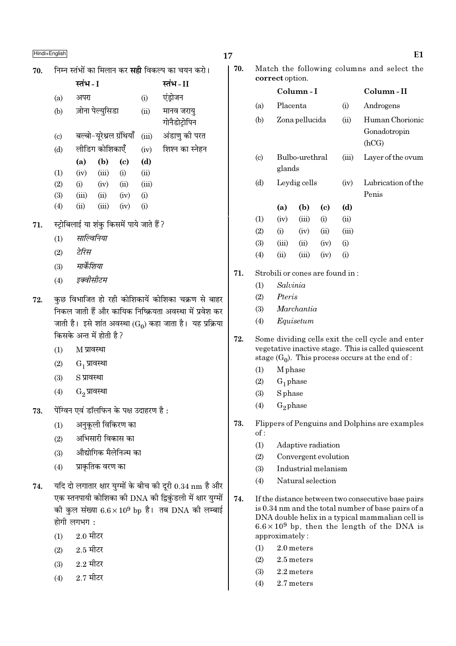# $\blacksquare$ Hindi+English  $\blacksquare$

70. Éनम्न स्तंभों का मिलान कर **सद्दी** विकल्प का चयन करो।

|                           | स्तंभ - I |                          |                            |       | स्तंभ - II                  |
|---------------------------|-----------|--------------------------|----------------------------|-------|-----------------------------|
| (a)                       | अपरा      |                          |                            | (i)   | एंड्रोजन                    |
| (b)                       |           | ज़ोना पेल्युसिडा         |                            | (ii)  | मानव जरायु<br>गोनैडोट्रोपिन |
| $\left( \text{c} \right)$ |           | बल्बो-यूरेथ्रल ग्रंथियाँ |                            | (iii) | अंडाणु की परत               |
| (d)                       |           | लीडिग कोशिकाएँ           |                            | (iv)  | शिश्न का स्नेहन             |
|                           | (a)       | (b)                      | $\left( \mathrm{c}\right)$ | (d)   |                             |
| (1)                       | (iv)      | (iii)                    | (i)                        | (ii)  |                             |
| (2)                       | (i)       | (iv)                     | (ii)                       | (iii) |                             |
| (3)                       | (iii)     | (ii)                     | (iv)                       | (i)   |                             |
| (4)                       | (ii)      | (iii)                    | (iv)                       | (i)   |                             |

- 71. स्ट्रोबिलाई या शंकु किसमें पाये जाते हैं ?
	- (1) साल्विनिया
	- (2) *≈UÁ⁄U'*
	- (3) मार्केशिया
	- (4) *इक्वीसीटम*
- 72. ∑कछ विभाजित हो रही कोशिकायें कोशिका चक्रण से बाहर निकल जाती हैं और कायिक निष्क्रियता अवस्था में प्रवेश कर जाती है। इसे शांत अवस्था ( $\mathrm{G}_0$ ) कहा जाता है। यह प्रक्रिया किसके अन्त में होती है ?
	- $(1)$  M प्रावस्था
	- $(2)$   $G_1$  प्रावस्था
	- $(3)$   $S$  प्रावस्था
	- $(4)$   $G_2$  प्रावस्था
- $73.$  पेंग्विन एवं डॉलफिन के पक्ष उदाहरण है:
	- $(1)$  अनुकुली विकिरण का
	- $(2)$  अभिसारी विकास का
	- (3) औद्योगिक मैलेनिज्म का
	- $(4)$  प्राकतिक वरण का
- $74.$  यदि दो लगातार क्षार युग्मों के बीच की दुरी  $0.34~\mathrm{nm}$  है और एक स्तनपायी कोशिका की DNA की द्विकुंडली में क्षार युग्मों की कुल संख्या  $6.6 \times 10^9$  bp है। तब DNA की लम्बाई होगी लगभग $\,$  :
	- $(1)$  2.0 मीटर
	- $(2)$  2.5 मीटर
	- $(3)$  2.2 मीटर
	- $(4)$  2.7 मीटर
- 
- 70. Match the following columns and select the correct option.

|                             |            | Column - I     |      |       | Column - II                              |
|-----------------------------|------------|----------------|------|-------|------------------------------------------|
| (a)                         | Placenta   |                |      | (i)   | Androgens                                |
| (b)                         |            | Zona pellucida |      | (ii)  | Human Chorionic<br>Gonadotropin<br>(hCG) |
| $\left( \mathrm{c} \right)$ | glands     | Bulbo-urethral |      | (iii) | Layer of the ovum                        |
| (d)                         |            | Leydig cells   |      | (iv)  | Lubrication of the<br>Penis              |
|                             | (a)        | (b)            | (c)  | (d)   |                                          |
| (1)                         | (iv)       | (iii)          | (i)  | (ii)  |                                          |
| (2)                         | (i)        | (iv)           | (ii) | (iii) |                                          |
| (3)                         | (iii)      | (ii)           | (iv) | (i)   |                                          |
| (4)                         | $\rm (ii)$ | (iii)          | (iv) | (i)   |                                          |
|                             |            |                |      |       |                                          |

- 71. Strobili or cones are found in :
	- (1) Salvinia
	- (2) Pteris
	- (3) Marchantia
	- (4) Equisetum
- 72. Some dividing cells exit the cell cycle and enter vegetative inactive stage. This is called quiescent stage  $(G_0)$ . This process occurs at the end of :
	- (1) M phase
	- $(2)$  G<sub>1</sub> phase
	- (3) S phase
	- $(4)$  G<sub>2</sub> phase
- 73. Flippers of Penguins and Dolphins are examples of :
	- (1) Adaptive radiation
	- (2) Convergent evolution
	- (3) Industrial melanism
	- (4) Natural selection
- 74. If the distance between two consecutive base pairs is 0.34 nm and the total number of base pairs of a DNA double helix in a typical mammalian cell is  $6.6 \times 10^9$  bp, then the length of the DNA is approximately :
	- (1) 2.0 meters
	- (2) 2.5 meters
	- (3) 2.2 meters
	- (4) 2.7 meters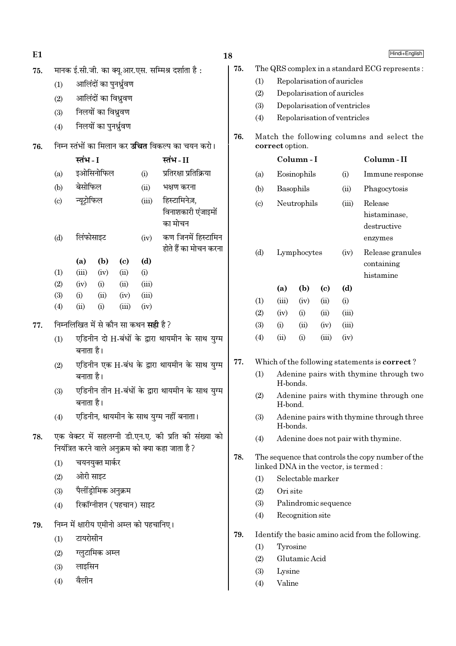| E <sub>1</sub> |                                                                                        |                                                                   |                         |       |                                             |                                                                                                           | 18                 |                                                               |                                                   |                      |                            |                                        | Hindi+English                                                                              |
|----------------|----------------------------------------------------------------------------------------|-------------------------------------------------------------------|-------------------------|-------|---------------------------------------------|-----------------------------------------------------------------------------------------------------------|--------------------|---------------------------------------------------------------|---------------------------------------------------|----------------------|----------------------------|----------------------------------------|--------------------------------------------------------------------------------------------|
| 75.            |                                                                                        |                                                                   |                         |       |                                             | मानक ई.सी.जी. का क्यू.आर.एस. सम्मिश्र दर्शाता है:                                                         | 75.                |                                                               |                                                   |                      |                            |                                        | The QRS complex in a standard ECG represents:                                              |
|                | (1)                                                                                    |                                                                   | आलिंदों का पुनर्ध्रुवण  |       |                                             |                                                                                                           |                    | (1)                                                           |                                                   |                      |                            | Repolarisation of auricles             |                                                                                            |
|                | (2)                                                                                    |                                                                   | आलिंदों का विध्रुवण     |       |                                             |                                                                                                           |                    | (2)                                                           |                                                   |                      |                            | Depolarisation of auricles             |                                                                                            |
|                | (3)                                                                                    |                                                                   | निलयों का विध्रुवण      |       |                                             |                                                                                                           |                    | (3)                                                           |                                                   |                      |                            | Depolarisation of ventricles           |                                                                                            |
|                | (4)                                                                                    |                                                                   | निलयों का पुनर्ध्रुवण   |       |                                             |                                                                                                           |                    | (4)                                                           |                                                   |                      |                            | Repolarisation of ventricles           |                                                                                            |
| 76.            |                                                                                        |                                                                   |                         |       |                                             | निम्न स्तंभों का मिलान कर <b>उचित</b> विकल्प का चयन करो।                                                  | 76.                | Match the following columns and select the<br>correct option. |                                                   |                      |                            |                                        |                                                                                            |
|                |                                                                                        | स्तंभ - I                                                         |                         |       |                                             | स्तंभ-II                                                                                                  |                    |                                                               |                                                   | Column-I             |                            |                                        | Column-II                                                                                  |
|                | (a)                                                                                    | इओसिनोफिल<br>प्रतिरक्षा प्रतिक्रिया<br>(i)                        |                         |       |                                             |                                                                                                           |                    | (a)                                                           |                                                   | Eosinophils          |                            | (i)                                    | Immune response                                                                            |
|                | (b)                                                                                    | बेसोफिल                                                           |                         |       | (ii)                                        | भक्षण करना                                                                                                |                    | (b)                                                           | Basophils                                         |                      |                            | (ii)                                   | Phagocytosis                                                                               |
|                | न्यूट्रोफिल<br>हिस्टामिनेज़,<br>(iii)<br>(c)<br>का मोचन                                |                                                                   |                         |       | विनाशकारी एंजाइमों                          |                                                                                                           | Neutrophils<br>(c) |                                                               |                                                   |                      | (iii)                      | Release<br>histaminase,<br>destructive |                                                                                            |
|                | (d)                                                                                    | लिंफोसाइट<br>कण जिनमें हिस्टामिन<br>(iv)<br>होते हैं का मोचन करना |                         |       |                                             |                                                                                                           |                    | (d)                                                           |                                                   | Lymphocytes          |                            | (iv)                                   | enzymes<br>Release granules                                                                |
|                | (b)<br>(d)<br>(a)<br>$\left( \mathrm{c}\right)$<br>(1)<br>(iii)<br>(ii)<br>(i)<br>(iv) |                                                                   |                         |       |                                             |                                                                                                           |                    |                                                               |                                                   |                      |                            |                                        | containing<br>histamine                                                                    |
|                | (2)                                                                                    | (iv)                                                              | (i)                     | (ii)  | (iii)                                       |                                                                                                           |                    |                                                               | (a)                                               | (b)                  | $\left( \mathrm{c}\right)$ | (d)                                    |                                                                                            |
|                | (3)                                                                                    | (i)                                                               | (ii)                    | (iv)  | (iii)                                       |                                                                                                           |                    | (1)                                                           | (iii)                                             | (iv)                 | (ii)                       | (i)                                    |                                                                                            |
|                | (4)                                                                                    | (ii)                                                              | (i)                     | (iii) | (iv)                                        |                                                                                                           |                    | (2)                                                           | (iv)                                              | (i)                  | (ii)                       | (iii)                                  |                                                                                            |
| 77.            |                                                                                        |                                                                   |                         |       | निम्नलिखित में से कौन सा कथन <b>सही</b> है? |                                                                                                           |                    | (3)                                                           | (i)                                               | (ii)                 | (iv)                       | (iii)                                  |                                                                                            |
|                | (1)                                                                                    | बनाता है।                                                         |                         |       |                                             | एडिनीन दो H-बंधों के द्वारा थायमीन के साथ युग्म                                                           |                    | (4)                                                           | (ii)                                              | (i)                  | (iii)                      | (iv)                                   |                                                                                            |
|                | (2)                                                                                    |                                                                   |                         |       |                                             | एडिनीन एक H-बंध के द्वारा थायमीन के साथ युग्म                                                             | 77.                | Which of the following statements is correct?                 |                                                   |                      |                            |                                        |                                                                                            |
|                |                                                                                        | बनाता है।                                                         |                         |       |                                             |                                                                                                           |                    | Adenine pairs with thymine through two<br>(1)<br>H-bonds.     |                                                   |                      |                            |                                        |                                                                                            |
|                | (3)                                                                                    | बनाता है।                                                         |                         |       |                                             | एडिनीन तीन H-बंधों के द्वारा थायमीन के साथ युग्म                                                          |                    | (2)                                                           | Adenine pairs with thymine through one<br>H-bond. |                      |                            |                                        |                                                                                            |
|                | (4)                                                                                    |                                                                   |                         |       |                                             | एडिनीन, थायमीन के साथ युग्म नहीं बनाता।                                                                   |                    | (3)                                                           | H-bonds.                                          |                      |                            |                                        | Adenine pairs with thymine through three                                                   |
| 78.            |                                                                                        |                                                                   |                         |       |                                             | एक वेक्टर में सहलग्नी डी.एन.ए. की प्रति की संख्या को<br>नियंत्रित करने वाले अनुक्रम को क्या कहा जाता है ? |                    | (4)                                                           |                                                   |                      |                            |                                        | Adenine does not pair with thymine.                                                        |
|                | (1)                                                                                    |                                                                   | चयनयुक्त मार्कर         |       |                                             |                                                                                                           | 78.                |                                                               |                                                   |                      |                            |                                        | The sequence that controls the copy number of the<br>linked DNA in the vector, is termed : |
|                | (2)                                                                                    | ओरी साइट                                                          |                         |       |                                             |                                                                                                           |                    | (1)                                                           |                                                   | Selectable marker    |                            |                                        |                                                                                            |
|                | (3)                                                                                    |                                                                   | पैलींड़ोमिक अनुक्रम     |       |                                             |                                                                                                           |                    | (2)                                                           | Ori site                                          |                      |                            |                                        |                                                                                            |
|                | (4)                                                                                    |                                                                   | रिकॉग्नीशन (पहचान) साइट |       |                                             |                                                                                                           |                    | (3)                                                           |                                                   | Palindromic sequence |                            |                                        |                                                                                            |
| 79.            |                                                                                        |                                                                   |                         |       | निम्न में क्षारीय एमीनो अम्ल को पहचानिए।    |                                                                                                           |                    | (4)                                                           |                                                   | Recognition site     |                            |                                        |                                                                                            |
|                | (1)                                                                                    | टायरोसीन                                                          |                         |       |                                             |                                                                                                           | 79.                |                                                               |                                                   |                      |                            |                                        | Identify the basic amino acid from the following.                                          |
|                | (2)                                                                                    |                                                                   | ग्लुटामिक अम्ल          |       |                                             |                                                                                                           |                    | (1)                                                           | Tyrosine                                          |                      |                            |                                        |                                                                                            |
|                | (3)                                                                                    | लाइसिन                                                            |                         |       |                                             |                                                                                                           |                    | (2)                                                           |                                                   | Glutamic Acid        |                            |                                        |                                                                                            |
|                | (4)                                                                                    | वैलीन                                                             |                         |       |                                             |                                                                                                           |                    | (3)                                                           | Lysine                                            |                      |                            |                                        |                                                                                            |
|                |                                                                                        |                                                                   |                         |       |                                             |                                                                                                           |                    | (4)                                                           | Valine                                            |                      |                            |                                        |                                                                                            |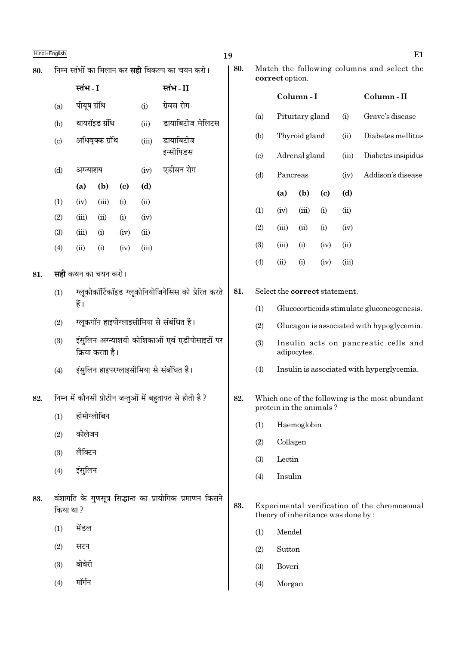80.

81.

82.

83.

|                            | निम्न स्तंभों का मिलान कर <b>सही</b> विकल्प का चयन करो। |                 |                             |       |                                                          |     |                            | 80.<br>Match the following columns and select the<br>correct option. |                                    |                            |                   |                                                 |  |  |
|----------------------------|---------------------------------------------------------|-----------------|-----------------------------|-------|----------------------------------------------------------|-----|----------------------------|----------------------------------------------------------------------|------------------------------------|----------------------------|-------------------|-------------------------------------------------|--|--|
|                            | स्तंभ - I                                               |                 |                             |       | स्तंभ - II                                               |     |                            |                                                                      |                                    |                            |                   |                                                 |  |  |
| (a)                        | पीयूष ग्रंथि                                            |                 |                             | (i)   | ग्रेवस रोग                                               |     |                            | Column-I                                                             |                                    |                            |                   | Column-II                                       |  |  |
| (b)                        |                                                         | थायरॉइड ग्रंथि  |                             | (ii)  | डायाबिटीज मेलिटस                                         |     | (a)                        |                                                                      | Pituitary gland                    |                            | (i)               | Grave's disease                                 |  |  |
| $\left( \mathrm{c}\right)$ |                                                         | अधिवृक्क ग्रंथि |                             | (iii) | डायाबिटीज                                                |     | (b)                        | Thyroid gland<br>(ii)                                                |                                    |                            | Diabetes mellitus |                                                 |  |  |
|                            |                                                         |                 |                             |       | इन्सीपिडस                                                |     | $\left( \mathrm{c}\right)$ | Adrenal gland                                                        |                                    |                            | (iii)             | Diabetes insipidus                              |  |  |
| (d)                        | अग्न्याशय                                               |                 |                             | (iv)  | एडीसन रोग                                                |     | (d)                        | Pancreas                                                             |                                    |                            | (iv)              | Addison's disease                               |  |  |
|                            | (a)                                                     | (b)             | $\left( \mathbf{c} \right)$ | (d)   |                                                          |     |                            | (a)                                                                  | (b)                                | $\left( \mathrm{c}\right)$ | (d)               |                                                 |  |  |
| (1)                        | (iv)                                                    | (iii)           | (i)                         | (ii)  |                                                          |     | (1)                        | (iv)                                                                 | (iii)                              | (i)                        | (ii)              |                                                 |  |  |
| (2)                        | (iii)                                                   | (ii)            | (i)                         | (iv)  |                                                          |     | (2)                        | (iii)                                                                | (ii)                               | (i)                        | (iv)              |                                                 |  |  |
| (3)                        | (iii)                                                   | (i)             | (iv)                        | (ii)  |                                                          |     | (3)                        | (iii)                                                                | (i)                                | (iv)                       | (ii)              |                                                 |  |  |
| (4)                        | (ii)                                                    | (i)             | (iv)                        | (iii) |                                                          |     |                            |                                                                      |                                    |                            |                   |                                                 |  |  |
|                            | <b>सही</b> कथन का चयन करो।                              |                 |                             |       |                                                          |     | (4)                        | (ii)                                                                 | (i)                                | (iv)                       | (iii)             |                                                 |  |  |
| (1)                        |                                                         |                 |                             |       | ग्लूकोकॉर्टिकॉइड ग्लूकोनियोजिनेसिस को प्रेरित करते       | 81. |                            |                                                                      | Select the correct statement.      |                            |                   |                                                 |  |  |
|                            | हैं।                                                    |                 |                             |       |                                                          |     | (1)                        | Glucocorticoids stimulate gluconeogenesis.                           |                                    |                            |                   |                                                 |  |  |
| (2)                        |                                                         |                 |                             |       | ग्लूकगॉन हाइपोग्लाइसीमिया से संबंधित है।                 |     | (2)                        | Glucagon is associated with hypoglycemia.                            |                                    |                            |                   |                                                 |  |  |
| (3)                        |                                                         |                 |                             |       | इंसुलिन अग्न्याशयी कोशिकाओं एवं एडीपोसाइटों पर           |     | (3)                        | Insulin acts on pancreatic cells and                                 |                                    |                            |                   |                                                 |  |  |
|                            |                                                         | क्रिया करता है। |                             |       |                                                          |     |                            | adipocytes.                                                          |                                    |                            |                   |                                                 |  |  |
| (4)                        |                                                         |                 |                             |       | इंसुलिन हाइपरग्लाइसीमिया से संबंधित है।                  |     | (4)                        | Insulin is associated with hyperglycemia.                            |                                    |                            |                   |                                                 |  |  |
|                            |                                                         |                 |                             |       | निम्न में कौनसी प्रोटीन जन्तुओं में बहुतायत से होती है ? | 82. |                            |                                                                      |                                    |                            |                   | Which one of the following is the most abundant |  |  |
| (1)                        | हीमोग्लोबिन                                             |                 |                             |       |                                                          |     |                            |                                                                      | protein in the animals?            |                            |                   |                                                 |  |  |
| (2)                        | कोलेजन                                                  |                 |                             |       |                                                          |     | (1)                        |                                                                      | Haemoglobin                        |                            |                   |                                                 |  |  |
| (3)                        | लैक्टिन                                                 |                 |                             |       |                                                          |     | (2)                        | Collagen                                                             |                                    |                            |                   |                                                 |  |  |
| (4)                        | इंसुलिन                                                 |                 |                             |       |                                                          |     | (3)                        | Lectin                                                               |                                    |                            |                   |                                                 |  |  |
|                            |                                                         |                 |                             |       |                                                          |     | (4)                        | Insulin                                                              |                                    |                            |                   |                                                 |  |  |
| किया था ?                  |                                                         |                 |                             |       | वंशागति के गुणसूत्र सिद्धान्त का प्रायोगिक प्रमाणन किसने | 83. |                            |                                                                      | theory of inheritance was done by: |                            |                   | Experimental verification of the chromosomal    |  |  |
| (1)                        | मेंडल                                                   |                 |                             |       |                                                          |     | (1)                        | Mendel                                                               |                                    |                            |                   |                                                 |  |  |
| (2)                        | सटन                                                     |                 |                             |       |                                                          |     | (2)                        | Sutton                                                               |                                    |                            |                   |                                                 |  |  |
| (3)                        | बोवेरी                                                  |                 |                             |       |                                                          |     | (3)                        | Boveri                                                               |                                    |                            |                   |                                                 |  |  |

Morgan

 $(4)$ 

 $(4)$ मॉर्गन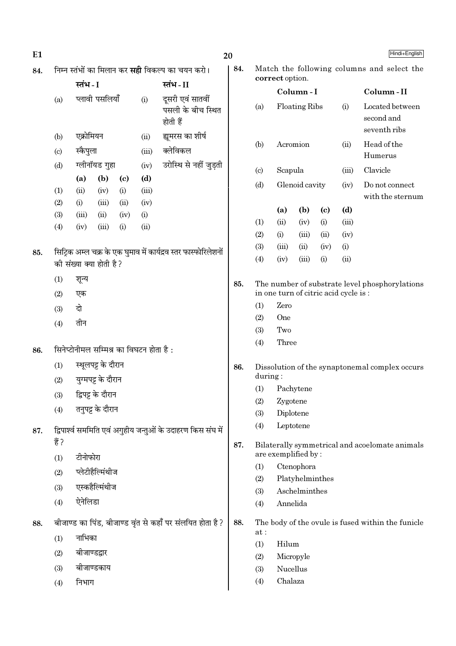| E1  |                           |                         |                    |                             |                                         |                                                                 | Hindi+English<br>20  |                                                               |                                                                                        |                 |                            |                               |                                                   |  |  |
|-----|---------------------------|-------------------------|--------------------|-----------------------------|-----------------------------------------|-----------------------------------------------------------------|----------------------|---------------------------------------------------------------|----------------------------------------------------------------------------------------|-----------------|----------------------------|-------------------------------|---------------------------------------------------|--|--|
| 84. |                           |                         |                    |                             |                                         | निम्न स्तंभों का मिलान कर <b>सही</b> विकल्प का चयन करो।         | 84.                  | Match the following columns and select the<br>correct option. |                                                                                        |                 |                            |                               |                                                   |  |  |
|     |                           | स्तंभ - I               |                    |                             |                                         | स्तंभ-II                                                        |                      | Column-I                                                      |                                                                                        |                 |                            |                               | Column-II                                         |  |  |
|     | (a)                       | प्लावी पसलियाँ<br>(i)   |                    |                             |                                         | दूसरी एवं सातवीं<br>पसली के बीच स्थित<br>होती हैं               | Floating Ribs<br>(a) |                                                               |                                                                                        |                 | (i)                        | Located between<br>second and |                                                   |  |  |
|     | (b)                       | एक्रोमियन               |                    |                             | (ii)                                    | ह्यमरस का शीर्ष                                                 |                      |                                                               |                                                                                        |                 |                            | (ii)                          | seventh ribs                                      |  |  |
|     | $\left( \text{c} \right)$ | स्कैपुला                |                    |                             | (iii)                                   | क्लेविकल                                                        |                      | Acromion<br>(b)                                               |                                                                                        |                 |                            |                               | Head of the<br>Humerus                            |  |  |
|     | (d)                       | ग्लीनॉयड गुहा           |                    | (iv)                        | उरोस्थि से नहीं जुड़ती                  |                                                                 |                      | Scapula                                                       |                                                                                        |                 | (iii)                      | Clavicle                      |                                                   |  |  |
|     |                           | (a)                     | (b)                | $\left( \mathbf{c} \right)$ | (d)                                     |                                                                 |                      | $\left( \text{c} \right)$                                     |                                                                                        |                 |                            |                               |                                                   |  |  |
|     | (1)                       | (ii)                    | (iv)               | (i)                         | (iii)                                   |                                                                 |                      | (d)                                                           |                                                                                        | Glenoid cavity  |                            | (iv)                          | Do not connect<br>with the sternum                |  |  |
|     | (2)                       | (i)                     | (iii)              | (ii)                        | (iv)                                    |                                                                 |                      |                                                               | (a)                                                                                    | (b)             | $\left( \mathrm{c}\right)$ | (d)                           |                                                   |  |  |
|     | (3)                       | (iii)                   | (ii)               | (iv)                        | (i)<br>(ii)                             |                                                                 |                      | (1)                                                           | (ii)                                                                                   | (iv)            | (i)                        | (iii)                         |                                                   |  |  |
|     | (4)                       | (iv)                    | (iii)              | (i)                         |                                         |                                                                 |                      | (2)                                                           | (i)                                                                                    | (iii)           | (ii)                       | (iv)                          |                                                   |  |  |
| 85. |                           |                         |                    |                             |                                         | सिट्रिक अम्ल चक्र के एक घुमाव में कार्यद्रव स्तर फास्फोरिलेशनों |                      | (3)                                                           | (iii)                                                                                  | (ii)            | (iv)                       | (i)                           |                                                   |  |  |
|     |                           | की संख्या क्या होती है? |                    |                             |                                         |                                                                 |                      | (4)                                                           | (iv)                                                                                   | (iii)           | (i)                        | (ii)                          |                                                   |  |  |
|     | (1)                       | शून्य                   |                    |                             |                                         |                                                                 | 85.                  |                                                               | The number of substrate level phosphorylations<br>in one turn of citric acid cycle is: |                 |                            |                               |                                                   |  |  |
|     | (2)                       | एक                      |                    |                             |                                         |                                                                 |                      |                                                               |                                                                                        |                 |                            |                               |                                                   |  |  |
|     | (3)                       | दो                      |                    |                             |                                         |                                                                 |                      | (1)                                                           | Zero                                                                                   |                 |                            |                               |                                                   |  |  |
|     | (4)                       | तीन                     |                    |                             |                                         |                                                                 |                      | (2)<br>(3)                                                    | One<br>Two                                                                             |                 |                            |                               |                                                   |  |  |
|     |                           |                         |                    |                             |                                         |                                                                 |                      | (4)                                                           | Three                                                                                  |                 |                            |                               |                                                   |  |  |
| 86. |                           |                         |                    |                             | सिनेप्टोनीमल सम्मिश्र का विघटन होता है: |                                                                 |                      |                                                               |                                                                                        |                 |                            |                               |                                                   |  |  |
|     | (1)                       |                         | स्थूलपट्ट के दौरान |                             |                                         |                                                                 | 86.                  | Dissolution of the synaptonemal complex occurs                |                                                                                        |                 |                            |                               |                                                   |  |  |
|     | (2)                       |                         | युग्मपट्ट के दौरान |                             |                                         |                                                                 |                      | during:                                                       |                                                                                        |                 |                            |                               |                                                   |  |  |
|     | (3)                       |                         | द्विपट्ट के दौरान  |                             |                                         |                                                                 |                      | (1)                                                           |                                                                                        | Pachytene       |                            |                               |                                                   |  |  |
|     | (4)                       |                         | तनुपट्ट के दौरान   |                             |                                         |                                                                 |                      | (2)<br>(3)                                                    | Zygotene<br>Diplotene                                                                  |                 |                            |                               |                                                   |  |  |
| 87. |                           |                         |                    |                             |                                         | द्विपार्श्व सममिति एवं अगुहीय जन्तुओं के उदाहरण किस संघ में     |                      | (4)                                                           |                                                                                        | Leptotene       |                            |                               |                                                   |  |  |
|     | हैं ?                     |                         |                    |                             |                                         |                                                                 | 87.                  |                                                               |                                                                                        |                 |                            |                               | Bilaterally symmetrical and acoelomate animals    |  |  |
|     | (1)                       | टीनोफोरा                |                    |                             |                                         |                                                                 |                      |                                                               | are exemplified by:                                                                    |                 |                            |                               |                                                   |  |  |
|     | (2)                       |                         | प्लेटीहैल्मिंथीज   |                             |                                         |                                                                 |                      | (1)                                                           |                                                                                        | Ctenophora      |                            |                               |                                                   |  |  |
|     | (3)                       |                         | एस्कहैल्मिंथीज     |                             |                                         |                                                                 |                      | (2)                                                           |                                                                                        | Platyhelminthes |                            |                               |                                                   |  |  |
|     | (4)                       | ऐनेलिडा                 |                    |                             |                                         |                                                                 |                      | (3)<br>(4)                                                    | Annelida                                                                               | Aschelminthes   |                            |                               |                                                   |  |  |
|     |                           |                         |                    |                             |                                         |                                                                 | 88.                  |                                                               |                                                                                        |                 |                            |                               | The body of the ovule is fused within the funicle |  |  |
| 88. |                           |                         |                    |                             |                                         | बीजाण्ड का पिंड, बीजाण्ड वृंत से कहाँ पर संलयित होता है?        |                      | at:                                                           |                                                                                        |                 |                            |                               |                                                   |  |  |
|     | (1)                       | नाभिका                  |                    |                             |                                         |                                                                 |                      | (1)                                                           | Hilum                                                                                  |                 |                            |                               |                                                   |  |  |
|     | (2)                       | बीजाण्डद्वार            |                    |                             |                                         |                                                                 |                      | Micropyle<br>(2)                                              |                                                                                        |                 |                            |                               |                                                   |  |  |
|     | (3)                       |                         | बीजाण्डकाय         |                             |                                         |                                                                 |                      | Nucellus<br>(3)                                               |                                                                                        |                 |                            |                               |                                                   |  |  |
|     | (4)                       | निभाग                   |                    |                             |                                         |                                                                 |                      | (4)                                                           |                                                                                        | Chalaza         |                            |                               |                                                   |  |  |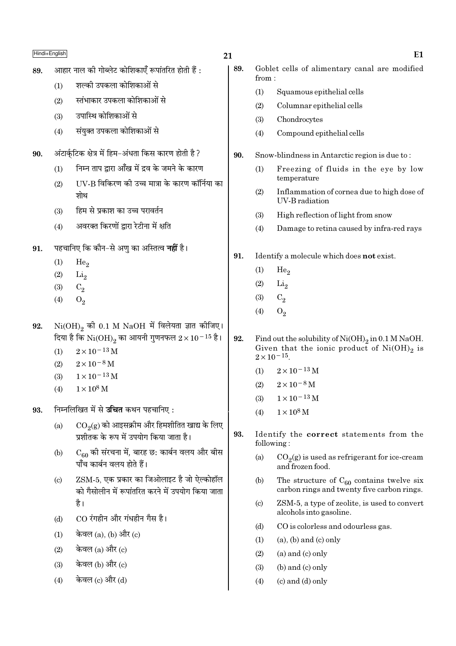|     | Hindi+English                                             |                                                                                                 | 21  |                                               | E1                                                                                                      |  |  |  |  |
|-----|-----------------------------------------------------------|-------------------------------------------------------------------------------------------------|-----|-----------------------------------------------|---------------------------------------------------------------------------------------------------------|--|--|--|--|
| 89. |                                                           | आहार नाल की गोब्लेट कोशिकाएँ रूपांतरित होती हैं :                                               | 89. | from:                                         | Goblet cells of alimentary canal are modified                                                           |  |  |  |  |
|     | (1)                                                       | शल्की उपकला कोशिकाओं से                                                                         |     | (1)                                           | Squamous epithelial cells                                                                               |  |  |  |  |
|     | (2)                                                       | स्तंभाकार उपकला कोशिकाओं से                                                                     |     | (2)                                           | Columnar epithelial cells                                                                               |  |  |  |  |
|     | (3)                                                       | उपास्थि कोशिकाओं से                                                                             |     | (3)                                           | Chondrocytes                                                                                            |  |  |  |  |
|     | (4)                                                       | संयुक्त उपकला कोशिकाओं से                                                                       |     | (4)                                           | Compound epithelial cells                                                                               |  |  |  |  |
| 90. |                                                           | अंटार्कुटिक क्षेत्र में हिम-अंधता किस कारण होती है ?                                            | 90. | Snow-blindness in Antarctic region is due to: |                                                                                                         |  |  |  |  |
|     | (1)                                                       | निम्न ताप द्वारा आँख में द्रव के जमने के कारण                                                   |     | (1)                                           | Freezing of fluids in the eye by low                                                                    |  |  |  |  |
|     | (2)                                                       | UV-B विकिरण को उच्च मात्रा के कारण कॉर्निया का                                                  |     |                                               | temperature                                                                                             |  |  |  |  |
|     |                                                           | शोथ                                                                                             |     | (2)                                           | Inflammation of cornea due to high dose of<br>UV-B radiation                                            |  |  |  |  |
|     | (3)                                                       | हिम से प्रकाश का उच्च परावर्तन                                                                  |     | (3)                                           | High reflection of light from snow                                                                      |  |  |  |  |
|     | (4)                                                       | अवरक्त किरणों द्वारा रेटीना में क्षति                                                           |     | (4)                                           | Damage to retina caused by infra-red rays                                                               |  |  |  |  |
| 91. |                                                           | पहचानिए कि कौन–से अणु का अस्तित्व <b>नहीं</b> है।                                               |     |                                               |                                                                                                         |  |  |  |  |
|     | (1)                                                       | He <sub>2</sub>                                                                                 | 91. |                                               | Identify a molecule which does not exist.                                                               |  |  |  |  |
|     | (2)                                                       | $\rm Li_2$                                                                                      |     | (1)                                           | He <sub>2</sub>                                                                                         |  |  |  |  |
|     | (3)                                                       | $C_2$                                                                                           |     | (2)                                           | $\rm Li_2$                                                                                              |  |  |  |  |
|     | (4)                                                       | $O_2$                                                                                           |     | (3)                                           | $C_2$                                                                                                   |  |  |  |  |
|     |                                                           |                                                                                                 |     | (4)                                           | $O_2$                                                                                                   |  |  |  |  |
| 92. |                                                           | $Ni(OH)_{2}$ की 0.1 M NaOH में विलेयता ज्ञात कीजिए।                                             |     |                                               |                                                                                                         |  |  |  |  |
|     |                                                           | दिया है कि $\rm Ni(OH)_2$ का आयनी गुणनफल $2\times 10^{-15}$ है।                                 | 92. |                                               | Find out the solubility of $Ni(OH)_2$ in 0.1 M NaOH.<br>Given that the ionic product of $Ni(OH)_{2}$ is |  |  |  |  |
|     | (1)                                                       | $2 \times 10^{-13}$ M<br>$2\times10^{-8}$ M                                                     |     |                                               | $2 \times 10^{-15}$ .                                                                                   |  |  |  |  |
|     | (2)<br>(3)                                                | $1 \times 10^{-13}$ M                                                                           |     | (1)                                           | $2 \times 10^{-13}$ M                                                                                   |  |  |  |  |
|     | (4)                                                       | $1 \times 10^8$ M                                                                               |     | (2)                                           | $2\times10^{-8}$ M                                                                                      |  |  |  |  |
|     |                                                           |                                                                                                 |     | (3)                                           | $1 \times 10^{-13}$ M                                                                                   |  |  |  |  |
| 93. |                                                           | निम्नलिखित में से <b>उचित</b> कथन पहचानिए :                                                     |     | (4)                                           | $1\times10^8\,\rm M$                                                                                    |  |  |  |  |
|     | (a)                                                       | $\mathrm{CO}_2(\mathrm{g})$ को आइसक्रीम और हिमशीतित खाद्य के लिए                                |     |                                               |                                                                                                         |  |  |  |  |
|     |                                                           | प्रशीतक के रूप में उपयोग किया जाता है।                                                          | 93. |                                               | Identify the correct statements from the<br>following:                                                  |  |  |  |  |
|     | (b)                                                       | $C_{60}$ की संरचना में, बारह छ: कार्बन वलय और बीस<br>पाँच कार्बन वलय होते हैं।                  |     | (a)                                           | $CO2(g)$ is used as refrigerant for ice-cream<br>and frozen food.                                       |  |  |  |  |
|     | $\left( \mathrm{c}\right)$                                | ZSM-5, एक प्रकार का जिओलाइट है जो ऐल्कोहॉल<br>को गैसोलीन में रूपांतरित करने में उपयोग किया जाता |     | (b)                                           | The structure of $C_{60}$ contains twelve six<br>carbon rings and twenty five carbon rings.             |  |  |  |  |
|     |                                                           | है।                                                                                             |     | $\left( \mathrm{c}\right)$                    | ZSM-5, a type of zeolite, is used to convert                                                            |  |  |  |  |
|     | (d)                                                       | CO रंगहीन और गंधहीन गैस है।                                                                     |     |                                               | alcohols into gasoline.                                                                                 |  |  |  |  |
|     | केवल $(a)$ , $(b)$ और $(c)$<br>(1)<br>केवल $(a)$ और $(c)$ |                                                                                                 |     | (d)                                           | CO is colorless and odourless gas.                                                                      |  |  |  |  |
|     |                                                           |                                                                                                 |     | (1)                                           | $(a)$ , $(b)$ and $(c)$ only                                                                            |  |  |  |  |
|     | (2)                                                       |                                                                                                 |     | (2)                                           | $(a)$ and $(c)$ only                                                                                    |  |  |  |  |
|     | (3)                                                       | केवल (b) और (c)                                                                                 |     | (3)                                           | $(b)$ and $(c)$ only                                                                                    |  |  |  |  |
|     | (4)                                                       | केवल (c) और (d)                                                                                 |     | (4)                                           | $(c)$ and $(d)$ only                                                                                    |  |  |  |  |
|     |                                                           |                                                                                                 |     |                                               |                                                                                                         |  |  |  |  |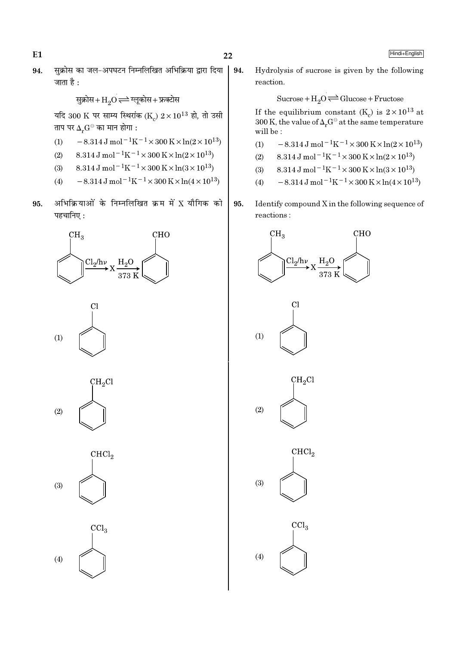$E1$ 

सुक्रोस का जल-अपघटन निम्नलिखित अभिक्रिया द्वारा दिया | 94. 94. जाता है $\cdot$ 

सुक्रोस+ H<sub>2</sub>O 
$$
\rightleftharpoons
$$
 ग्लूकोस+ फ्रक्टोस

यदि 300 K पर साम्य स्थिरांक (K)  $2 \times 10^{13}$  हो, तो उसी ताप पर  $\Delta_r G^\ominus$  का मान होगा :

- $-8.314 \text{ J} \text{ mol}^{-1} \text{K}^{-1} \times 300 \text{ K} \times \ln(2 \times 10^{13})$  $(1)$
- 8.314 J mol<sup>-1</sup>K<sup>-1</sup> × 300 K × ln(2 × 10<sup>13</sup>)  $(2)$
- $8.314 \text{ J} \text{ mol}^{-1} \text{K}^{-1} \times 300 \text{ K} \times \ln(3 \times 10^{13})$  $(3)$
- $-8.314 \,\mathrm{J} \,\mathrm{mol}^{-1} \mathrm{K}^{-1} \times 300 \,\mathrm{K} \times \ln(4 \times 10^{13})$  $(4)$
- अभिक्रियाओं के निम्नलिखित क्रम में X यौगिक को 95. पहचानिए:











Hydrolysis of sucrose is given by the following reaction.

Sucrose +  $H_2O \rightleftharpoons Glucose + Fructose$ 

If the equilibrium constant (K<sub>c</sub>) is  $2 \times 10^{13}$  at 300 K, the value of  $\Delta_r G^\ominus$  at the same temperature will be:

- $-8.314 \,\mathrm{J}$  mol<sup>-1</sup>K<sup>-1</sup>×300 K×ln(2×10<sup>13</sup>)  $(1)$
- $8.314 \,\mathrm{J} \,\mathrm{mol}^{-1}\mathrm{K}^{-1} \times 300 \,\mathrm{K} \times \ln(2 \times 10^{13})$  $(2)$
- $8.314 \text{ J} \text{ mol}^{-1} \text{K}^{-1} \times 300 \text{ K} \times \ln(3 \times 10^{13})$  $(3)$
- $-8.314 \,\mathrm{J}$  mol<sup>-1</sup>K<sup>-1</sup>×300 K×ln(4×10<sup>13</sup>)  $(4)$
- 95. Identify compound X in the following sequence of reactions:

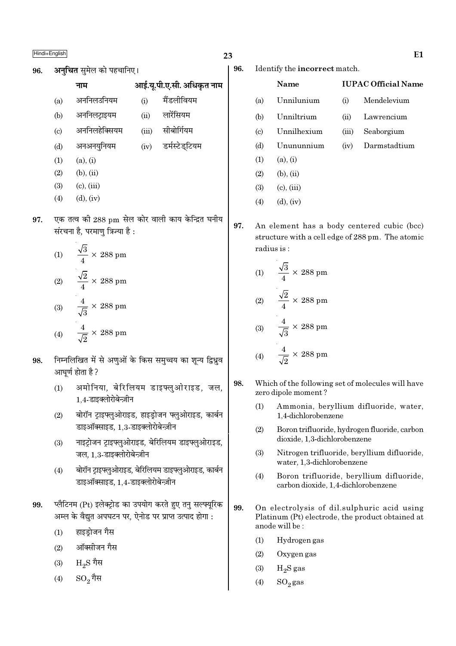$(a)$  $(b)$  $(c)$  $(d)$ 

| नाम           |       | आई.यू.पी.ए.सी. अधिकृत नाम |
|---------------|-------|---------------------------|
| अननिलउनियम    | (i)   | मैंडलीवियम                |
| अननिलट्राइयम  | (ii)  | लारेंसियम                 |
| अननिलहेक्सियम | (iii) | सीबोर्गियम                |
| अनअनयनियम     | (iv)  | डर्मस्टेडटियम             |

- $(1)$  $(a), (i)$
- $(2)$  $(b)$ ,  $(ii)$
- $(c)$ ,  $(iii)$  $(3)$
- $(4)$  $(d)$ ,  $(iv)$
- एक तत्व की 288 pm सेल कोर वाली काय केन्द्रित घनीय 97. संरचना है, परमाण त्रिज्या है :

(1) 
$$
\frac{\sqrt{3}}{4} \times 288 \text{ pm}
$$
  
(2) 
$$
\frac{\sqrt{2}}{4} \times 288 \text{ pm}
$$
  
(3) 
$$
\frac{4}{\sqrt{3}} \times 288 \text{ pm}
$$
  
(4) 
$$
\frac{4}{\sqrt{2}} \times 288 \text{ pm}
$$

- निम्नलिखित में से अणओं के किस समच्चय का शन्य द्विध्रव 98 आघर्ण होता है ?
	- अमोनिया, बेरिलियम डाइफ्लुओराइड, जल,  $(1)$ 1.4-डाइक्लोरोबेन्ज़ीन
	- बोरॉन टाइफ्लुओराइड, हाइड़ोजन फ्लुओराइड, कार्बन  $(2)$ डाइऑक्साइड, 1,3-डाइक्लोरोबेन्ज़ीन
	- नाइट्रोजन ट्राइफ्लुओराइड, बेरिलियम डाइफ्लुओराइड,  $(3)$ जल. 1.3-डाइक्लोरोबेन्ज़ीन
	- बोरॉन ट्राइफ्लुओराइड, बेरिलियम डाइफ्लुओराइड, कार्बन  $(4)$ डाइऑक्साइड, 1,4-डाइक्लोरोबेन्ज़ीन
- प्लैटिनम (Pt) इलेक्ट्रोड का उपयोग करते हुए तनु सल्फ्यूरिक 99. अम्ल के वैद्युत अपघटन पर, ऐनोड पर प्राप्त उत्पाद होगा :
	- हाइड्रोजन गैस  $(1)$
	- ऑक्सीजन गैस  $(2)$
	- $\rm{H}_{2}S$  गैस  $(3)$
	- $\mathrm{SO}_2$ गैस  $(4)$

 $(4)$ 

23

96. Identify the incorrect match.

|                             | Name            |                    | <b>IUPAC Official Name</b> |  |  |  |  |  |  |
|-----------------------------|-----------------|--------------------|----------------------------|--|--|--|--|--|--|
| (a)                         | Unnilunium      | (i)                | Mendelevium                |  |  |  |  |  |  |
| (b)                         | Unniltrium      | $\dot{\mathbf{u}}$ | Lawrencium                 |  |  |  |  |  |  |
| $\left( \mathrm{c} \right)$ | Unnilhexium     | (iii)              | Seaborgium                 |  |  |  |  |  |  |
| (d)                         | Unununnium      | (iv)               | Darmstadtium               |  |  |  |  |  |  |
| (1)                         | (a), (i)        |                    |                            |  |  |  |  |  |  |
| (2)                         | $(b)$ , $(ii)$  |                    |                            |  |  |  |  |  |  |
| (3)                         | $(c)$ , $(iii)$ |                    |                            |  |  |  |  |  |  |

97. An element has a body centered cubic (bcc) structure with a cell edge of 288 pm. The atomic radius is:

$$
(1) \qquad \frac{\sqrt{3}}{4} \times 288 \text{ pm}
$$

 $(d)$ ,  $(iv)$ 

$$
(2) \qquad \frac{\sqrt{2}}{4} \times 288 \text{ pm}
$$

$$
(3) \qquad \frac{4}{\sqrt{3}} \times 288 \text{ pm}
$$

$$
(4) \qquad \frac{4}{\sqrt{2}} \times 288 \text{ pm}
$$

- 98. Which of the following set of molecules will have zero dipole moment?
	- Ammonia, beryllium difluoride, water,  $(1)$ 1,4-dichlorobenzene
	- $(2)$ Boron trifluoride, hydrogen fluoride, carbon dioxide, 1,3-dichlorobenzene
	- $(3)$ Nitrogen trifluoride, beryllium difluoride, water, 1,3-dichlorobenzene
	- $(4)$ Boron trifluoride, beryllium difluoride, carbon dioxide, 1,4-dichlorobenzene
- 99. On electrolysis of dil.sulphuric acid using Platinum (Pt) electrode, the product obtained at anode will be:
	- $(1)$ Hydrogen gas
	- $(2)$ Oxygen gas
	- $(3)$  $H<sub>2</sub>S$  gas
	- $(4)$  $SO_2$ gas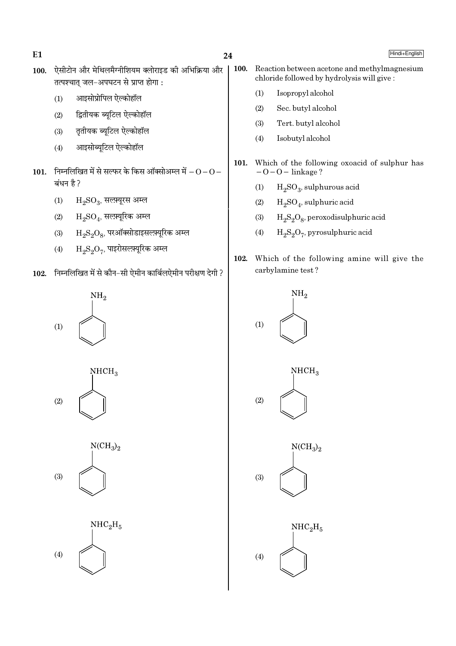$E1$ 

- ऐसीटोन और मेथिलमैग्नीशियम क्लोराइड की अभिक्रिया और 100. तत्पश्चात जल-अपघटन से प्राप्त होगा:
	- आइसोप्रोपिल ऐल्कोहॉल  $(1)$
	- द्वितीयक ब्यूटिल ऐल्कोहॉल  $(2)$
	- तृतीयक ब्यूटिल ऐल्कोहॉल  $(3)$
	- आइसोब्यूटिल ऐल्कोहॉल  $(4)$
- 101. निम्नलिखित में से सल्फर के किस ऑक्सोअम्ल में  $-0-0-$ बंधन है ?
	- $H_2SO_3$ , सलम्यूरस अम्ल  $(1)$
	- $H_2SO_4$ , सल्फ़्यूरिक अम्ल  $(2)$
	- $\rm H_2S_2O_8$ , परऑक्सोडाइसल्फ़्यूरिक अम्ल  $(3)$
	- $\rm H_2S_2O_7$ , पाइरोसल्फ़्यूरिक अम्ल  $(4)$
- 102. निम्नलिखित में से कौन-सी ऐमीन कार्बिलऐमीन परीक्षण देगी ?



 $NHCH<sub>3</sub>$  $(2)$ 





- 100. Reaction between acetone and methylmagnesium chloride followed by hydrolysis will give:
	- $(1)$ Isopropyl alcohol
	- $(2)$ Sec. butyl alcohol
	- Tert. butyl alcohol  $(3)$
	- $(4)$ Isobutyl alcohol
- 101. Which of the following oxoacid of sulphur has  $-0-0$  – linkage?
	- $H<sub>2</sub>SO<sub>3</sub>$ , sulphurous acid  $(1)$
	- $H_2SO_4$ , sulphuric acid  $(2)$
	- $H_2S_2O_8$ , peroxodisulphuric acid  $(3)$
	- $H_2S_2O_7$ , pyrosulphuric acid  $(4)$
- 102. Which of the following amine will give the carbylamine test?

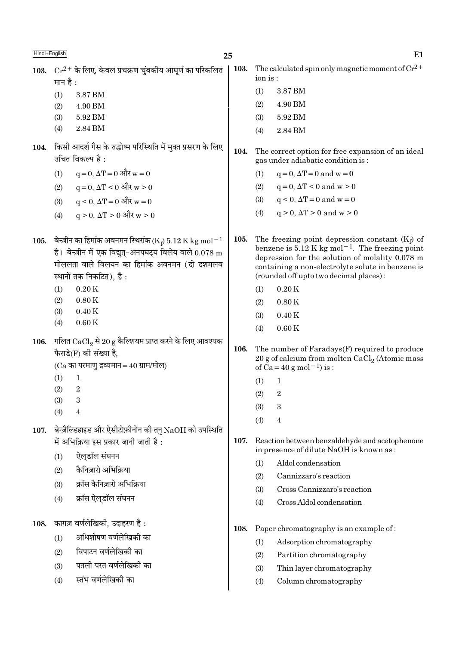| Hindi+English |            |                                                                                                                                                                                                                         | 25   |         | E1                                                                                                                                                                                                                                                                 |
|---------------|------------|-------------------------------------------------------------------------------------------------------------------------------------------------------------------------------------------------------------------------|------|---------|--------------------------------------------------------------------------------------------------------------------------------------------------------------------------------------------------------------------------------------------------------------------|
| 103.          | मान है :   | $Cr^{2+}$ के लिए, केवल प्रचक्रण चुंबकीय आघूर्ण का परिकलित                                                                                                                                                               | 103. | ion is: | The calculated spin only magnetic moment of $Cr^{2+}$                                                                                                                                                                                                              |
|               | (1)        | 3.87 BM                                                                                                                                                                                                                 |      | (1)     | 3.87 BM                                                                                                                                                                                                                                                            |
|               | (2)        | 4.90 BM                                                                                                                                                                                                                 |      | (2)     | 4.90 BM                                                                                                                                                                                                                                                            |
|               | (3)        | 5.92 BM                                                                                                                                                                                                                 |      | (3)     | 5.92 BM                                                                                                                                                                                                                                                            |
|               | (4)        | 2.84 BM                                                                                                                                                                                                                 |      | (4)     | 2.84 BM                                                                                                                                                                                                                                                            |
| 104.          |            | किसी आदर्श गैस के रुद्धोष्म परिस्थिति में मुक्त प्रसरण के लिए<br>उचित विकल्प है :                                                                                                                                       | 104. |         | The correct option for free expansion of an ideal<br>gas under adiabatic condition is:                                                                                                                                                                             |
|               | (1)        | $q = 0$ , $\Delta T = 0$ और $w = 0$                                                                                                                                                                                     |      | (1)     | $q=0$ , $\Delta T=0$ and $w=0$                                                                                                                                                                                                                                     |
|               | (2)        | $q = 0$ , $\Delta T < 0$ और $w > 0$                                                                                                                                                                                     |      | (2)     | $q=0$ , $\Delta T < 0$ and $w > 0$                                                                                                                                                                                                                                 |
|               | (3)        | $q \le 0$ , $\Delta T = 0$ और $w = 0$                                                                                                                                                                                   |      | (3)     | $q < 0$ , $\Delta T = 0$ and $w = 0$                                                                                                                                                                                                                               |
|               | (4)        | $q > 0$ , $\Delta T > 0$ और $w > 0$                                                                                                                                                                                     |      | (4)     | $q > 0$ , $\Delta T > 0$ and $w > 0$                                                                                                                                                                                                                               |
| 105.          |            | बेन्ज़ीन का हिमांक अवनमन स्थिरांक (K <sub>t</sub> ) 5.12 K kg mol <sup>-1</sup><br>है। बेन्ज़ीन में एक विद्युत्-अनपघट्य विलेय वाले $0.078$ m<br>मोललता वाले विलयन का हिमांक अवनमन (दो दशमलव<br>स्थानों तक निकटित), है : | 105. |         | The freezing point depression constant $(K_f)$ of<br>benzene is 5.12 K kg mol <sup>-1</sup> . The freezing point<br>depression for the solution of molality 0.078 m<br>containing a non-electrolyte solute in benzene is<br>(rounded off upto two decimal places): |
|               | (1)        | 0.20K                                                                                                                                                                                                                   |      | (1)     | 0.20K                                                                                                                                                                                                                                                              |
|               | (2)        | 0.80K                                                                                                                                                                                                                   |      | (2)     | 0.80K                                                                                                                                                                                                                                                              |
|               | (3)        | 0.40K                                                                                                                                                                                                                   |      | (3)     | 0.40K                                                                                                                                                                                                                                                              |
|               | (4)        | 0.60K                                                                                                                                                                                                                   |      | (4)     | 0.60K                                                                                                                                                                                                                                                              |
| 106.          |            | गलित $\mathrm{CaCl}_{2}$ से 20 $\mathrm{g}$ कैल्शियम प्राप्त करने के लिए आवश्यक<br>फैराडे $(F)$ की संख्या है,<br>$(Ca$ का परमाणु द्रव्यमान = 40 ग्राम/मोल)                                                              | 106. |         | The number of Faradays(F) required to produce<br>20 g of calcium from molten $CaCl2$ (Atomic mass<br>of $Ca = 40 g$ mol <sup>-1</sup> ) is :                                                                                                                       |
|               | (1)        | 1                                                                                                                                                                                                                       |      | (1)     | 1                                                                                                                                                                                                                                                                  |
|               | (2)        | $\,2$                                                                                                                                                                                                                   |      | (2)     | $\overline{2}$                                                                                                                                                                                                                                                     |
|               | (3)<br>(4) | 3<br>4                                                                                                                                                                                                                  |      | (3)     | 3                                                                                                                                                                                                                                                                  |
|               |            |                                                                                                                                                                                                                         |      | (4)     | 4                                                                                                                                                                                                                                                                  |
| 107.          |            | बेन्ज़ैल्डिहाइड और ऐसीटोफ़ीनोन की तनु $NaOH$ की उपस्थिति<br>में अभिक्रिया इस प्रकार जानी जाती है :                                                                                                                      | 107. |         | Reaction between benzaldehyde and acetophenone<br>in presence of dilute NaOH is known as:                                                                                                                                                                          |
|               | (1)        | ऐल्डॉल संघनन                                                                                                                                                                                                            |      | (1)     | Aldol condensation                                                                                                                                                                                                                                                 |
|               | (2)        | कैनिज़ारो अभिक्रिया                                                                                                                                                                                                     |      | (2)     | Cannizzaro's reaction                                                                                                                                                                                                                                              |
|               | (3)        | क्रॉस कैनिज़ारो अभिक्रिया                                                                                                                                                                                               |      | (3)     | Cross Cannizzaro's reaction                                                                                                                                                                                                                                        |
|               | (4)        | क्रॉस ऐल्डॉल संघनन                                                                                                                                                                                                      |      | (4)     | Cross Aldol condensation                                                                                                                                                                                                                                           |
| 108.          |            | कागज़ वर्णलेखिकी, उदाहरण है :                                                                                                                                                                                           | 108. |         | Paper chromatography is an example of:                                                                                                                                                                                                                             |
|               | (1)        | अधिशोषण वर्णलेखिकी का                                                                                                                                                                                                   |      | (1)     | Adsorption chromatography                                                                                                                                                                                                                                          |
|               | (2)        | विपाटन वर्णलेखिकी का                                                                                                                                                                                                    |      | (2)     | Partition chromatography                                                                                                                                                                                                                                           |
|               | (3)        | पतली परत वर्णलेखिकी का                                                                                                                                                                                                  |      | (3)     | Thin layer chromatography                                                                                                                                                                                                                                          |
|               | (4)        | स्तंभ वर्णलेखिकी का                                                                                                                                                                                                     |      | (4)     | Column chromatography                                                                                                                                                                                                                                              |
|               |            |                                                                                                                                                                                                                         |      |         |                                                                                                                                                                                                                                                                    |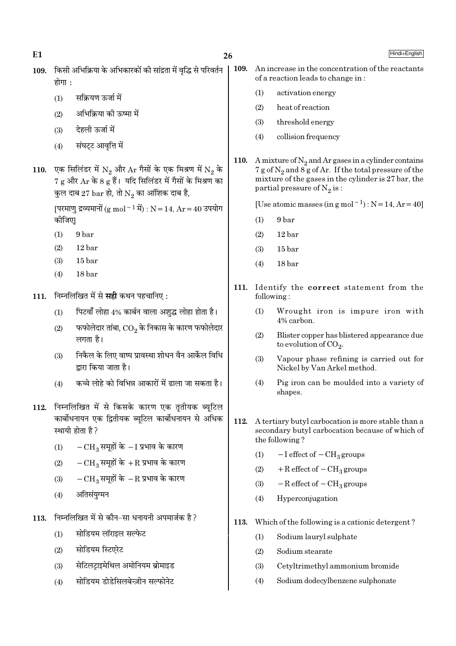$E1$ 

- 109. किसी अभिक्रिया के अभिकारकों की सांद्रता में वद्भि से परिवर्तन होगा :
	- सक्रियण ऊर्जा में  $(1)$
	- अभिक्रिया की ऊष्मा में  $(2)$
	- $(3)$ देहली ऊर्जा में
	- संघट्ट आवृत्ति में  $(4)$
- एक सिलिंडर में  $N_2$  और  $Ar$  गैसों के एक मिश्रण में  $N_2$  के **110.**  $7\,\mathrm{g}$  और  $\mathrm{Ar}\,$  के 8  $\mathrm{g}\,$  हैं। यदि सिलिंडर में गैसों के मिश्रण का कुल दाब 27 bar हो, तो  $\mathrm{N}_2$  का आंशिक दाब है,

[परमाणु द्रव्यमानों (g mol  $^{-1}$  में) : N = 14, Ar = 40 उपयोग कीजिए।

- $(1)$ 9<sub>bar</sub>
- $(2)$  $12<sub>bar</sub>$
- $(3)$  $15<sub>bar</sub>$
- 18 bar  $(4)$
- 111. निम्नलिखित में से सही कथन पहचानिए:
	- पिटवाँ लोहा 4% कार्बन वाला अशुद्ध लोहा होता है।  $(1)$
	- फफोलेदार तांबा,  $\overline{\text{CO}_2}$  के निकास के कारण फफोलेदार  $(2)$ लगता है।
	- निकैल के लिए वाष्प प्रावस्था शोधन वैन आर्केल विधि  $(3)$ द्रारा किया जाता है।
	- कच्चे लोहे को विभिन्न आकारों में ढाला जा सकता है।  $(4)$
- 112. निम्नलिखित में से किसके कारण एक तृतीयक ब्यूटिल कार्बोधनायन एक द्वितीयक ब्यूटिल कार्बोधनायन से अधिक स्थायी होता है?
	- $-CH_3$  समूहों के  $-I$  प्रभाव के कारण  $(1)$
	- $-CH_3$  समूहों के +R प्रभाव के कारण  $(2)$
	- $-{\rm CH}_3$  समूहों के  $-{\rm R}$  प्रभाव के कारण  $(3)$
	- अतिसंयुग्मन  $(4)$
- 113. निम्नलिखित में से कौन-सा धनायनी अपमार्जक है ?
	- सोडियम लॉराइल सल्फेट  $(1)$
	- सोडियम स्टिएरेट  $(2)$
	- सेटिलटाइमेथिल अमोनियम ब्रोमाइड  $(3)$
	- सोडियम डोडेसिलबेन्ज़ीन सल्फोनेट  $(4)$
- 109. An increase in the concentration of the reactants of a reaction leads to change in:
	- $(1)$ activation energy
	- $(2)$ heat of reaction
	- $(3)$ threshold energy
	- $(4)$ collision frequency
- 110. A mixture of  $N_2$  and Ar gases in a cylinder contains 7 g of  $N_2$  and 8 g of Ar. If the total pressure of the mixture of the gases in the cylinder is 27 bar, the partial pressure of  $\mathrm{N}_2$  is :

[Use atomic masses (in  $g$  mol<sup>-1</sup>) :  $N = 14$ ,  $Ar = 40$ ]

- $(1)$ 9<sub>bar</sub>
- $12<sub>bar</sub>$  $(2)$
- $15<sub>bar</sub>$  $(3)$
- $(4)$ 18 bar
- 111. Identify the correct statement from the following:
	- Wrought iron is impure iron with  $(1)$ 4% carbon.
	- $(2)$ Blister copper has blistered appearance due to evolution of  $CO<sub>2</sub>$ .
	- $(3)$ Vapour phase refining is carried out for Nickel by Van Arkel method.
	- Pig iron can be moulded into a variety of  $(4)$ shapes.
- 112. A tertiary butyl carbocation is more stable than a secondary butyl carbocation because of which of the following?
	- $-I$  effect of  $-CH<sub>3</sub>$  groups  $(1)$
	- $+R$  effect of  $-CH<sub>3</sub>$  groups  $(2)$
	- $-R$  effect of  $-CH<sub>3</sub>$  groups  $(3)$
	- $(4)$ Hyperconjugation
- 113. Which of the following is a cationic detergent?
	- Sodium lauryl sulphate  $(1)$
	- $(2)$ Sodium stearate
	- $(3)$ Cetyltrimethyl ammonium bromide
	- $(4)$ Sodium dodecylbenzene sulphonate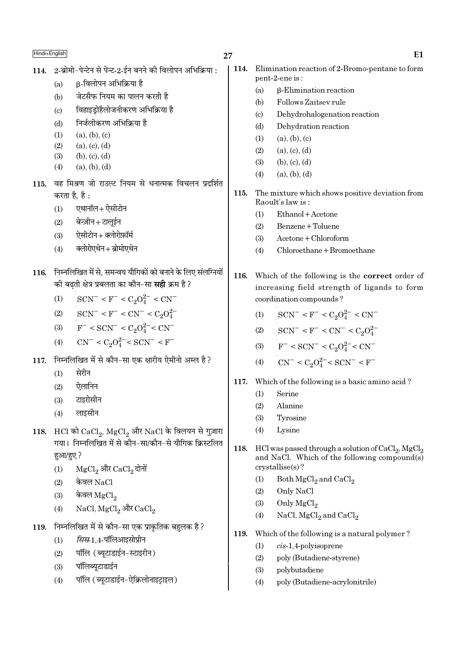# 27

- 114. 2-ब्रोमो-पेन्टेन से पेन्ट-2-ईन बनने की विलोपन अभिक्रिया:
	- ß-विलोपन अभिक्रिया है  $(a)$
	- जेटसैफ नियम का पालन करती है  $(b)$
	- विहाइड़ोहैलोजनीकरण अभिक्रिया है  $(c)$
	- निर्जलीकरण अभिक्रिया है  $(d)$
	- $(1)$  $(a)$ ,  $(b)$ ,  $(c)$
	- $(2)$  $(a), (c), (d)$
	- $(3)$  $(b)$ ,  $(c)$ ,  $(d)$
	- $(4)$  $(a)$ ,  $(b)$ ,  $(d)$
- 115. वह मिश्रण जो राउल्ट नियम से धनात्मक विचलन प्रदर्शित करता है. है :
	- एथानॉल+ ऐसीटोन  $(1)$
	- $(2)$ बेन्ज़ीन+टालूईन
	- ऐसीटोन+क्लोरोफ़ॉर्म  $(3)$
	- क्लोरोएथेन+ब्रोमोएथेन  $(4)$
- 116. निम्नलिखित में से, समन्वय यौगिकों को बनाने के लिए संलग्नियों की बढती क्षेत्र प्रबलता का कौन–सा **सही** क्रम है ?
	- $SCN^- < F^- < C_2O_4^{2-} < CN^ (1)$
	- $SCN^- < F^- < CN^- < C_2O_4^{2-}$  $(2)$
	- $F^-$  < SCN<sup>-</sup> < C<sub>2</sub>O<sub>4</sub><sup>2</sup><sup>-</sup> < CN<sup>-</sup>  $(3)$
	- $CN^{-} < C_2O_4^{2-} < SCN^{-} < F^{-}$  $(4)$
- निम्नलिखित में से कौन-सा एक क्षारीय ऐमीनो अम्ल है ? 117
	- सेरीन  $(1)$
	- ऐलानिन  $(2)$
	- टाइरोसीन  $(3)$
	- लाइसीन  $(4)$
- 118. HCl को CaCl, MgCl, और NaCl के विलयन से गुज़ारा गया। निम्नलिखित में से कौन-सा/कौन-से यौगिक क्रिस्टलित हुआ/हुए ?
	- MgCl<sub>2</sub> और CaCl<sub>2</sub> दोनों  $(1)$
	- केवल $NaCl$  $(2)$
	- केवल $_{\rm MgCl_2}$  $(3)$
	- NaCl, MgCl<sub>2</sub> और CaCl<sub>2</sub>  $(4)$
- निम्नलिखित में से कौन-सा एक प्राकृतिक बहुलक है ? 119.
	- सिस-1.4-पॉलिआइसोप्रीन  $(1)$
	- पॉलि (ब्युटाडाईन-स्टाइरीन)  $(2)$
	- पॉलिब्युटाडाईन  $(3)$
	- पॉलि (ब्युटाडाईन-ऐक्रिलोनाइटाइल)  $(4)$
- $E1$ 114. Elimination reaction of 2-Bromo-pentane to form pent-2-ene is: **B-Elimination reaction**  $(a)$ Follows Zaitsey rule  $(b)$  $(c)$ Dehydrohalogenation reaction  $(d)$ Dehydration reaction  $(1)$  $(a), (b), (c)$  $(2)$  $(a), (c), (d)$  $(b), (c), (d)$  $(3)$  $(a), (b), (d)$  $(4)$ The mixture which shows positive deviation from 115. Raoult's law is: Ethanol + Acetone  $(1)$ Benzene + Toluene  $(2)$  $(3)$  $Acetone + Chloroform$  $(4)$ Chloroethane + Bromoethane 116. Which of the following is the **correct** order of increasing field strength of ligands to form coordination compounds?  $SCN^- < F^- < C_2O_4^{2-} < CN^ (1)$  $SCN^- < F^- < CN^- < C_2O_4^{2-}$  $(2)$  $F^-$  < SCN<sup>-</sup> < C<sub>2</sub>O<sub>4</sub><sup>2</sup><sup>-</sup> < CN<sup>-</sup>  $(3)$  $CN^- < C_2O_4^{2-} < SCN^- < F^ (4)$ 117. Which of the following is a basic amino acid?  $(1)$ Serine  $(2)$ Alanine Tyrosine  $(3)$ 
	- $(4)$ Lysine
- 118. HCl was passed through a solution of CaCl<sub>2</sub>, MgCl<sub>2</sub> and NaCl. Which of the following compound(s)  $crystalise(s)?$ 
	- Both MgCl<sub>2</sub> and CaCl<sub>2</sub>  $(1)$
	- $(2)$ Only NaCl
	- $(3)$ Only MgCl<sub>2</sub>
	- $(4)$ NaCl, MgCl<sub>2</sub> and CaCl<sub>2</sub>
- 119. Which of the following is a natural polymer?
	- $cis-1,4$ -polyisoprene  $(1)$
	- $(2)$ poly (Butadiene-styrene)
	- polybutadiene  $(3)$
	- $(4)$ poly (Butadiene-acrylonitrile)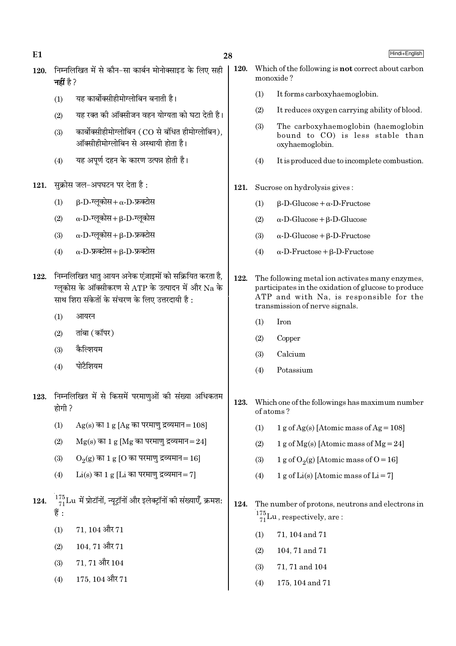28

- 120. निम्नलिखित में से कौन-सा कार्बन मोनोक्साइड के लिए सही नहीं है  $2$ 
	- यह कार्बोक्सीहीमोग्लोबिन बनाती है।  $(1)$
	- यह रक्त की ऑक्सीजन वहन योग्यता को घटा देती है।  $(2)$
	- कार्बोक्सीहीमोग्लोबिन (CO से बंधित हीमोग्लोबिन).  $(3)$ ऑक्सीहीमोग्लोबिन से अस्थायी होता है।
	- यह अपूर्ण दहन के कारण उत्पन्न होती है।  $(4)$
- सुक्रोस जल-अपघटन पर देता है: 121.
	- $\beta$ -D-ग्लुकोस+  $\alpha$ -D-फ्रक्टोस  $(1)$
	- $\alpha$ -D-ग्लूकोस+ $\beta$ -D-ग्लूकोस  $(2)$
	- $\alpha$ -D-ग्लकोस+ B-D-फ्रक्टोस  $(3)$
	- $\alpha$ -D-फ्रक्टोस + B-D-फ्रक्टोस  $(4)$
- 122. निम्नलिखित धातु आयन अनेक एंज़ाइमों को सक्रियित करता है, ग्लुकोस के ऑक्सीकरण से ATP के उत्पादन में और Na के साथ शिरा संकेतों के संचरण के लिए उत्तरदायी है :
	- $(1)$ आयरन
	- तांबा (कॉपर)  $(2)$
	- कैल्शियम  $(3)$
	- पोटैशियम  $(4)$
- 123. निम्नलिखित में से किसमें परमाणओं की संख्या अधिकतम होगी ?
	- $(1)$  $Ag(s)$  का 1 g [Ag का परमाण द्रव्यमान = 108]
	- $Mg(s)$  का 1 g [Mg का परमाणु द्रव्यमान=24]  $(2)$
	- $O<sub>9</sub>(g)$  का 1 g [O का परमाण द्रव्यमान=16]  $(3)$
	- $Li(s)$  का 1 g [Li का परमाण द्रव्यमान= 7]  $(4)$
- $\frac{175}{71}$ Lu में प्रोटॉनों, न्यूट्रॉनों और इलेक्ट्रॉनों की संख्याएँ, क्रमश:  $124.$ ੜ੍ਹੇ:
	- $71.104$  और  $71$  $(1)$
	- $104, 71$  और  $71$  $(2)$
	- 71.71 और 104  $(3)$
	- 175, 104 और 71  $(4)$
- 120. Which of the following is **not** correct about carbon monoxide?
	- It forms carboxyhaemoglobin.  $(1)$
	- $(2)$ It reduces oxygen carrying ability of blood.
	- $(3)$ The carboxyhaemoglobin (haemoglobin bound to CO) is less stable than oxyhaemoglobin.
	- $(4)$ It is produced due to incomplete combustion.
- 121. Sucrose on hydrolysis gives:
	- $\beta$ -D-Glucose +  $\alpha$ -D-Fructose  $(1)$
	- $(2)$  $\alpha$ -D-Glucose +  $\beta$ -D-Glucose
	- $(3)$  $\alpha$ -D-Glucose +  $\beta$ -D-Fructose
	- $\alpha$ -D-Fructose +  $\beta$ -D-Fructose  $(4)$
- 122. The following metal ion activates many enzymes, participates in the oxidation of glucose to produce ATP and with Na, is responsible for the transmission of nerve signals.
	- $(1)$ Iron
	- $(2)$ Copper
	- Calcium  $(3)$
	- Potassium  $(4)$
- 123. Which one of the followings has maximum number of atoms?
	- $(1)$ 1 g of Ag(s) [Atomic mass of Ag =  $108$ ]
	- $(2)$ 1 g of Mg(s) [Atomic mass of Mg = 24]
	- $(3)$ 1 g of  $O_2(g)$  [Atomic mass of  $O = 16$ ]
	- 1 g of Li(s) [Atomic mass of Li = 7]  $(4)$
- 124. The number of protons, neutrons and electrons in  $\frac{175}{71}$ Lu, respectively, are:
	- 71, 104 and 71  $(1)$
	- $(2)$ 104, 71 and 71
	- $(3)$ 71, 71 and 104
	- $(4)$ 175, 104 and 71

Hindi+English

 $E1$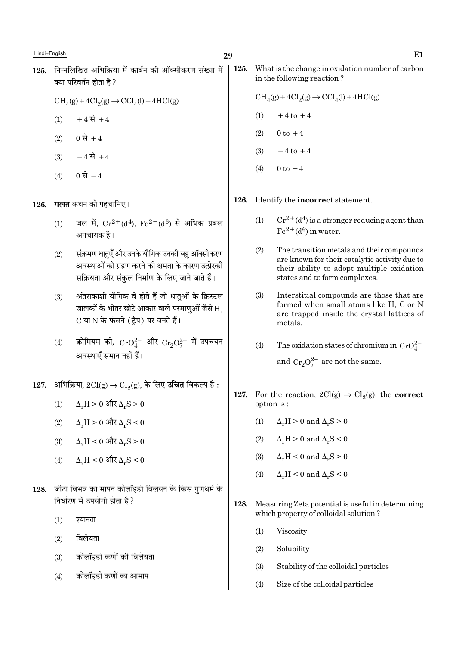- 29
- 125. निम्नलिखित अभिक्रिया में कार्बन की ऑक्सीकरण संख्या में क्या परिवर्तन होता है ?
	- $CH<sub>4</sub>(g) + 4Cl<sub>2</sub>(g) \rightarrow CCl<sub>4</sub>(l) + 4HCl(g)$
	- $+4$  से  $+4$  $(1)$
	- $(2)$  0 से +4
	- $-4 \overrightarrow{R} + 4$  $(3)$
	- 0 से  $-4$  $(4)$

गलत कथन को पहचानिए। 126.

- जल में.  $Cr^{2+}(d^4)$ .  $Fe^{2+}(d^6)$  से अधिक प्रबल  $(1)$ अपचायक है।
- संक्रमण धातुएँ और उनके यौगिक उनकी बहु ऑक्सीकरण  $(2)$ अवस्थाओं को ग्रहण करने की क्षमता के कारण उत्प्रेरकी सक्रियता और संकल निर्माण के लिए जाने जाते हैं।
- अंतराकाशी यौगिक वे होते हैं जो धातुओं के क्रिस्टल  $(3)$ जालकों के भीतर छोटे आकार वाले परमाणुओं जैसे H, C या N के फंसने (टैप) पर बनते हैं।
- क्रोमियम की,  $CrO_4^{2-}$  और  $Cr_2O_7^{2-}$  में उपचयन  $(4)$ अवस्थाएँ समान नहीं हैं।
- 127. अभिक्रिया, 2Cl(g) → Cl<sub>2</sub>(g), के लिए **उचित** विकल्प है:
	- $\Delta_r H > 0$  और  $\Delta_r S > 0$  $(1)$
	- $\Delta$ .H > 0 और  $\Delta$ .S < 0  $(2)$
	- $\Delta_{\text{u}}H < 0$  और  $\Delta_{\text{u}}S > 0$  $(3)$
	- $\Delta_r H < 0$  और  $\Delta_r S < 0$  $(4)$
- ज़ीटा विभव का मापन कोलॉइडी विलयन के किस गुणधर्म के 128. निर्धारण में उपयोगी होता है ?
	- $(1)$ श्यानता
	- विलेयता  $(2)$
	- कोलॉइडी कणों की विलेयता  $(3)$
	- कोलॉइडी कणों का आमाप  $(4)$

125. What is the change in oxidation number of carbon in the following reaction?

- $\text{CH}_4(g) + 4\text{Cl}_2(g) \rightarrow \text{CCl}_4(l) + 4\text{HCl}(g)$
- $(1)$  $+4$  to  $+4$
- $(2)$  $0 \text{ to } +4$
- $-4$  to  $+4$  $(3)$
- $0 \text{ to } -4$  $(4)$

126. Identify the **incorrect** statement.

- $Cr^{2+}(d^4)$  is a stronger reducing agent than  $(1)$  $Fe<sup>2+</sup>(d<sup>6</sup>)$  in water.
- $(2)$ The transition metals and their compounds are known for their catalytic activity due to their ability to adopt multiple oxidation states and to form complexes.
- $(3)$ Interstitial compounds are those that are formed when small atoms like H, C or N are trapped inside the crystal lattices of metals.
- The oxidation states of chromium in  $CrO_4^{2-}$  $(4)$ and  $Cr_2O_7^{2-}$  are not the same.
- 127. For the reaction,  $2Cl(g) \rightarrow Cl_2(g)$ , the correct option is:
	- $\Delta_r H > 0$  and  $\Delta_r S > 0$  $(1)$
	- $\Delta_r H > 0$  and  $\Delta_r S < 0$  $(2)$
	- $(3)$  $\Delta_r H < 0$  and  $\Delta_r S > 0$
	- $\Delta F$  = 0 and  $\Delta F$  = 0  $(4)$
- 128. Measuring Zeta potential is useful in determining which property of colloidal solution?
	- $(1)$ Viscosity
	- $(2)$ Solubility
	- $(3)$ Stability of the colloidal particles
	- $(4)$ Size of the colloidal particles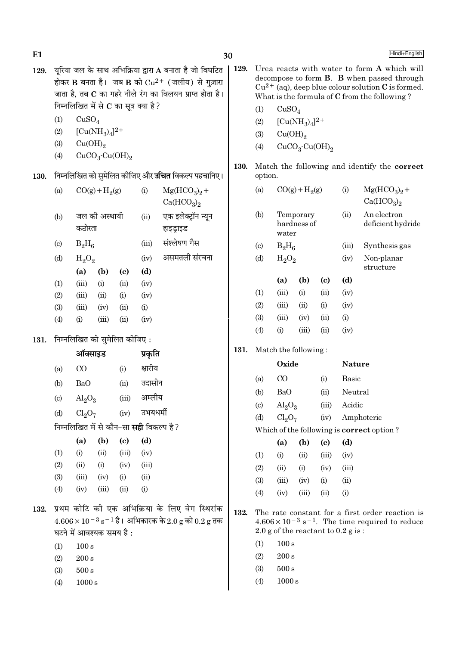| 129. | यूरिया जल के साथ अभिक्रिया द्वारा A बनाता है जो विघटित<br>होकर B बनता है। जब B को $Cu^{2+}$ (जलीय) से गुज़ारा<br>जाता है, तब C का गहरे नीले रंग का विलयन प्राप्त होता है।<br>निम्नलिखित में से $C$ का सूत्र क्या है? |                                |                                        |                            |                                                |                                                                                                                           | 129.                       | Urea reacts with water to form A which will<br>decompose to form B. B when passed through<br>$Cu^{2+}$ (aq), deep blue colour solution C is formed.<br>What is the formula of C from the following?<br>CuSO <sub>4</sub> |                                |                                        |                                                                                                                                                                 |                         |                                                     |  |
|------|----------------------------------------------------------------------------------------------------------------------------------------------------------------------------------------------------------------------|--------------------------------|----------------------------------------|----------------------------|------------------------------------------------|---------------------------------------------------------------------------------------------------------------------------|----------------------------|--------------------------------------------------------------------------------------------------------------------------------------------------------------------------------------------------------------------------|--------------------------------|----------------------------------------|-----------------------------------------------------------------------------------------------------------------------------------------------------------------|-------------------------|-----------------------------------------------------|--|
|      | (1)                                                                                                                                                                                                                  | CuSO <sub>4</sub>              |                                        |                            |                                                |                                                                                                                           |                            | (1)                                                                                                                                                                                                                      |                                |                                        |                                                                                                                                                                 |                         |                                                     |  |
|      | (2)                                                                                                                                                                                                                  |                                | $[Cu(NH_3)_4]^{2+}$                    |                            |                                                |                                                                                                                           |                            | (2)                                                                                                                                                                                                                      |                                | $[Cu(NH_3)_4]^2$ <sup>+</sup>          |                                                                                                                                                                 |                         |                                                     |  |
|      | (3)                                                                                                                                                                                                                  | Cu(OH) <sub>2</sub>            |                                        |                            |                                                |                                                                                                                           |                            | (3)                                                                                                                                                                                                                      | Cu(OH) <sub>2</sub>            |                                        |                                                                                                                                                                 |                         |                                                     |  |
|      | (4)                                                                                                                                                                                                                  |                                | CuCO <sub>3</sub> ·Cu(OH) <sub>2</sub> |                            |                                                |                                                                                                                           |                            | (4)                                                                                                                                                                                                                      |                                | CuCO <sub>3</sub> ·Cu(OH) <sub>2</sub> |                                                                                                                                                                 |                         |                                                     |  |
|      |                                                                                                                                                                                                                      |                                |                                        |                            |                                                |                                                                                                                           | 130.                       |                                                                                                                                                                                                                          |                                |                                        |                                                                                                                                                                 |                         | Match the following and identify the correct        |  |
| 130. |                                                                                                                                                                                                                      |                                |                                        |                            |                                                | निम्नलिखित को सुमेलित कीजिए और <b>उचित</b> विकल्प पहचानिए।                                                                | option.                    |                                                                                                                                                                                                                          |                                |                                        |                                                                                                                                                                 |                         |                                                     |  |
|      | (a)                                                                                                                                                                                                                  |                                | $CO(g) + H2(g)$                        |                            | (i)                                            | $Mg(HCO3)2 +$<br>Ca(HCO <sub>3</sub> ) <sub>2</sub>                                                                       |                            | (a)                                                                                                                                                                                                                      |                                | $CO(g) + H2(g)$                        |                                                                                                                                                                 | (i)                     | $Mg(HCO3)2 +$<br>Ca(HCO <sub>3</sub> ) <sub>2</sub> |  |
|      | (b)                                                                                                                                                                                                                  | जल की अस्थायी<br>कठोरता        |                                        |                            | (ii)                                           | एक इलेक्ट्रॉन न्यून<br>हाइड्राइड                                                                                          |                            | (b)<br>Temporary<br>hardness of<br>water                                                                                                                                                                                 |                                |                                        |                                                                                                                                                                 | (ii)                    | An electron<br>deficient hydride                    |  |
|      | $\left( \mathrm{c}\right)$                                                                                                                                                                                           | $B_2H_6$                       |                                        | (iii)                      | संश्लेषण गैस                                   |                                                                                                                           | $\left( \mathrm{c}\right)$ | $B_2H_6$                                                                                                                                                                                                                 |                                |                                        | (iii)                                                                                                                                                           | Synthesis gas           |                                                     |  |
|      | (d)                                                                                                                                                                                                                  | $H_2O_2$                       |                                        | (iv)                       | असमतली संरचना                                  |                                                                                                                           | (d)                        | $H_2O_2$                                                                                                                                                                                                                 |                                |                                        | (iv)                                                                                                                                                            | Non-planar<br>structure |                                                     |  |
|      |                                                                                                                                                                                                                      | (a)                            | (b)                                    | $\left( \mathrm{c}\right)$ | (d)                                            |                                                                                                                           |                            |                                                                                                                                                                                                                          | (a)                            | (b)                                    | $\left( \mathbf{c} \right)$                                                                                                                                     | (d)                     |                                                     |  |
|      | (1)                                                                                                                                                                                                                  | (iii)                          | (i)                                    | (ii)                       | (iv)                                           |                                                                                                                           |                            | (1)                                                                                                                                                                                                                      | (iii)                          | (i)                                    | (ii)                                                                                                                                                            | (iv)                    |                                                     |  |
|      | (2)                                                                                                                                                                                                                  | (iii)                          | (ii)                                   | (i)                        | (iv)                                           |                                                                                                                           |                            | (2)                                                                                                                                                                                                                      | (iii)                          | (ii)                                   | (i)                                                                                                                                                             | (iv)                    |                                                     |  |
|      | (3)<br>(4)                                                                                                                                                                                                           | (iii)<br>(i)                   | (iv)<br>(iii)                          | (ii)<br>(ii)               | (i)<br>(iv)                                    |                                                                                                                           |                            | (3)                                                                                                                                                                                                                      | (iii)                          | (iv)                                   | (ii)                                                                                                                                                            | (i)                     |                                                     |  |
|      |                                                                                                                                                                                                                      |                                |                                        |                            |                                                |                                                                                                                           |                            | (4)                                                                                                                                                                                                                      | (i)                            | (iii)                                  | (ii)                                                                                                                                                            | (iv)                    |                                                     |  |
| 131. |                                                                                                                                                                                                                      |                                | निम्नलिखित को सुमेलित कीजिए :          |                            |                                                |                                                                                                                           |                            |                                                                                                                                                                                                                          |                                |                                        |                                                                                                                                                                 |                         |                                                     |  |
|      | ऑक्साइड                                                                                                                                                                                                              |                                |                                        |                            | प्रकृति                                        |                                                                                                                           | 131.                       |                                                                                                                                                                                                                          | Match the following:           |                                        |                                                                                                                                                                 |                         |                                                     |  |
|      | (a)                                                                                                                                                                                                                  | CO                             |                                        | (i)                        | क्षारीय                                        |                                                                                                                           |                            | Oxide                                                                                                                                                                                                                    |                                |                                        |                                                                                                                                                                 | <b>Nature</b>           |                                                     |  |
|      | (b)                                                                                                                                                                                                                  | <b>BaO</b>                     |                                        | (ii)                       | उदासीन                                         |                                                                                                                           |                            | (a)                                                                                                                                                                                                                      | $\rm CO$                       | (i)                                    |                                                                                                                                                                 | Basic                   |                                                     |  |
|      | $\left( \mathrm{c}\right)$                                                                                                                                                                                           | $\text{Al}_2\text{O}_3$        |                                        | (iii)                      | अम्लीय                                         |                                                                                                                           |                            | (b)                                                                                                                                                                                                                      | <b>BaO</b>                     |                                        | (ii)                                                                                                                                                            | Neutral                 |                                                     |  |
|      | (d)                                                                                                                                                                                                                  | Cl <sub>2</sub> O <sub>7</sub> |                                        | (iv)                       | उभयधर्मी                                       |                                                                                                                           |                            | $\text{Al}_2\text{O}_3$<br>(c)                                                                                                                                                                                           |                                |                                        | (iii)                                                                                                                                                           | Acidic                  |                                                     |  |
|      |                                                                                                                                                                                                                      |                                |                                        |                            |                                                |                                                                                                                           |                            | (d)                                                                                                                                                                                                                      | Cl <sub>2</sub> O <sub>7</sub> |                                        | (iv)                                                                                                                                                            |                         | Amphoteric                                          |  |
|      |                                                                                                                                                                                                                      |                                |                                        |                            | निम्नलिखित में से कौन-सा <b>सही</b> विकल्प है? |                                                                                                                           |                            |                                                                                                                                                                                                                          |                                |                                        |                                                                                                                                                                 |                         | Which of the following is correct option?           |  |
|      |                                                                                                                                                                                                                      | (a)                            | (b)                                    | (c)                        | (d)                                            |                                                                                                                           |                            |                                                                                                                                                                                                                          | (a)                            | (b)                                    | $\left( \mathbf{c} \right)$                                                                                                                                     | (d)                     |                                                     |  |
|      | (1)                                                                                                                                                                                                                  | (i)                            | (ii)                                   | (iii)                      | (iv)                                           |                                                                                                                           |                            | (1)                                                                                                                                                                                                                      | (i)                            | (ii)                                   | (iii)                                                                                                                                                           | (iv)                    |                                                     |  |
|      | (2)<br>(3)                                                                                                                                                                                                           | (ii)<br>(iii)                  | (i)<br>(iv)                            | (iv)<br>(i)                | (iii)<br>(ii)                                  |                                                                                                                           |                            | (2)                                                                                                                                                                                                                      | (ii)                           | (i)                                    | (iv)                                                                                                                                                            | (iii)                   |                                                     |  |
|      | (4)                                                                                                                                                                                                                  | (iv)                           | (iii)                                  | (ii)                       | (i)                                            |                                                                                                                           |                            | (3)                                                                                                                                                                                                                      | (iii)                          | (iv)                                   | (i)                                                                                                                                                             | (ii)                    |                                                     |  |
|      |                                                                                                                                                                                                                      |                                |                                        |                            |                                                |                                                                                                                           |                            | (4)                                                                                                                                                                                                                      | (iv)                           | (iii)                                  | (ii)                                                                                                                                                            | (i)                     |                                                     |  |
| 132. |                                                                                                                                                                                                                      |                                | घटने में आवश्यक समय है:                |                            |                                                | प्रथम कोटि की एक अभिक्रिया के लिए वेग स्थिरांक<br>$4.606 \times 10^{-3}$ s <sup>-1</sup> है। अभिकारक के 2.0 g को 0.2 g तक | 132.                       |                                                                                                                                                                                                                          |                                |                                        | The rate constant for a first order reaction is<br>$4.606 \times 10^{-3}$ s <sup>-1</sup> . The time required to reduce<br>2.0 g of the reactant to $0.2$ g is: |                         |                                                     |  |
|      | (1)                                                                                                                                                                                                                  | $100\,\mathrm{s}$              |                                        |                            |                                                |                                                                                                                           |                            | $100\,\mathrm{s}$<br>(1)                                                                                                                                                                                                 |                                |                                        |                                                                                                                                                                 |                         |                                                     |  |
|      | (2)                                                                                                                                                                                                                  | $200\,\mathrm{s}$              |                                        |                            |                                                |                                                                                                                           | $200\,\mathrm{s}$<br>(2)   |                                                                                                                                                                                                                          |                                |                                        |                                                                                                                                                                 |                         |                                                     |  |
|      | (3)                                                                                                                                                                                                                  | $500\,\mathrm{s}$              |                                        |                            |                                                |                                                                                                                           |                            | (3)                                                                                                                                                                                                                      | $500\,\mathrm{s}$              |                                        |                                                                                                                                                                 |                         |                                                     |  |
|      | (4)                                                                                                                                                                                                                  | 1000 s                         |                                        |                            |                                                |                                                                                                                           |                            | (4)                                                                                                                                                                                                                      | 1000 s                         |                                        |                                                                                                                                                                 |                         |                                                     |  |
|      |                                                                                                                                                                                                                      |                                |                                        |                            |                                                |                                                                                                                           |                            |                                                                                                                                                                                                                          |                                |                                        |                                                                                                                                                                 |                         |                                                     |  |

30

 $E1$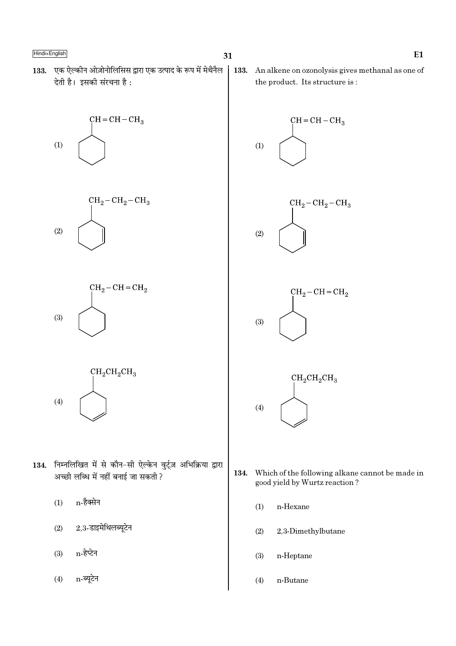133. एक ऐल्कीन ओज़ोनोलिसिस द्वारा एक उत्पाद के रूप में मेथैनैल देती है। इसकी संरचना है:









- 134. निम्नलिखित में से कौन-सी ऐल्केन वुर्ट्ज़ अभिक्रिया द्वारा अच्छी लब्धि में नहीं बनाई जा सकती ?
	- n-हैक्सेन  $(1)$
	- 2,3-डाइमेथिलब्यूटेन  $(2)$
	- n-हेप्टेन  $(3)$
	- n-ब्युटेन  $(4)$

133. An alkene on ozonolysis gives methanal as one of the product. Its structure is:



- 134. Which of the following alkane cannot be made in good yield by Wurtz reaction?
	- $(1)$ n-Hexane
	- $(2)$ 2,3-Dimethylbutane
	- $(3)$ n-Heptane
	- $(4)$ n-Butane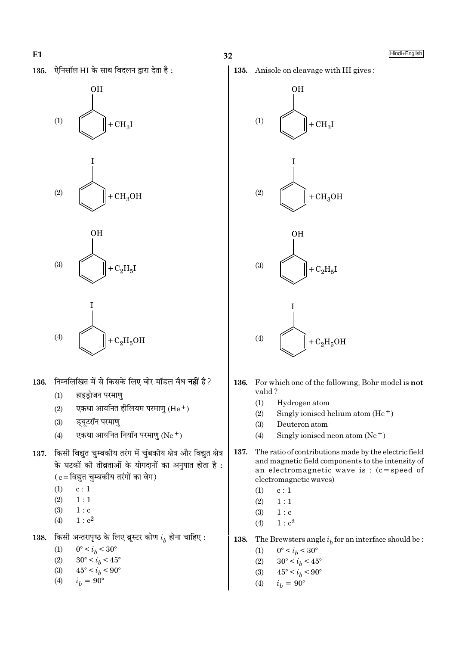ऐनिसॉल HI के साथ विदलन द्वारा देता है: 135.







$$
(4) \qquad \qquad \bigotimes (1) \qquad \qquad + \mathrm{C}_2\mathrm{H}_5\mathrm{OH}
$$

I

- 136. निम्नलिखित में से किसके लिए बोर मॉडल वैध नहीं है?
	- $(1)$ हाइडोजन परमाण
	- $(2)$ एकधा आयनित होलियम परमाण (He  $^+$ )
	- इयूटरॉन परमाण्  $(3)$
	- एकधा आयनित नियॉन परमाण (Ne+)  $(4)$
- 137. किसी विद्युत चुम्बकीय तरंग में चुंबकीय क्षेत्र और विद्युत क्षेत्र के घटकों की तीव्रताओं के योगदानों का अनुपात होता है:  $(c = \bar{c}$ द्युत चुम्बकीय तरंगों का वेग)
	- $(1)$  $c:1$
	- $(2)$  $1:1$
	- $(3)$  $1:$  c
	- $1: c<sup>2</sup>$  $(4)$
- किसी अन्तरापृष्ठ के लिए ब्रूस्टर कोण  $i_b$  होना चाहिए : 138.

 $(1)$  $0^{\circ} < i_b < 30^{\circ}$ 

- $(2)$  $30^{\circ} < i_b < 45^{\circ}$
- $45^{\circ} < i_h < 90^{\circ}$  $(3)$

$$
(4) \qquad i_b = 90^\circ
$$

Hindi+English





- 136. For which one of the following, Bohr model is **not** valid?
	- $(1)$ Hydrogen atom
	- Singly ionised helium atom  $(He<sup>+</sup>)$  $(2)$
	- $(3)$ Deuteron atom
	- Singly ionised neon atom  $(Ne<sup>+</sup>)$  $(4)$
- 137. The ratio of contributions made by the electric field and magnetic field components to the intensity of an electromagnetic wave is :  $(c = speed of$ electromagnetic waves)
	- $(1)$  $\ensuremath{\mathbf{c}}$  :  $1$
	- $(2)$  $1:1$
	- $(3)$  $1:$  c
	- $1 : c<sup>2</sup>$  $(4)$

138. The Brewsters angle  $i<sub>b</sub>$  for an interface should be :

- $0^{\circ} < i_h < 30^{\circ}$  $(1)$
- $(2)$  $30^{\circ} < i_b < 45^{\circ}$
- $(3)$  $45^{\circ} < i_h < 90^{\circ}$
- $i_b = 90^{\circ}$  $(4)$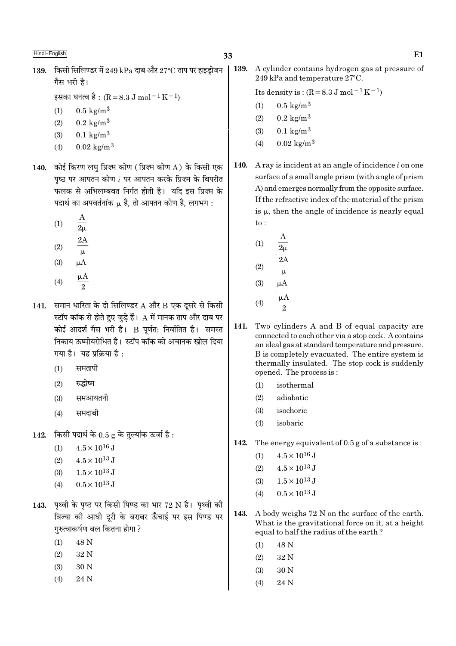$139.$  किसी सिलिण्डर में  $249$  kPa दाब और  $27^{\circ}$ C ताप पर हाइडोजन गैस भरी है।

इसका घनत्व है : (R = 8.3 J mol<sup>-1</sup> K<sup>-1</sup>)

- $0.5 \text{ kg/m}^3$  $(1)$
- $0.2 \text{ kg/m}^3$  $(2)$
- $0.1 \text{ kg/m}^3$  $(3)$
- $0.02 \text{ kg/m}^3$  $(4)$
- 140. कोई किरण लघु प्रिज्म कोण (प्रिज़्म कोण A) के किसी एक पृष्ठ पर आपतन कोण  $i$  पर आपतन करके प्रिज़्म के विपरीत फलक से अभिलम्बवत निर्गत होती है। यदि इस प्रिज्म के पदार्थ का अपवर्तनांक µ है, तो आपतन कोण है, लगभग:
	- $(1)$  $\overline{2\mu}$
	- $(2)$  $\mu$
	- $(3)$  $\mu A$
	- $(4)$
- 141. समान धारिता के दो सिलिण्डर  $A$  और  $B$  एक दूसरे से किसी स्टॉप कॉक से होते हुए जुडे हैं।  ${\rm A}$  में मानक ताप और दाब पर कोई आदर्श गैस भरी है। B पर्णत: निर्वातित है। समस्त निकाय ऊष्मीयरोधित है। स्टॉप कॉक को अचानक खोल दिया गया है। यह प्रक्रिया है:
	- समतापी  $(1)$
	- रुद्धोष्म  $(2)$
	- समआयतनी  $(3)$
	- $(4)$ समदाबी
- किसी पदार्थ के  $0.5$  g के तुल्यांक ऊर्जा है : 142.
	- $4.5 \times 10^{16}$  J  $(1)$
	- $4.5 \times 10^{13}$  J  $(2)$
	- $1.5 \times 10^{13}$  J  $(3)$
	- $0.5 \times 10^{13}$  J  $(4)$
- 143. पृथ्वी के पृष्ठ पर किसी पिण्ड का भार 72 N है। पृथ्वी की त्रिज्या की आधी दूरी के बराबर ऊँचाई पर इस पिण्ड पर गुरुत्वाकर्षण बल कितना होगा ?
	- 48 N  $(1)$
	- $(2)$ 32 N
	- $(3)$ 30<sub>N</sub>
	- 24 N  $(4)$

139. A cylinder contains hydrogen gas at pressure of 249 kPa and temperature 27°C.

Its density is:  $(R = 8.3 \text{ J mol}^{-1} \text{ K}^{-1})$ 

- $0.5 \text{ kg/m}^3$  $(1)$
- $(2)$  $0.2 \text{ kg/m}^3$
- $0.1 \text{ kg/m}^3$  $(3)$
- $0.02 \text{ kg/m}^3$  $(4)$
- A ray is incident at an angle of incidence  $i$  on one **140.** surface of a small angle prism (with angle of prism A) and emerges normally from the opposite surface. If the refractive index of the material of the prism is  $\mu$ , then the angle of incidence is nearly equal  $\mathsf{to}$ :
	- $(1)$  $(2)$  $(3)$  $\mu A$  $\mu A$  $(4)$
- 141. Two cylinders A and B of equal capacity are connected to each other via a stop cock. A contains an ideal gas at standard temperature and pressure. B is completely evacuated. The entire system is thermally insulated. The stop cock is suddenly opened. The process is:
	- $(1)$ isothermal
	- $(2)$ adiabatic
	- $(3)$ isochoric
	- $(4)$ isobaric
- 142. The energy equivalent of  $0.5$  g of a substance is:
	- $4.5 \times 10^{16}$  J  $(1)$
	- $4.5 \times 10^{13}$  J  $(2)$
	- $1.5 \times 10^{13}$  J  $(3)$
	- $0.5 \times 10^{13}$  J  $(4)$
- 143. A body weighs 72 N on the surface of the earth. What is the gravitational force on it, at a height equal to half the radius of the earth?
	- $(1)$ 48 N
	- $(2)$ 32 N
	- 30 N  $(3)$
	- $(4)$ 24 N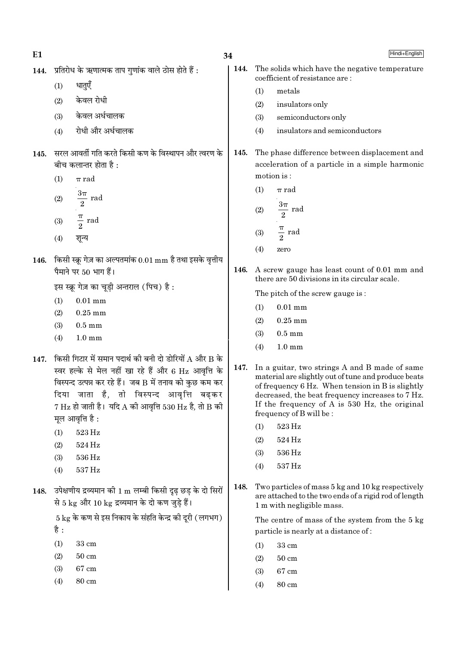| ı | I |
|---|---|
|   |   |
|   |   |

34

144.

- 144. प्रतिरोध के ऋणात्मक ताप गणांक वाले ठोस होते हैं :
	- धातुएँ  $(1)$
	- केवल रोधी  $(2)$
	- केवल अर्धचालक  $(3)$
	- रोधी और अर्धचालक  $(4)$
- 145. सरल आवर्ती गति करते किसी कण के विस्थापन और त्वरण के बीच कलान्तर होता है :
	- $(1)$  $\pi$  rad
	- $\frac{3\pi}{2}$  rad  $(2)$
	- $\frac{\pi}{2}$  rad  $(3)$
	- $(4)$ शून्य
- 146. किसी स्क्रू गेज़ का अल्पतमांक  $0.01 \text{ mm}$  है तथा इसके वृत्तीय पैमाने पर 50 भाग हैं।

इस स्क्रू गेज़ का चूड़ी अन्तराल (पिच) है:

- $0.01$  mm  $(1)$
- $(2)$  $0.25$  mm
- $(3)$  $0.5 \text{ mm}$
- $1.0 \text{ mm}$  $(4)$
- 147. किसी गिटार में समान पदार्थ की बनी दो डोरियों A और B के स्वर हल्के से मेल नहीं खा रहे हैं और 6 Hz आवृत्ति के विस्पन्द उत्पन्न कर रहे हैं। जब B में तनाव को कुछ कम कर दिया जाता है, तो विस्पन्द आवृत्ति बढकर  $7 \text{ Hz}$  हो जाती है। यदि A की आवृत्ति 530 Hz है, तो B की मूल आवृत्ति है :
	- 523 Hz  $(1)$
	- $(2)$ 524 Hz
	- $(3)$ 536 Hz
	- 537 Hz  $(4)$
- 148. उपेक्षणीय द्रव्यमान की 1 m लम्बी किसी दृढ छड के दो सिरों से 5 kg और 10 kg द्रव्यमान के दो कण जुडे हैं।

 $5 \text{ kg}$  के कण से इस निकाय के संहति केन्द्र की दूरी (लगभग) है :

- $(1)$ 33 cm
- $50 \text{ cm}$  $(2)$
- $(3)$ 67 cm
- $(4)$ 80 cm
- The solids which have the negative temperature coefficient of resistance are:
- metals  $(1)$
- $(2)$ insulators only
- $(3)$ semiconductors only
- insulators and semiconductors  $(4)$
- The phase difference between displacement and 145. acceleration of a particle in a simple harmonic motion is:
	- $(1)$  $\pi$  rad

(2) 
$$
\frac{3\pi}{2} \text{ rad}
$$
  
(3) 
$$
\frac{\pi}{2} \text{ rad}
$$

- $(4)$ zero
- 146. A screw gauge has least count of 0.01 mm and there are 50 divisions in its circular scale.

The pitch of the screw gauge is:

- $(1)$  $0.01$  mm
- $0.25$  mm  $(2)$
- $(3)$  $0.5 \text{ mm}$
- $(4)$  $1.0 \text{ mm}$
- 147. In a guitar, two strings A and B made of same material are slightly out of tune and produce beats of frequency 6 Hz. When tension in B is slightly decreased, the beat frequency increases to 7 Hz. If the frequency of A is 530 Hz, the original frequency of B will be:
	- $(1)$ 523 Hz
	- $(2)$ 524 Hz
	- $(3)$ 536 Hz
	- $(4)$ 537 Hz
- Two particles of mass 5 kg and 10 kg respectively 148. are attached to the two ends of a rigid rod of length 1 m with negligible mass.

The centre of mass of the system from the 5 kg particle is nearly at a distance of:

- $33 \text{ cm}$  $(1)$
- $(2)$  $50 \text{ cm}$
- 67 cm  $(3)$
- $(4)$ 80 cm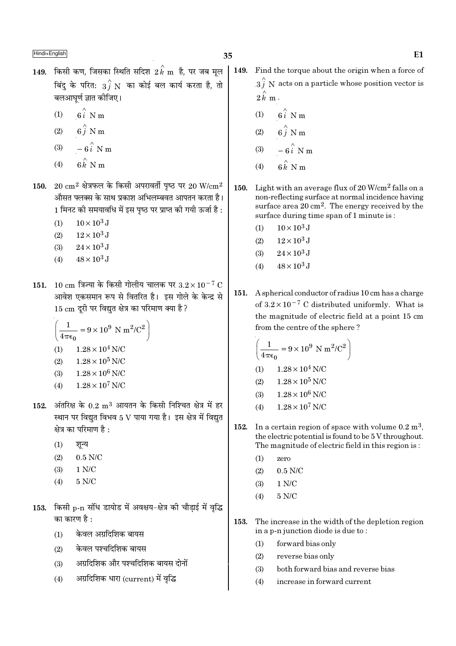- $149$ . किसी कण, जिसका स्थिति सदिश  $2\,{\rm \vec{k}}$  m है, पर जब मूल बिंदु के परित:  $\overrightarrow{3f}$  N का कोई बल कार्य करता है, तो बलआघर्ण ज्ञात कीजिए।
	- $6i$  N m  $(1)$
	- $6\hat{j}$  N m  $(2)$
	- $-6\hat{i}$  N m  $(3)$
	- $(4)$
- 150. 20  $\rm cm^2$  क्षेत्रफल के किसी अपरावर्ती पष्ठ पर 20 W/ $\rm cm^2$ औसत फ्लक्स के साथ प्रकाश अभिलम्बवत आपतन करता है। 1 मिनट की समयावधि में इस पृष्ठ पर प्राप्त की गयी ऊर्जा है :
	- $10 \times 10^3$  J  $(1)$
	- $12 \times 10^3$  J  $(2)$
	- $(3)$  $24 \times 10^3$  J
	- $48 \times 10^3$  J  $(4)$
- 151. 10 cm त्रिज्या के किसी गोलीय चालक पर  $3.2 \times 10^{-7}$  C आवेश एकसमान रूप से वितरित है। इस गोले के केन्द्र से 15 cm दूरी पर विद्युत क्षेत्र का परिमाण क्या है ?

$$
\left(\frac{1}{4\pi\epsilon_0} = 9 \times 10^9 \text{ N m}^2/\text{C}^2\right)
$$
  
(1) 1.28 × 10<sup>4</sup> N/C  
(2) 1.28 × 10<sup>5</sup> N/C  
(3) 1.28 × 10<sup>6</sup> N/C

- $(4)$  $1.28 \times 10^7$  N/C
- 152. अंतरिक्ष के  $0.2 \text{ m}^3$  आयतन के किसी निश्चित क्षेत्र में हर स्थान पर विद्युत विभव 5 V पाया गया है। इस क्षेत्र में विद्युत क्षेत्र का परिमाण है :
	- शून्य  $(1)$
	- $(2)$  $0.5$  N/C
	- $1 N/C$  $(3)$
	- $(4)$ 5 N/C
- 153. किसी p-n संधि डायोड में अवक्षय-क्षेत्र की चौड़ाई में वृद्धि का कारण है :
	- केवल अग्रदिशिक बायस  $(1)$
	- केवल पश्चदिशिक बायस  $(2)$
	- अग्रदिशिक और पश्चदिशिक बायस दोनों  $(3)$
	- अग्रदिशिक धारा (current) में वृद्धि  $(4)$
- |  $149.$ Find the torque about the origin when a force of  $3\hat{i}$  N acts on a particle whose position vector is  $2\hat{k}$  m.
	- $(1)$  $6i$  N m
	- $(2)$
	- $(3)$
	- $(4)$
- 150. Light with an average flux of  $20$  W/cm<sup>2</sup> falls on a non-reflecting surface at normal incidence having surface area  $20 \text{ cm}^2$ . The energy received by the surface during time span of 1 minute is:
	- $10 \times 10^3$  J  $(1)$
	- $12 \times 10^3$  J  $(2)$
	- $(3)$  $24 \times 10^3$  J
	- $48 \times 10^3$  J  $(4)$
- A spherical conductor of radius 10 cm has a charge 151. of  $3.2 \times 10^{-7}$  C distributed uniformly. What is the magnitude of electric field at a point 15 cm from the centre of the sphere?

$$
\left(\frac{1}{4\pi\varepsilon_0}=9\times10^9~\mathrm{N}~\mathrm{m}^2/\mathrm{C}^2\right)
$$

- $1.28 \times 10^4$  N/C  $(1)$
- $(2)$  $1.28 \times 10^5$  N/C
- $1.28 \times 10^6$  N/C  $(3)$
- $1.28\times10^7$  N/C  $(4)$
- 152. In a certain region of space with volume  $0.2 \text{ m}^3$ . the electric potential is found to be 5 V throughout. The magnitude of electric field in this region is:
	- $(1)$ zero
	- $(2)$  $0.5$  N/C
	- $(3)$  $1 N/C$
	- $5 N/C$  $(4)$
- 153. The increase in the width of the depletion region in a p-n junction diode is due to:
	- forward bias only  $(1)$
	- reverse bias only  $(2)$
	- both forward bias and reverse bias  $(3)$
	- increase in forward current  $(4)$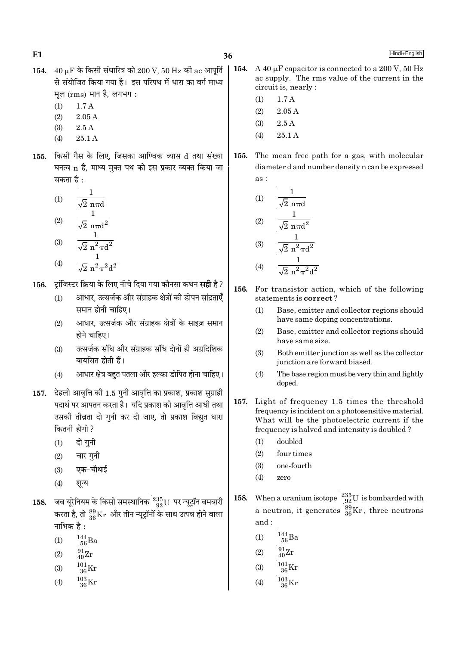36

- 154.  $40 \mu$ F के किसी संधारित्र को  $200 \text{ V}$ , 50 Hz की ac आपूर्ति से संयोजित किया गया है। इस परिपथ में धारा का वर्ग माध्य मूल (rms) मान है, लगभग:
	- $1.7A$  $(1)$

 $E1$ 

- $(2)$  $2.05A$
- $2.5A$  $(3)$
- $(4)$  $25.1A$
- 155. किसी गैस के लिए, जिसका आण्विक व्यास d तथा संख्या घनत्व n है, माध्य मुक्त पथ को इस प्रकार व्यक्त किया जा सकता है :

(1) 
$$
\frac{1}{\sqrt{2} \text{ n} \pi d}
$$
  
(2)  $\frac{1}{\sqrt{2} \pi d}$ 

$$
\sqrt{2} \text{ n}\pi d^2
$$
\n
$$
\frac{1}{\sqrt{2} \text{ n}\pi d^2}
$$

(4) 
$$
\frac{\sqrt{2} \text{ n}^2 \pi \text{d}^2}{\sqrt{2} \text{ n}^2 \pi^2 \text{d}^2}
$$

- टॉजिस्टर क्रिया के लिए नीचे दिया गया कौनसा कथन **सही** है ? 156.
	- आधार, उत्सर्जक और संग्राहक क्षेत्रों की डोपन सांद्रताएँ  $(1)$ समान होनी चाहिए।
	- आधार, उत्सर्जक और संग्राहक क्षेत्रों के साइज़ समान  $(2)$ होने चाहिए।
	- उत्सर्जक संधि और संग्राहक संधि दोनों ही अग्रदिशिक  $(3)$ बायसित होती हैं।
	- आधार क्षेत्र बहुत पतला और हल्का डोपित होना चाहिए।  $(4)$
- 157. देहली आवृत्ति की 1.5 गुनी आवृत्ति का प्रकाश, प्रकाश सुग्राही पदार्थ पर आपतन करता है। यदि प्रकाश की आवत्ति आधी तथा उसकी तीव्रता दो गुनी कर दी जाए, तो प्रकाश विद्युत धारा कितनी होगी ?
	- दो गुनी  $(1)$
	- चार गुनी  $(2)$
	- एक-चौथाई  $(3)$
	- $(4)$ शन्य
- 158. जब यूरेनियम के किसी समस्थानिक  $^{235}_{92} \rm U$  पर न्यूट्रॉन बमबारी करता है, तो  $^{89}_{36}\rm{Kr}$  और तीन न्यूट्रॉनों के साथ उत्पन्न होने वाला नाभिक $\overrightarrow{a}$ :
	- $^{144}_{\ 56}$ Ba  $(1)$
	- $^{91}_{40}Zr$  $(2)$
	- $(3)$
	-
	- $\frac{103}{36}\text{Kr}$  $(4)$
- 154. A 40 uF capacitor is connected to a 200 V, 50 Hz ac supply. The rms value of the current in the circuit is, nearly :
	- $1.7A$  $(1)$
	- $(2)$  $2.05A$
	- $(3)$  $2.5A$
	- $25.1A$  $(4)$
- 155. The mean free path for a gas, with molecular diameter d and number density n can be expressed  $\overline{as}$ :

(1) 
$$
\frac{1}{\sqrt{2} \text{ n} \pi d}
$$
  
\n(2)  $\frac{1}{\sqrt{2} \text{ n} \pi d^2}$   
\n(3)  $\frac{1}{\sqrt{2} \text{ n}^2 \pi d^2}$ 

(4) 
$$
\frac{1}{\sqrt{2} n^2 \pi^2 d^2}
$$

- 156. For transistor action, which of the following statements is correct?
	- $(1)$ Base, emitter and collector regions should have same doping concentrations.
	- $(2)$ Base, emitter and collector regions should have same size.
	- $(3)$ Both emitter junction as well as the collector junction are forward biased.
	- The base region must be very thin and lightly  $(4)$ doped.
- Light of frequency 1.5 times the threshold 157. frequency is incident on a photosensitive material. What will be the photoelectric current if the frequency is halved and intensity is doubled?
	- doubled  $(1)$
	- $(2)$ four times
	- $(3)$ one-fourth
	- $(4)$ zero
- When a uranium isotope  $\frac{235}{92}U$  is bombarded with 158. a neutron, it generates  $\frac{89}{36}$ Kr, three neutrons and:
	- $\frac{144}{56}$ Ba  $(1)$
	- $^{91}_{40}Zr$  $(2)$
	- $^{101}_{36}$ Kr  $(3)$
	- $^{103}_{\phantom{1}96}\rm{Kr}$  $(4)$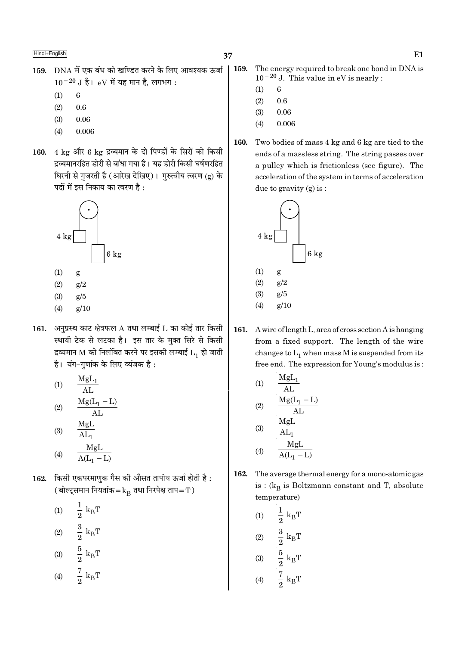- 159. DNA में एक बंध को खण्डित करने के लिए आवश्यक ऊर्जा  $10^{-20}$  J है। eV में यह मान है, लगभग:
	- $(1)$  $\,6\,$
	- $(2)$ 0.6
	- $(3)$ 0.06
	- 0.006  $(4)$
- 160. 4 kg और 6 kg द्रव्यमान के दो पिण्डों के सिरों को किसी द्रव्यमानरहित डोरी से बांधा गया है। यह डोरी किसी घर्षणरहित घिरनी से गुजरती है (आरेख देखिए)। गुरुत्वीय त्वरण (g) के पदों में इस निकाय का त्वरण है :



- $(1)$ g
- $g/2$  $(2)$
- $(3)$  $g/5$
- $(4)$  $g/10$
- 161. अनुप्रस्थ काट क्षेत्रफल  $A$  तथा लम्बाई  $L$  का कोई तार किसी स्थायी टेक से लटका है। इस तार के मुक्त सिरे से किसी द्रव्यमान M को निलंबित करने पर इसकी लम्बाई  $L_1$  हो जाती है। यंग-गुणांक के लिए व्यंजक है:

(1) 
$$
\frac{MgL_1}{AL}
$$
  
(2) 
$$
\frac{Mg(L_1 - L)}{AL}
$$
  
(3) 
$$
\frac{MgL}{AL}
$$

$$
(4) \qquad \frac{\text{MgL}}{\text{A(L}_1 - \text{L})}
$$

- 162. किसी एकपरमाणुक गैस की औसत तापीय ऊर्जा होती है: (बोल्ट्समान नियतांक =  $k_B$  तथा निरपेक्ष ताप = T)
	- $\frac{1}{2}$  $\rm k_BT$  $(1)$  $\begin{aligned} \frac{3}{2} \; \mathbf{k}_\mathrm{B} \mathbf{T} \\ \frac{5}{2} \; \mathbf{k}_\mathrm{B} \mathbf{T} \\ \frac{7}{2} \; \mathbf{k}_\mathrm{B} \mathbf{T} \end{aligned}$  $(2)$  $(3)$  $(4)$
- 159. The energy required to break one bond in DNA is  $10^{-20}$  J. This value in eV is nearly :
	- $(1)$ 6
	- $(2)$ 0.6
	- $(3)$ 0.06
	- 0.006  $(4)$
- 160. Two bodies of mass 4 kg and 6 kg are tied to the ends of a massless string. The string passes over a pulley which is frictionless (see figure). The acceleration of the system in terms of acceleration due to gravity (g) is:



161. A wire of length L, area of cross section A is hanging from a fixed support. The length of the wire changes to  $L_1$  when mass M is suspended from its free end. The expression for Young's modulus is:

(1)  
\n
$$
\frac{MgL_{1}}{AL}
$$
\n(2)  
\n
$$
\frac{Mg(L_{1} - L)}{AL}
$$
\n(3)  
\n
$$
\frac{MgL}{AL_{1}}
$$
\n(4)  
\n
$$
\frac{MgL}{A(L_{1} - L)}
$$

- 162. The average thermal energy for a mono-atomic gas is :  $(k_B$  is Boltzmann constant and T, absolute temperature)
	- $\begin{aligned} \frac{1}{2} \text{ k}_{\text{B}}\text{T} \\ \frac{3}{2} \text{ k}_{\text{B}}\text{T} \\ \frac{5}{2} \text{ k}_{\text{B}}\text{T} \\ \frac{7}{2} \text{ k}_{\text{B}}\text{T} \end{aligned}$  $(1)$  $(2)$  $(3)$  $(4)$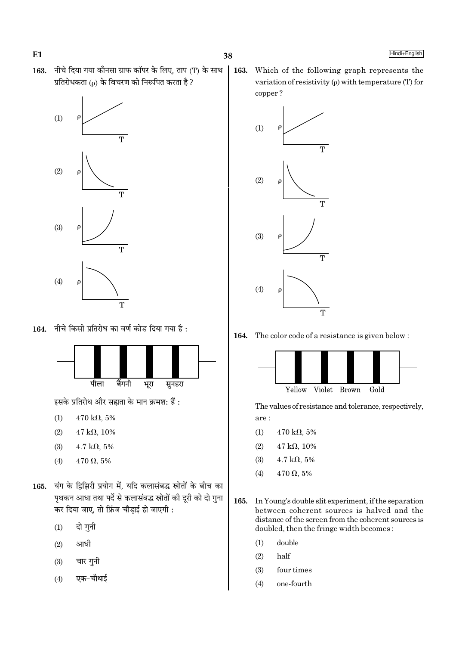



164. नीचे किसी प्रतिरोध का वर्ण कोड दिया गया है:



इसके प्रतिरोध और सह्यता के मान क्रमश: हैं :

- $(1)$  $470 \text{ k}\Omega, 5\%$
- $47 \text{ k}\Omega, 10\%$  $(2)$
- $4.7$  kΩ,  $5\%$  $(3)$
- $470 \Omega, 5\%$  $(4)$
- 165. यंग के द्विझिरी प्रयोग में, यदि कलासंबद्ध स्रोतों के बीच का पृथकन आधा तथा पर्दे से कलासंबद्ध स्रोतों की दूरी को दो गुना कर दिया जाए, तो फ्रिंज चौड़ाई हो जाएगी :
	- दो गुनी  $(1)$
	- आधी  $(2)$
	- चार गनी  $(3)$
	- एक–चौथाई  $(4)$

Which of the following graph represents the 163. variation of resistivity  $(\rho)$  with temperature (T) for copper?



The color code of a resistance is given below: 164.



The values of resistance and tolerance, respectively, are:

- $(1)$ 470 k $\Omega$ , 5%
- $(2)$  $47 k\Omega, 10\%$
- $4.7 \text{ k}\Omega, 5\%$  $(3)$
- $470 \Omega, 5\%$  $(4)$
- 165. In Young's double slit experiment, if the separation between coherent sources is halved and the distance of the screen from the coherent sources is doubled, then the fringe width becomes:
	- double  $(1)$
	- $(2)$ half
	- four times  $(3)$
	- $(4)$ one-fourth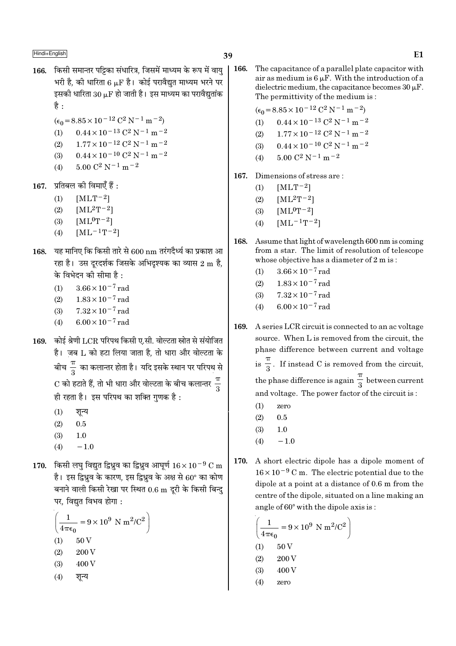- 166. किसी समान्तर पट्टिका संधारित्र, जिसमें माध्यम के रूप में वाय भरी है. की धारिता 6 u.F है। कोई परावैद्यत माध्यम भरने पर इसकी धारिता  $30 \mu$ F हो जाती है। इस माध्यम का परावैद्युतांक है $\cdot$ 
	- $(\epsilon_0 = 8.85 \times 10^{-12} \text{ C}^2 \text{ N}^{-1} \text{ m}^{-2})$
	- $0.44 \times 10^{-13}$  C<sup>2</sup> N<sup>-1</sup> m<sup>-2</sup>  $(1)$
	- $1.77 \times 10^{-12}$  C<sup>2</sup> N<sup>-1</sup> m<sup>-2</sup>  $(2)$
	- $0.44 \times 10^{-10}$  C<sup>2</sup> N<sup>-1</sup> m<sup>-2</sup>  $(3)$
	- $5.00 C^2 N^{-1} m^{-2}$  $(4)$
- $167.$  प्रतिबल की विमाएँ हैं :
	- $[MLT-2]$  $(1)$
	- $(2)$  $[ML^2T^{-2}]$
	- $[ML^0T^{-2}]$  $(3)$
	- $[ML^{-1}T^{-2}]$  $(4)$
- यह मानिए कि किसी तारे से 600 nm तरंगदैर्ध्य का प्रकाश आ 168. रहा है। उस दुरदर्शक जिसके अभिदुश्यक का व्यास 2 m है, के विभेदन की सीमा है:
	- $3.66 \times 10^{-7}$  rad  $(1)$
	- $1.83 \times 10^{-7}$  rad  $(2)$
	- $7.32 \times 10^{-7}$  rad  $(3)$
	- $6.00 \times 10^{-7}$  rad  $(4)$
- 169. कोई श्रेणी LCR परिपथ किसी ए.सी. वोल्टता स्रोत से संयोजित है। ज़ब L को हटा लिया जाता है, तो धारा और वोल्टता के बीच $\frac{\pi}{3}$  का कलान्तर होता है। यदि इसके स्थान पर परिपथ से  $\mathrm{C}$  को हटाते हैं, तो भी धारा और वोल्टता के बीच कलान्तर  $\frac{\pi}{2}$ ही रहता है। इस परिपथ का शक्ति गुणक है:
	- $(1)$ शुन्य
	- $(2)$  $0.5$
	- $(3)$  $1.0$
	- $-1.0$  $(4)$
- 170. किसी लघु विद्युत द्विध्रुव का द्विध्रुव आघूर्ण  $16 \times 10^{-9}$  C m है। इस द्विध्रव के कारण, इस द्विध्रव के अक्ष से 60° का कोण बनाने वाली किसी रेखा पर स्थित 0.6 m दूरी के किसी बिन्दु पर. विद्यत विभव होगा :

$$
\left(\frac{1}{4\pi\epsilon_0} = 9 \times 10^9 \text{ N m}^2/\text{C}^2\right)
$$
  
(1) 50 V  
(2) 200 V  
(3) 400 V  
(4)  $\overline{31}$ 

- 166. The capacitance of a parallel plate capacitor with air as medium is  $6 \mu$ F. With the introduction of a dielectric medium, the capacitance becomes  $30 \mu$ F. The permittivity of the medium is:
	- $(\epsilon_0 = 8.85 \times 10^{-12} \text{ C}^2 \text{ N}^{-1} \text{ m}^{-2})$
	- $0.44 \times 10^{-13}$  C<sup>2</sup> N<sup>-1</sup> m<sup>-2</sup>  $(1)$
	- $1.77 \times 10^{-12}$  C<sup>2</sup> N<sup>-1</sup> m<sup>-2</sup>  $(2)$
	- $0.44 \times 10^{-10}$  C<sup>2</sup> N<sup>-1</sup> m<sup>-2</sup>  $(3)$
	- $5.00 C^2 N^{-1} m^{-2}$  $(4)$
- 167. Dimensions of stress are:
	- $(1)$  $[MLT^{-2}]$
	- $[ML^{2}T^{-2}]$  $(2)$
	- $[ML^0T^{-2}]$  $(3)$
	- $[ML^{-1}T^{-2}]$  $(4)$
- 168. Assume that light of wavelength 600 nm is coming from a star. The limit of resolution of telescope whose objective has a diameter of 2 m is:
	- $3.66 \times 10^{-7}$  rad  $(1)$
	- $1.83 \times 10^{-7}$  rad  $(2)$
	- $7.32 \times 10^{-7}$  rad  $(3)$
	- $6.00 \times 10^{-7}$  rad  $(4)$
- 169. A series LCR circuit is connected to an ac voltage source. When L is removed from the circuit, the phase difference between current and voltage is  $\frac{\pi}{3}$ . If instead C is removed from the circuit, the phase difference is again  $\frac{\pi}{3}$  between current and voltage. The power factor of the circuit is:
	- $(1)$ zero
	- $0.5$  $(2)$
	- $(3)$  $1.0$
	- $-1.0$  $(4)$
- 170. A short electric dipole has a dipole moment of  $16 \times 10^{-9}$  C m. The electric potential due to the dipole at a point at a distance of 0.6 m from the centre of the dipole, situated on a line making an angle of 60° with the dipole axis is:

$$
\left(\frac{1}{4\pi\epsilon_0} = 9 \times 10^9 \text{ N m}^2/\text{C}^2\right)
$$
  
(1) 50 V  
(2) 200 V  
(3) 400 V  
(4) zero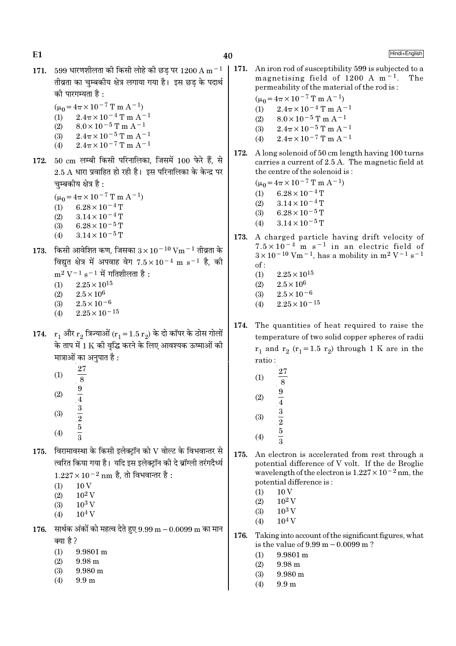$E1$ 

Hindi+English

- 171. 599 धारणशीलता की किसी लोहे की छड पर 1200 A m $^{-1}$ तीव्रता का चम्बकीय क्षेत्र लगाया गया है। इस छड के पदार्थ को पारगम्यता है :
	- $(\mu_0 = 4\pi \times 10^{-7} \text{ T m A}^{-1})$  $2.4\pi \times 10^{-4}$  T m A<sup>-1</sup>  $(1)$  $8.0\times10^{-5}\,\mathrm{T}$  m A<sup>-1</sup>
	- $(2)$  $2.4\pi \times 10^{-5}$  T m A<sup>-1</sup>  $(3)$
	- $2.4\pi \times 10^{-7}$  T m A<sup>-1</sup>  $(4)$
- 172. 50 cm लम्बी किसी परिनालिका, जिसमें 100 फेरे हैं, से  $2.5$  A धारा प्रवाहित हो रही है। इस परिनालिका के केन्द्र पर चम्बकीय क्षेत्र है:
	- $(\mu_0 = 4\pi \times 10^{-7} \text{ T m A}^{-1})$
	- $(1)$  $6.28 \times 10^{-4}$  T
	- $3.14 \times 10^{-4}$  T  $(2)$  $6.28 \times 10^{-5}$  T
	- $(3)$  $3.14 \times 10^{-5}$  T  $(4)$
- 173. किसी आवेशित कण, जिसका  $3 \times 10^{-10}$  Vm  $^{-1}$  तीव्रता के विद्युत क्षेत्र में अपवाह वेग  $7.5 \times 10^{-4}$  m s<sup>-1</sup> है, की  $m^2 V^{-1} s^{-1}$  में गतिशीलता है:  $(1)$  $2.25 \times 10^{15}$ 
	- $2.5 \times 10^6$  $(2)$
	- $2.5 \times 10^{-6}$  $(3)$
	- $2.25\times10^{-15}$  $(4)$
- 174.  $r_1$  और  $r_2$  त्रिज्याओं ( $r_1 = 1.5 r_2$ ) के दो कॉपर के ठोस गोलों के ताप में 1 K की वृद्धि करने के लिए आवश्यक ऊष्माओं की मात्राओं का अनुपात है:
	- **27**  $(1)$  $\overline{8}$
	- $(2)$
	- $\frac{9}{4}$   $\frac{3}{2}$   $\frac{5}{3}$
	- $(3)$
	- $(4)$
- 175. विरामावस्था के किसी इलेक्ट्रॉन को  $V$  वोल्ट के विभवान्तर से त्वरित किया गया है। यदि इस इलेक्ट्रॉन की दे ब्रॉग्ली तरंगदैर्ध्य
	- $1.227 \times 10^{-2}$  nm है, तो विभवान्तर है:
	- $10V$  $(1)$
	- $10^2$  V  $(2)$
	- $10^3$  V  $(3)$
	- $(4)$  $10^4$  V
- 176. सार्थक अंकों को महत्व देते हुए  $9.99 \text{ m} 0.0099 \text{ m}$  का मान क्या है?
	- $9.9801 m$  $(1)$
	- $(2)$  $9.98<sub>m</sub>$
	- $(3)$  $9.980 \text{ m}$
	- $(4)$  $9.9<sub>m</sub>$

 $\vert$  171. An iron rod of susceptibility 599 is subjected to a magnetising field of 1200 A  $m<sup>-1</sup>$ . permeability of the material of the rod is:

$$
(\mu_0 = 4\pi \times 10^{-7} \text{ T m A}^{-1})
$$

- $2.4\pi \times 10^{-4}$  T m A<sup>-1</sup>  $(1)$
- $8.0 \times 10^{-5}$  T m A<sup>-1</sup>  $(2)$
- $2.4\pi \times 10^{-5}$  T m A<sup>-1</sup>  $(3)$
- $2.4\pi \times 10^{-7}$  T m A<sup>-1</sup>  $(4)$
- A long solenoid of 50 cm length having 100 turns 172. carries a current of 2.5 A. The magnetic field at the centre of the solenoid is:
	- $(\mu_0 = 4\pi \times 10^{-7} \text{ T m A}^{-1})$
	- $6.28 \times 10^{-4}$  T  $(1)$
	- $(2)$  $3.14 \times 10^{-4}$  T
	- $(3)$  $6.28 \times 10^{-5}$  T
	- $3.14 \times 10^{-5}$  T  $(4)$
- 173. A charged particle having drift velocity of  $7.5 \times 10^{-4}$  m s<sup>-1</sup> in an electric field of  $3 \times 10^{-10}$  Vm<sup>-1</sup>, has a mobility in m<sup>2</sup> V<sup>-1</sup> s<sup>-1</sup>  $\alpha$ f ·
	- $2.25 \times 10^{15}$  $(1)$
	- $2.5 \times 10^6$  $(2)$
	- $2.5 \times 10^{-6}$  $(3)$
	- $2.25 \times 10^{-15}$  $(4)$
- 174. The quantities of heat required to raise the temperature of two solid copper spheres of radii  $r_1$  and  $r_2$  ( $r_1$ =1.5  $r_2$ ) through 1 K are in the ratio:
	- 27  $(1)$ 8  $\frac{9}{4}$   $\frac{3}{2}$   $\frac{5}{3}$  $(2)$  $(3)$
	- $(4)$
- 175. An electron is accelerated from rest through a potential difference of V volt. If the de Broglie wavelength of the electron is  $1.227 \times 10^{-2}$  nm, the potential difference is:
	- $10V$  $(1)$
	- $10^2$  V  $(2)$
	- $10^3$  V  $(3)$
	- $10<sup>4</sup>$  V  $(4)$
- 176. Taking into account of the significant figures, what is the value of  $9.99 \text{ m} - 0.0099 \text{ m}$ ?
	- $9.9801 \text{ m}$  $(1)$
	- $(2)$ 9.98 m
	- $(3)$  $9.980 \text{ m}$
	- $(4)$  $9.9<sub>m</sub>$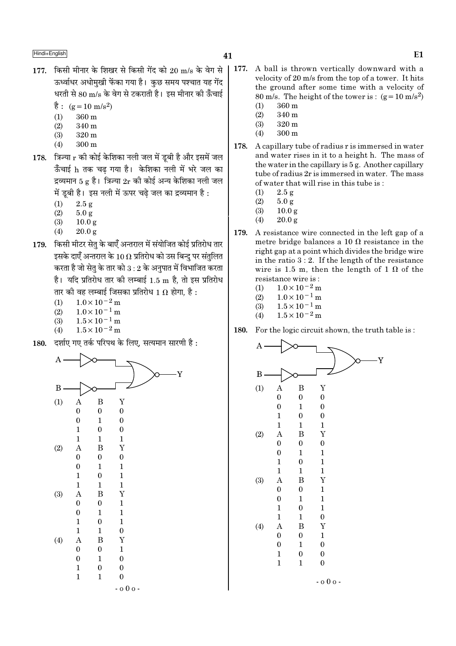- 177. किसी मीनार के शिखर से किसी गेंद को 20 m/s के वेग से ऊर्ध्वाधर अधोमखी फेंका गया है। कछ समय पश्चात यह गेंद धरती से 80 m/s के वेग से टकराती है। इस मीनार की ऊँचाई
	- $\dot{\vec{g}}$ : (g = 10 m/s<sup>2</sup>)
	- 360 m  $(1)$
	- $(2)$  $340 m$
	- $(3)$  $320<sub>m</sub>$
	- $(4)$  $300<sub>m</sub>$
- 178. त्रिज्या  $r$  की कोई केशिका नली जल में डूबी है और इसमें जल ऊँचाई h तक चढ गया है। केशिका नली में भरे जल का द्रव्यमान 5  $\alpha$  है। त्रिज्या 2r की कोई अन्य केशिका नली जल में डूबी है। इस नली में ऊपर चढे जल का द्रव्यमान है :
	- $(1)$  $2.5 g$
	- $(2)$  $5.0 g$
	- $(3)$  $10.0<sub>g</sub>$
	- $(4)$  $20.0 g$
- 179. किसी मीटर सेतु के बाएँ अन्तराल में संयोजित कोई प्रतिरोध तार इसके दाएँ अन्तराल के 10  $\Omega$  प्रतिरोध को उस बिन्दु पर संतुलित करता है जो सेतु के तार को  $3:2$  के अनुपात में विभाजित करता है। यदि प्रतिरोध तार की लम्बाई 1.5 m है. तो इस प्रतिरोध तार की वह लम्बाई जिसका प्रतिरोध 1  $\Omega$  होगा. है :
	- $1.0\times10^{-2}\,\mathrm{m}$  $(1)$
	- $1.0 \times 10^{-1}$  m  $(2)$
	- $1.5 \times 10^{-1}$  m  $(3)$
	- $1.5 \times 10^{-2}$  m  $(4)$
- दर्शाए गए तर्क परिपथ के लिए, सत्यमान सारणी है: 180.



- 177. A ball is thrown vertically downward with a velocity of 20 m/s from the top of a tower. It hits the ground after some time with a velocity of 80 m/s. The height of the tower is:  $(g=10 \text{ m/s}^2)$ 
	- 360 m  $(1)$  $(2)$ 340 m
	- $320 m$  $(3)$
	- $300<sub>m</sub>$  $(4)$
- 178. A capillary tube of radius r is immersed in water and water rises in it to a height h. The mass of the water in the capillary is  $5g$ . Another capillary tube of radius 2r is immersed in water. The mass of water that will rise in this tube is:
	- $2.5 g$  $(1)$
	- $(2)$  $5.0 g$
	- $(3)$  $10.0<sub>g</sub>$
	- $(4)$  $20.0 g$
- 179. A resistance wire connected in the left gap of a metre bridge balances a 10  $\Omega$  resistance in the right gap at a point which divides the bridge wire in the ratio  $3:2$ . If the length of the resistance wire is 1.5 m, then the length of 1  $\Omega$  of the resistance wire is:
	- $1.0\times10^{-2}$  m  $(1)$
	- $1.0 \times 10^{-1}$  m  $(2)$
	- $1.5 \times 10^{-1}$  m  $(3)$
	- $1.5 \times 10^{-2}$  m  $(4)$

For the logic circuit shown, the truth table is: 180.

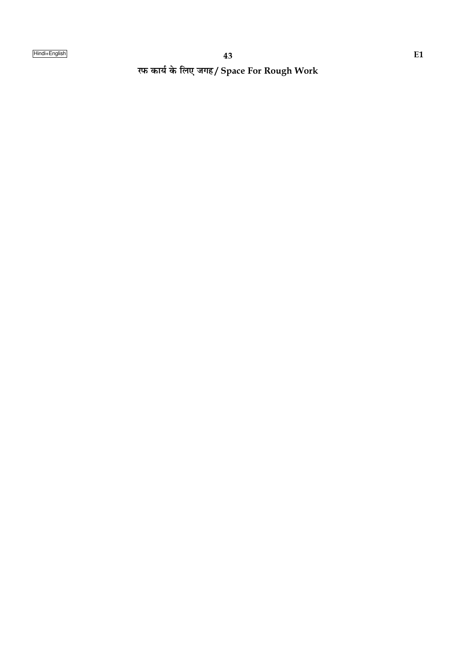रफ कार्य के लिए जगह/ Space For Rough Work